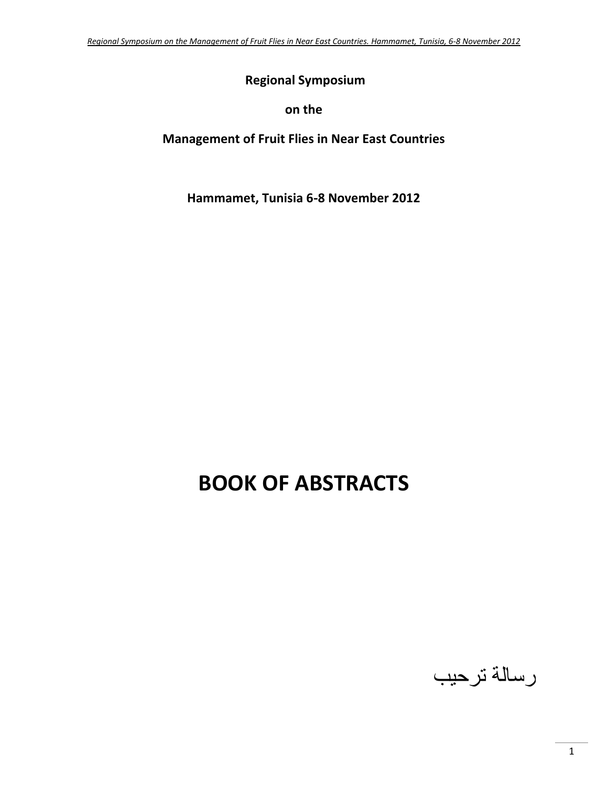# **Regional Symposium**

## **on the**

# **Management of Fruit Flies in Near East Countries**

# **Hammamet, Tunisia 6**‐**8 November 2012**

# **BOOK OF ABSTRACTS**

رسالة ترحيب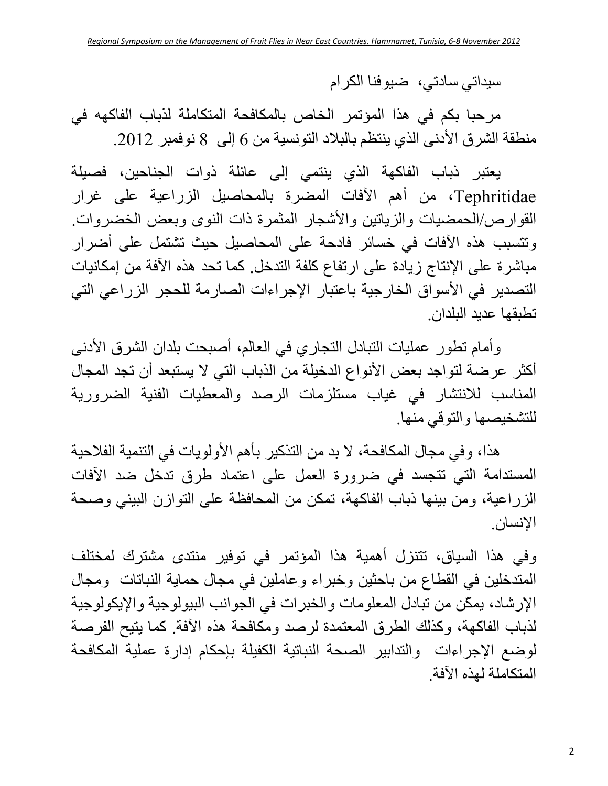سيداتي سادتي، ضيوفنا الكرام

مرحبا بكم في هذا المؤتمر الخاص بالمكافحة المتكاملة لذباب الفاكهه في منطقة الشرق الأدنى الذي ينتظم بالبلاد التونسية من 6 إلى 8 نوفمبر .2012

يعتبر ذباب الفاآهة الذي ينتمي إلى عائلة ذوات الجناحين، فصيلة Tephritidae، من أهم الآفات المضرة بالمحاصيل الزراعية على غرار القوارص/الحمضيات والزياتين والأشجار المثمرة ذات النوى وبعض الخضروات. وتتسبب هذه الآفات في خسائر فادحة على المحاصيل حيث تشتمل على أضرار مباشرة على الإنتاج زيادة على ارتفاع كلفة التدخل. كما تحد هذه الآفة من إمكانيات التصدير في الأسواق الخارجية باعتبار الإجراءات الصارمة للحجر الزراعي التي تطبقها عديد البلدان.

وأمام تطور عمليات التبادل التجاري في العالم، أصبحت بلدان الشرق الأدنى أكثر عرضة لتواجد بعض الأنواع الدخيلة من الذباب التي لا يستبعد أن تجد المجال المناسب للانتشار في غياب مستلزمات الرصد والمعطيات الفنية الضرورية للتشخيصها والتوقي منها.

هذا، وفي مجال المكافحة، لا بد من التذكير بأهم الأولويات في التنمية الفلاحية المستدامة التي تتجسد في ضرورة العمل على اعتماد طرق تدخل ضد الآفات الزراعية، ومن بينها ذباب الفاآهة، تمكن من المحافظة على التوازن البيئي وصحة الإنسان.

وفي هذا السياق، تتنزل أهمية هذا المؤتمر في توفير منتدى مشترك لمختلف المتدخلين في القطاع من باحثين وخبراء وعاملين في مجال حماية النباتات ومجال الإرشاد، يمكّن من تبادل المعلومات والخبرات في الجوانب البيولوجية والإيكولوجية لذباب الفاكهة، وكذلك الطرق المعتمدة لرصد ومكافحة هذه الأفة. كما يتيح الفرصة لوضع الإجراءات والتدابير الصحة النباتية الكفيلة بإحكام إدارة عملية المكافحة المتكاملة لهذه الآفة.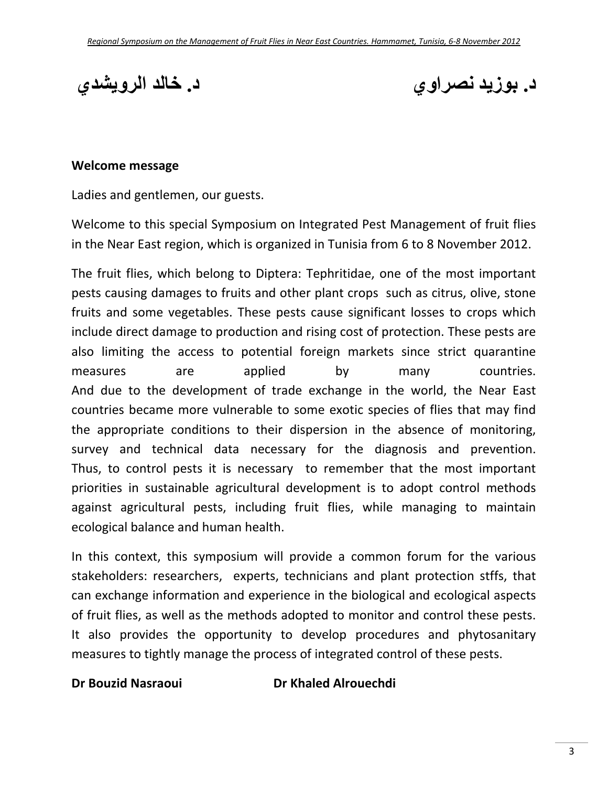**د. بوزيد نصراوي د. خالد الرويشدي**

### **Welcome message**

Ladies and gentlemen, our guests.

Welcome to this special Symposium on Integrated Pest Management of fruit flies in the Near East region, which is organized in Tunisia from 6 to 8 November 2012.

The fruit flies, which belong to Diptera: Tephritidae, one of the most important pests causing damages to fruits and other plant crops such as citrus, olive, stone fruits and some vegetables. These pests cause significant losses to crops which include direct damage to production and rising cost of protection. These pests are also limiting the access to potential foreign markets since strict quarantine measures are applied by many countries. And due to the development of trade exchange in the world, the Near East countries became more vulnerable to some exotic species of flies that may find the appropriate conditions to their dispersion in the absence of monitoring, survey and technical data necessary for the diagnosis and prevention. Thus, to control pests it is necessary to remember that the most important priorities in sustainable agricultural development is to adopt control methods against agricultural pests, including fruit flies, while managing to maintain ecological balance and human health.

In this context, this symposium will provide a common forum for the various stakeholders: researchers, experts, technicians and plant protection stffs, that can exchange information and experience in the biological and ecological aspects of fruit flies, as well as the methods adopted to monitor and control these pests. It also provides the opportunity to develop procedures and phytosanitary measures to tightly manage the process of integrated control of these pests.

**Dr Bouzid Nasraoui Dr Khaled Alrouechdi**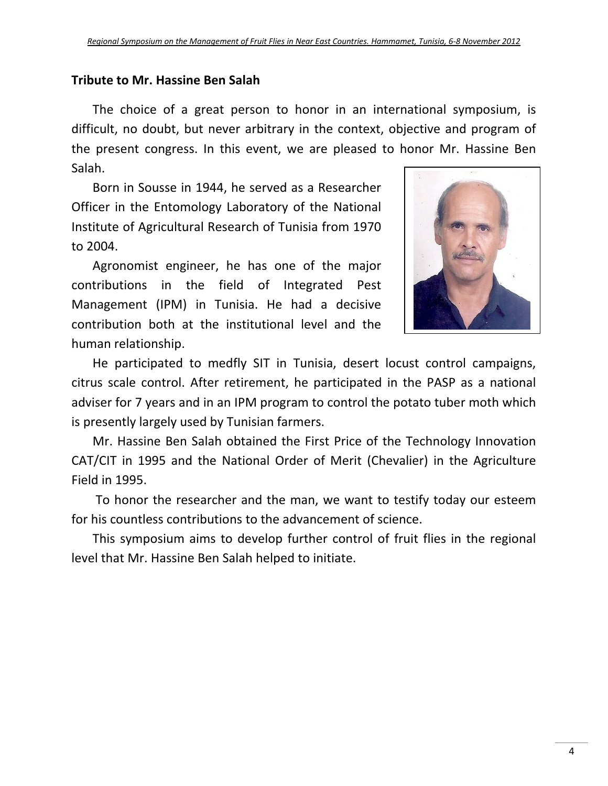# **Tribute to Mr. Hassine Ben Salah**

The choice of a great person to honor in an international symposium, is difficult, no doubt, but never arbitrary in the context, objective and program of the present congress. In this event, we are pleased to honor Mr. Hassine Ben Salah.

Born in Sousse in 1944, he served as a Researcher Officer in the Entomology Laboratory of the National Institute of Agricultural Research of Tunisia from 1970 to 2004.

Agronomist engineer, he has one of the major contributions in the field of Integrated Pest Management (IPM) in Tunisia. He had a decisive contribution both at the institutional level and the human relationship.



He participated to medfly SIT in Tunisia, desert locust control campaigns, citrus scale control. After retirement, he participated in the PASP as a national adviser for 7 years and in an IPM program to control the potato tuber moth which is presently largely used by Tunisian farmers.

Mr. Hassine Ben Salah obtained the First Price of the Technology Innovation CAT/CIT in 1995 and the National Order of Merit (Chevalier) in the Agriculture Field in 1995.

To honor the researcher and the man, we want to testify today our esteem for his countless contributions to the advancement of science.

This symposium aims to develop further control of fruit flies in the regional level that Mr. Hassine Ben Salah helped to initiate.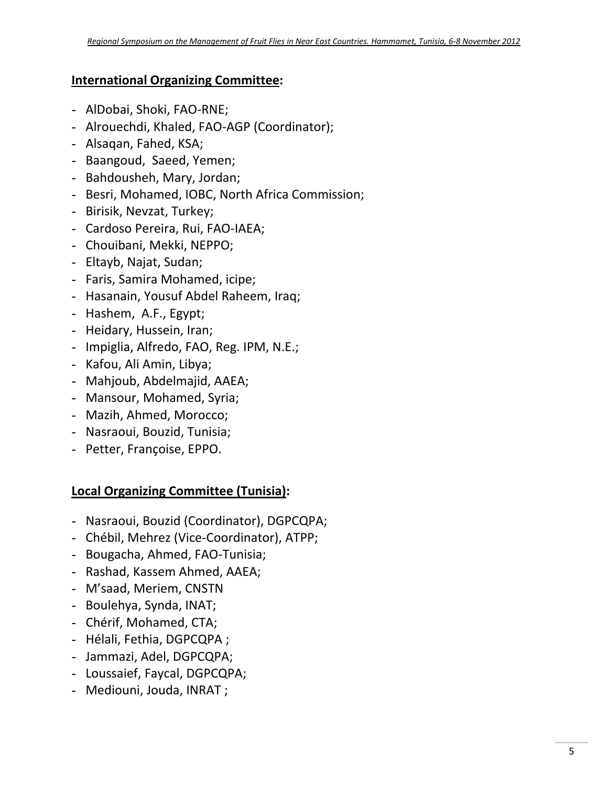# **International Organizing Committee:**

- AlDobai, Shoki, FAO‐RNE;
- Alrouechdi, Khaled, FAO‐AGP (Coordinator);
- Alsaqan, Fahed, KSA;
- Baangoud, Saeed, Yemen;
- Bahdousheh, Mary, Jordan;
- Besri, Mohamed, IOBC, North Africa Commission;
- Birisik, Nevzat, Turkey;
- Cardoso Pereira, Rui, FAO‐IAEA;
- Chouibani, Mekki, NEPPO;
- Eltayb, Najat, Sudan;
- Faris, Samira Mohamed, icipe;
- Hasanain, Yousuf Abdel Raheem, Iraq;
- Hashem, A.F., Egypt;
- Heidary, Hussein, Iran;
- Impiglia, Alfredo, FAO, Reg. IPM, N.E.;
- Kafou, Ali Amin, Libya;
- Mahjoub, Abdelmajid, AAEA;
- Mansour, Mohamed, Syria;
- Mazih, Ahmed, Morocco;
- Nasraoui, Bouzid, Tunisia;
- Petter, Françoise, EPPO.

# **Local Organizing Committee (Tunisia):**

- Nasraoui, Bouzid (Coordinator), DGPCQPA;
- Chébil, Mehrez (Vice‐Coordinator), ATPP;
- Bougacha, Ahmed, FAO‐Tunisia;
- Rashad, Kassem Ahmed, AAEA;
- M'saad, Meriem, CNSTN
- Boulehya, Synda, INAT;
- Chérif, Mohamed, CTA;
- Hélali, Fethia, DGPCQPA ;
- Jammazi, Adel, DGPCQPA;
- Loussaief, Faycal, DGPCQPA;
- Mediouni, Jouda, INRAT ;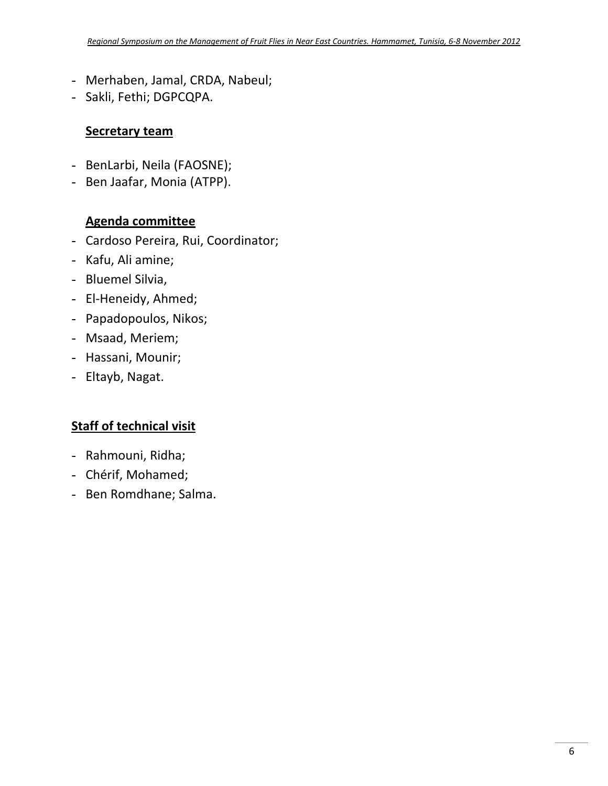- Merhaben, Jamal, CRDA, Nabeul;
- Sakli, Fethi; DGPCQPA.

## **Secretary team**

- BenLarbi, Neila (FAOSNE);
- Ben Jaafar, Monia (ATPP).

# **Agenda committee**

- Cardoso Pereira, Rui, Coordinator;
- Kafu, Ali amine;
- Bluemel Silvia,
- El‐Heneidy, Ahmed;
- Papadopoulos, Nikos;
- Msaad, Meriem;
- Hassani, Mounir;
- Eltayb, Nagat.

# **Staff of technical visit**

- Rahmouni, Ridha;
- Chérif, Mohamed;
- Ben Romdhane; Salma.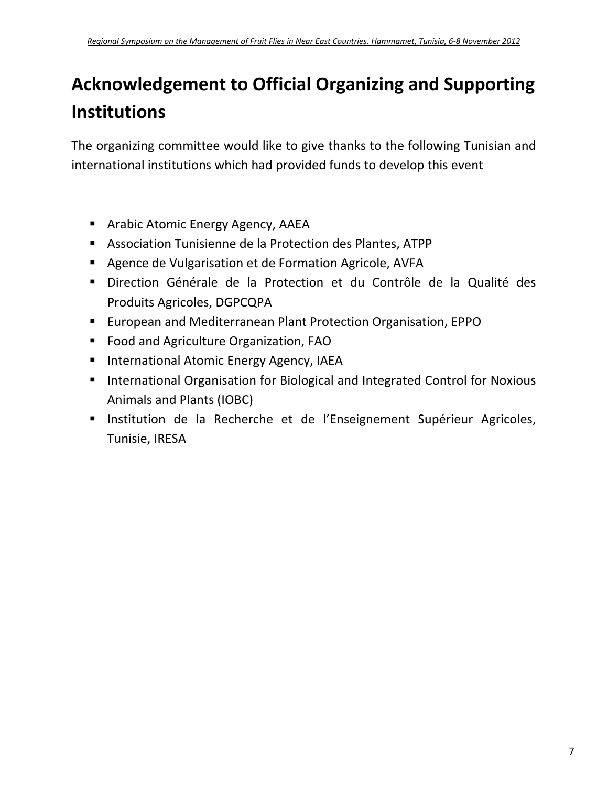# **Acknowledgement to Official Organizing and Supporting Institutions**

The organizing committee would like to give thanks to the following Tunisian and international institutions which had provided funds to develop this event

- **E** Arabic Atomic Energy Agency, AAEA
- Association Tunisienne de la Protection des Plantes, ATPP
- **Agence de Vulgarisation et de Formation Agricole, AVFA**
- Direction Générale de la Protection et du Contrôle de la Qualité des Produits Agricoles, DGPCQPA
- European and Mediterranean Plant Protection Organisation, EPPO
- **Food and Agriculture Organization, FAO**
- **International Atomic Energy Agency, IAEA**
- **International Organisation for Biological and Integrated Control for Noxious** Animals and Plants (IOBC)
- **Institution de la Recherche et de l'Enseignement Supérieur Agricoles,** Tunisie, IRESA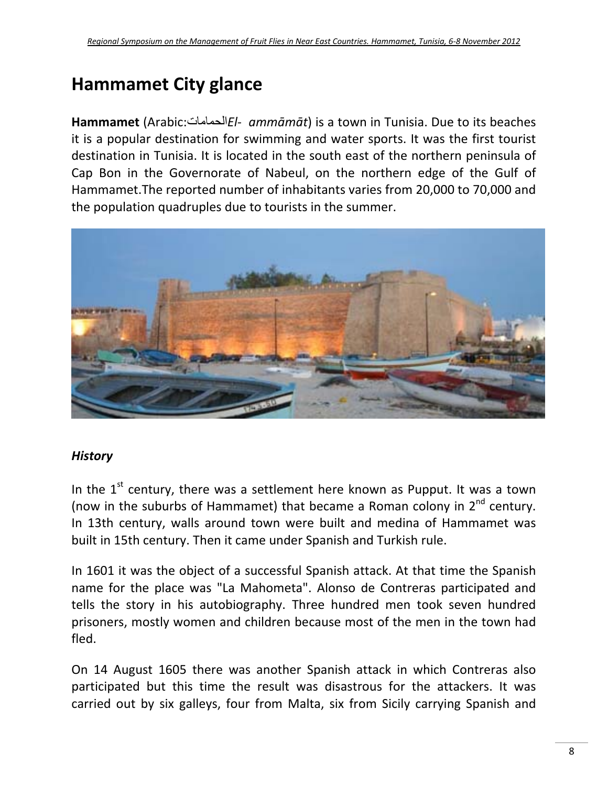# **Hammamet City glance**

**Hammamet** (Arabic:الحمامات*El‐ammāmāt*) is a town in Tunisia. Due to its beaches it is a popular destination for swimming and water sports. It was the first tourist destination in Tunisia. It is located in the south east of the northern peninsula of Cap Bon in the Governorate of Nabeul, on the northern edge of the Gulf of Hammamet.The reported number of inhabitants varies from 20,000 to 70,000 and the population quadruples due to tourists in the summer.



# *History*

In the  $1<sup>st</sup>$  century, there was a settlement here known as Pupput. It was a town (now in the suburbs of Hammamet) that became a Roman colony in  $2^{nd}$  century. In 13th century, walls around town were built and medina of Hammamet was built in 15th century. Then it came under Spanish and Turkish rule.

In 1601 it was the object of a successful Spanish attack. At that time the Spanish name for the place was "La Mahometa". Alonso de Contreras participated and tells the story in his autobiography. Three hundred men took seven hundred prisoners, mostly women and children because most of the men in the town had fled.

On 14 August 1605 there was another Spanish attack in which Contreras also participated but this time the result was disastrous for the attackers. It was carried out by six galleys, four from Malta, six from Sicily carrying Spanish and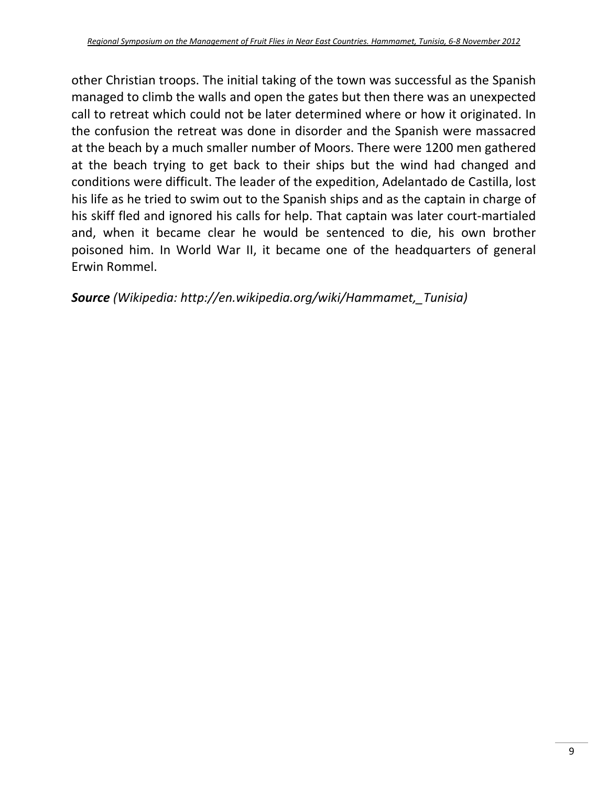other Christian troops. The initial taking of the town was successful as the Spanish managed to climb the walls and open the gates but then there was an unexpected call to retreat which could not be later determined where or how it originated. In the confusion the retreat was done in disorder and the Spanish were massacred at the beach by a much smaller number of Moors. There were 1200 men gathered at the beach trying to get back to their ships but the wind had changed and conditions were difficult. The leader of the expedition, Adelantado de Castilla, lost his life as he tried to swim out to the Spanish ships and as the captain in charge of his skiff fled and ignored his calls for help. That captain was later court-martialed and, when it became clear he would be sentenced to die, his own brother poisoned him. In World War II, it became one of the headquarters of general Erwin Rommel.

*Source (Wikipedia: http://en.wikipedia.org/wiki/Hammamet,\_Tunisia)*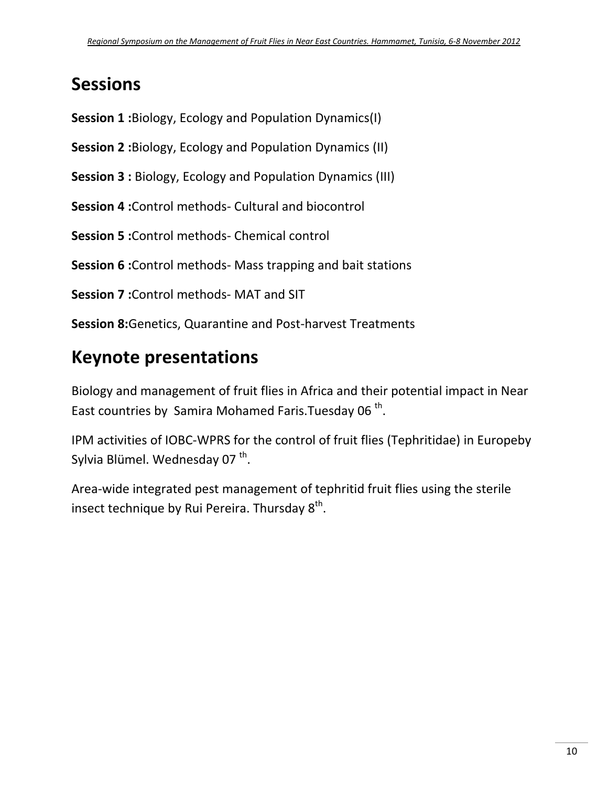# **Sessions**

**Session 1 :**Biology, Ecology and Population Dynamics(I)

**Session 2 :**Biology, Ecology and Population Dynamics (II)

**Session 3 :** Biology, Ecology and Population Dynamics (III)

**Session 4 :**Control methods‐ Cultural and biocontrol

**Session 5 :**Control methods‐ Chemical control

**Session 6 :**Control methods‐ Mass trapping and bait stations

**Session 7 :**Control methods‐ MAT and SIT

**Session 8:**Genetics, Quarantine and Post‐harvest Treatments

# **Keynote presentations**

Biology and management of fruit flies in Africa and their potential impact in Near East countries by Samira Mohamed Faris. Tuesday 06<sup>th</sup>.

IPM activities of IOBC‐WPRS for the control of fruit flies (Tephritidae) in Europeby Sylvia Blümel. Wednesday 07<sup>th</sup>.

Area‐wide integrated pest management of tephritid fruit flies using the sterile insect technique by Rui Pereira. Thursday  $8<sup>th</sup>$ .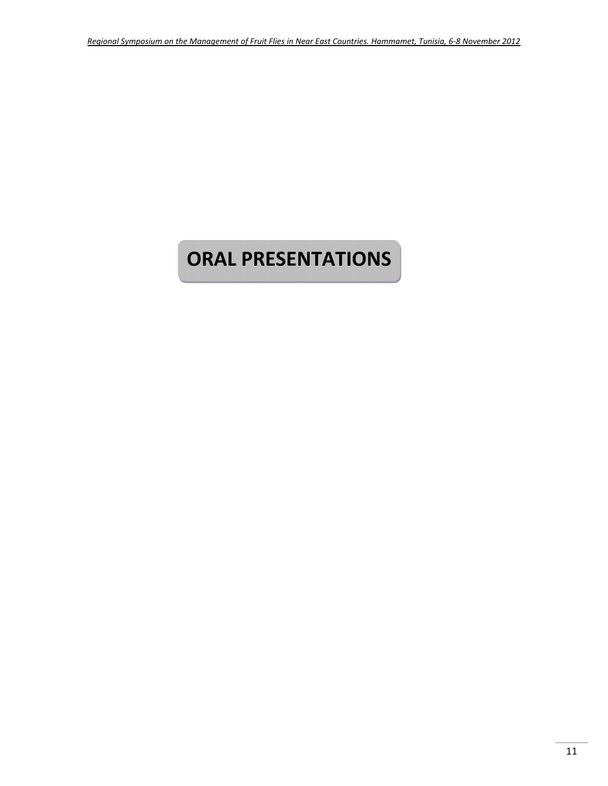# **ORAL PRESENTATIONS**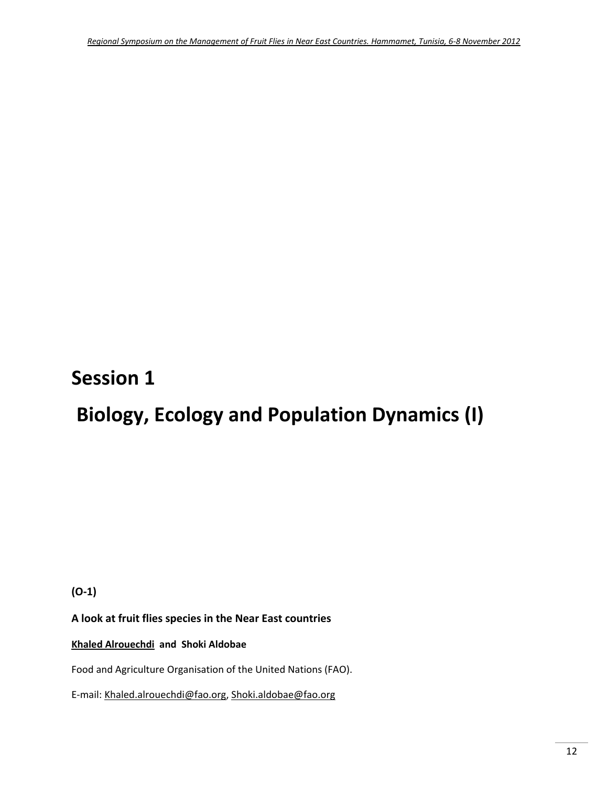# **Session 1**

# **Biology, Ecology and Population Dynamics (I)**

**(O‐1)**

**A look at fruit flies species in the Near East countries**

### **Khaled Alrouechdi and Shoki Aldobae**

Food and Agriculture Organisation of the United Nations (FAO).

E‐mail: Khaled.alrouechdi@fao.org, Shoki.aldobae@fao.org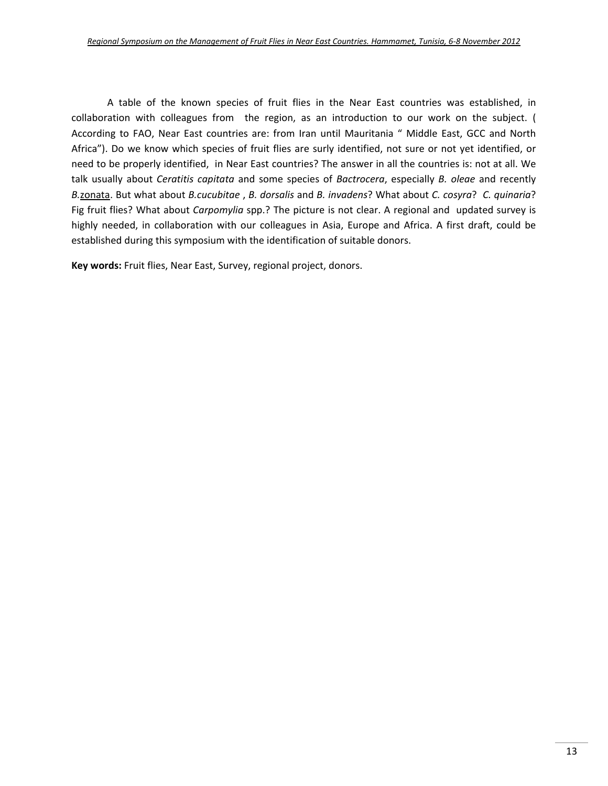A table of the known species of fruit flies in the Near East countries was established, in collaboration with colleagues from the region, as an introduction to our work on the subject. ( According to FAO, Near East countries are: from Iran until Mauritania " Middle East, GCC and North Africa"). Do we know which species of fruit flies are surly identified, not sure or not yet identified, or need to be properly identified, in Near East countries? The answer in all the countries is: not at all. We talk usually about *Ceratitis capitata* and some species of *Bactrocera*, especially *B. oleae* and recently *B.*zonata. But what about *B.cucubitae* , *B. dorsalis* and *B. invadens*? What about *C. cosyra*? *C. quinaria*? Fig fruit flies? What about *Carpomylia* spp.? The picture is not clear. A regional and updated survey is highly needed, in collaboration with our colleagues in Asia, Europe and Africa. A first draft, could be established during this symposium with the identification of suitable donors.

**Key words:** Fruit flies, Near East, Survey, regional project, donors.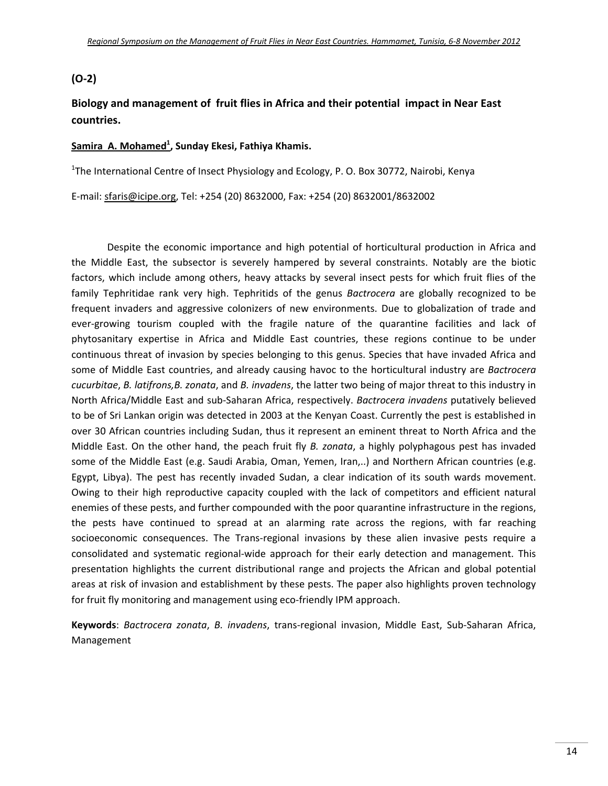#### **(O‐2)**

## **Biology and management of fruit flies in Africa and their potential impact in Near East countries.**

#### **Samira A. Mohamed1 , Sunday Ekesi, Fathiya Khamis.**

<sup>1</sup>The International Centre of Insect Physiology and Ecology, P. O. Box 30772, Nairobi, Kenya

E‐mail: sfaris@icipe.org, Tel: +254 (20) 8632000, Fax: +254 (20) 8632001/8632002

Despite the economic importance and high potential of horticultural production in Africa and the Middle East, the subsector is severely hampered by several constraints. Notably are the biotic factors, which include among others, heavy attacks by several insect pests for which fruit flies of the family Tephritidae rank very high. Tephritids of the genus *Bactrocera* are globally recognized to be frequent invaders and aggressive colonizers of new environments. Due to globalization of trade and ever-growing tourism coupled with the fragile nature of the quarantine facilities and lack of phytosanitary expertise in Africa and Middle East countries, these regions continue to be under continuous threat of invasion by species belonging to this genus. Species that have invaded Africa and some of Middle East countries, and already causing havoc to the horticultural industry are *Bactrocera cucurbitae*, *B. latifrons,B. zonata*, and *B. invadens*, the latter two being of major threat to this industry in North Africa/Middle East and sub‐Saharan Africa, respectively. *Bactrocera invadens* putatively believed to be of Sri Lankan origin was detected in 2003 at the Kenyan Coast. Currently the pest is established in over 30 African countries including Sudan, thus it represent an eminent threat to North Africa and the Middle East. On the other hand, the peach fruit fly *B. zonata*, a highly polyphagous pest has invaded some of the Middle East (e.g. Saudi Arabia, Oman, Yemen, Iran,..) and Northern African countries (e.g. Egypt, Libya). The pest has recently invaded Sudan, a clear indication of its south wards movement. Owing to their high reproductive capacity coupled with the lack of competitors and efficient natural enemies of these pests, and further compounded with the poor quarantine infrastructure in the regions, the pests have continued to spread at an alarming rate across the regions, with far reaching socioeconomic consequences. The Trans-regional invasions by these alien invasive pests require a consolidated and systematic regional‐wide approach for their early detection and management. This presentation highlights the current distributional range and projects the African and global potential areas at risk of invasion and establishment by these pests. The paper also highlights proven technology for fruit fly monitoring and management using eco-friendly IPM approach.

**Keywords**: *Bactrocera zonata*, *B. invadens*, trans‐regional invasion, Middle East, Sub‐Saharan Africa, Management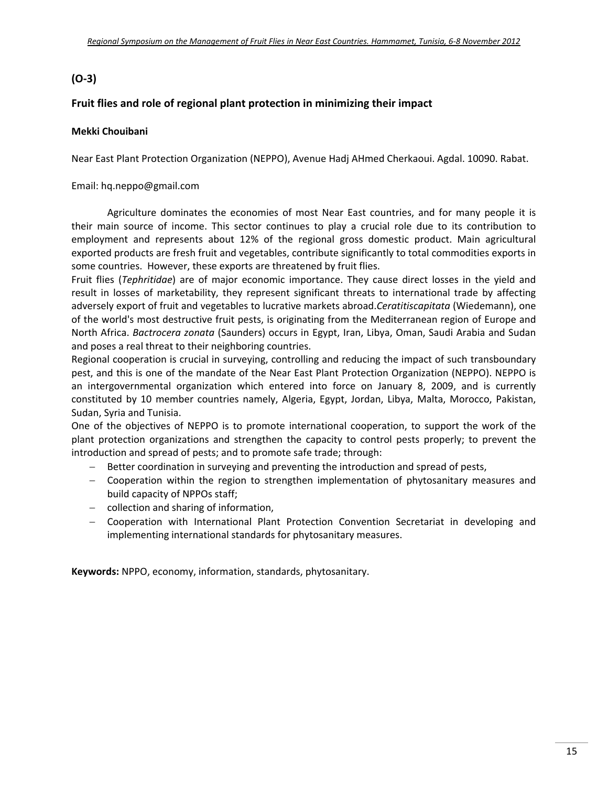# **(O‐3)**

#### **Fruit flies and role of regional plant protection in minimizing their impact**

#### **Mekki Chouibani**

Near East Plant Protection Organization (NEPPO), Avenue Hadj AHmed Cherkaoui. Agdal. 10090. Rabat.

#### Email: hq.neppo@gmail.com

Agriculture dominates the economies of most Near East countries, and for many people it is their main source of income. This sector continues to play a crucial role due to its contribution to employment and represents about 12% of the regional gross domestic product. Main agricultural exported products are fresh fruit and vegetables, contribute significantly to total commodities exports in some countries. However, these exports are threatened by fruit flies.

Fruit flies (*Tephritidae*) are of major economic importance. They cause direct losses in the yield and result in losses of marketability, they represent significant threats to international trade by affecting adversely export of fruit and vegetables to lucrative markets abroad.*Ceratitiscapitata* (Wiedemann), one of the world's most destructive fruit pests, is originating from the Mediterranean region of Europe and North Africa. *Bactrocera zonata* (Saunders) occurs in Egypt, Iran, Libya, Oman, Saudi Arabia and Sudan and poses a real threat to their neighboring countries.

Regional cooperation is crucial in surveying, controlling and reducing the impact of such transboundary pest, and this is one of the mandate of the Near East Plant Protection Organization (NEPPO). NEPPO is an intergovernmental organization which entered into force on January 8, 2009, and is currently constituted by 10 member countries namely, Algeria, Egypt, Jordan, Libya, Malta, Morocco, Pakistan, Sudan, Syria and Tunisia.

One of the objectives of NEPPO is to promote international cooperation, to support the work of the plant protection organizations and strengthen the capacity to control pests properly; to prevent the introduction and spread of pests; and to promote safe trade; through:

- Better coordination in surveying and preventing the introduction and spread of pests,
- Cooperation within the region to strengthen implementation of phytosanitary measures and build capacity of NPPOs staff;
- collection and sharing of information,
- Cooperation with International Plant Protection Convention Secretariat in developing and implementing international standards for phytosanitary measures.

**Keywords:** NPPO, economy, information, standards, phytosanitary.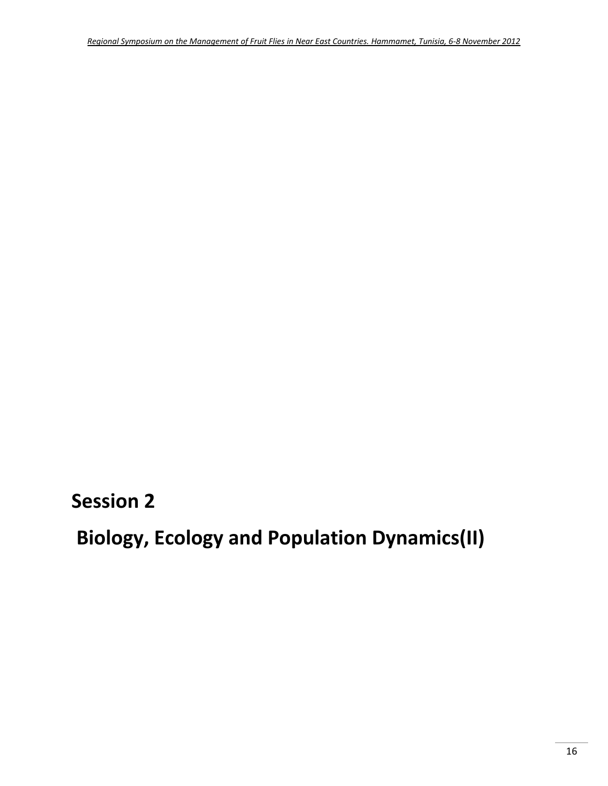**Session 2**

**Biology, Ecology and Population Dynamics(II)**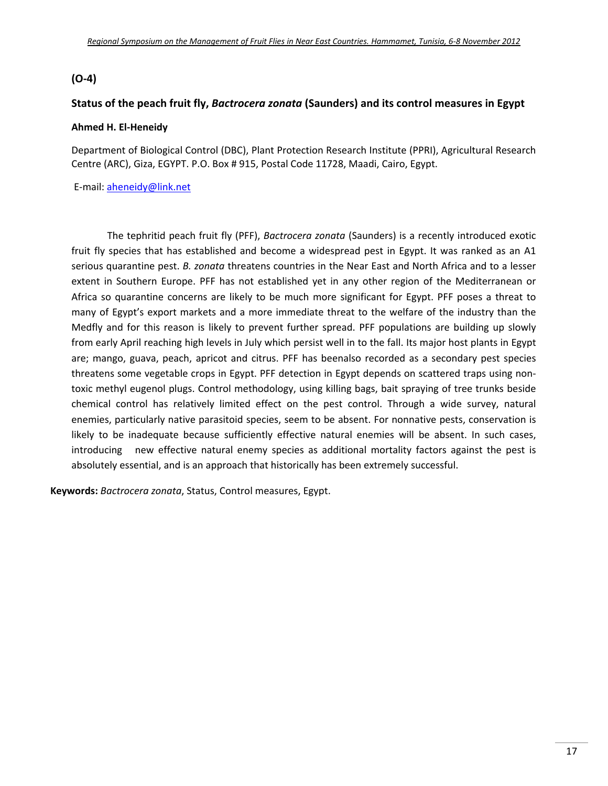## **(O‐4)**

#### **Status of the peach fruit fly,** *Bactrocera zonata* **(Saunders) and its control measures in Egypt**

#### **Ahmed H. El‐Heneidy**

Department of Biological Control (DBC), Plant Protection Research Institute (PPRI), Agricultural Research Centre (ARC), Giza, EGYPT. P.O. Box # 915, Postal Code 11728, Maadi, Cairo, Egypt.

E‐mail: aheneidy@link.net

The tephritid peach fruit fly (PFF), *Bactrocera zonata* (Saunders) is a recently introduced exotic fruit fly species that has established and become a widespread pest in Egypt. It was ranked as an A1 serious quarantine pest. *B. zonata* threatens countries in the Near East and North Africa and to a lesser extent in Southern Europe. PFF has not established yet in any other region of the Mediterranean or Africa so quarantine concerns are likely to be much more significant for Egypt. PFF poses a threat to many of Egypt's export markets and a more immediate threat to the welfare of the industry than the Medfly and for this reason is likely to prevent further spread. PFF populations are building up slowly from early April reaching high levels in July which persist well in to the fall. Its major host plants in Egypt are; mango, guava, peach, apricot and citrus. PFF has beenalso recorded as a secondary pest species threatens some vegetable crops in Egypt. PFF detection in Egypt depends on scattered traps using non‐ toxic methyl eugenol plugs. Control methodology, using killing bags, bait spraying of tree trunks beside chemical control has relatively limited effect on the pest control. Through a wide survey, natural enemies, particularly native parasitoid species, seem to be absent. For nonnative pests, conservation is likely to be inadequate because sufficiently effective natural enemies will be absent. In such cases, introducing new effective natural enemy species as additional mortality factors against the pest is absolutely essential, and is an approach that historically has been extremely successful.

**Keywords:** *Bactrocera zonata*, Status, Control measures, Egypt.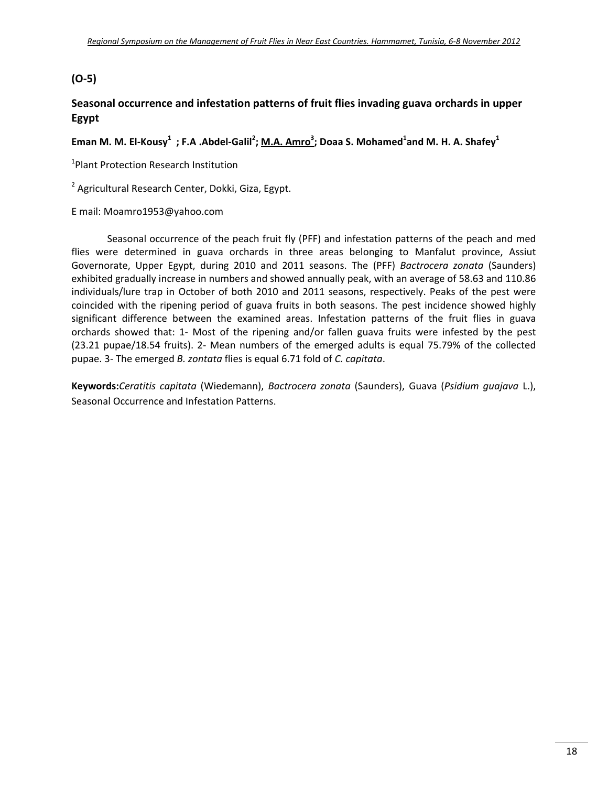## **(O‐5)**

## **Seasonal occurrence and infestation patterns of fruit flies invading guava orchards in upper Egypt**

### Eman M. M. El-Kousy $^1\,$  ; F.A .Abdel-Galil $^2$ ; <u>M.A. Amro $^3$ </u>; Doaa S. Mohamed $^1$ and M. H. A. Shafey $^1$

1 Plant Protection Research Institution

<sup>2</sup> Agricultural Research Center, Dokki, Giza, Egypt.

#### E mail: Moamro1953@yahoo.com

Seasonal occurrence of the peach fruit fly (PFF) and infestation patterns of the peach and med flies were determined in guava orchards in three areas belonging to Manfalut province, Assiut Governorate, Upper Egypt, during 2010 and 2011 seasons. The (PFF) *Bactrocera zonata* (Saunders) exhibited gradually increase in numbers and showed annually peak, with an average of 58.63 and 110.86 individuals/lure trap in October of both 2010 and 2011 seasons, respectively. Peaks of the pest were coincided with the ripening period of guava fruits in both seasons. The pest incidence showed highly significant difference between the examined areas. Infestation patterns of the fruit flies in guava orchards showed that: 1‐ Most of the ripening and/or fallen guava fruits were infested by the pest (23.21 pupae/18.54 fruits). 2‐ Mean numbers of the emerged adults is equal 75.79% of the collected pupae. 3‐ The emerged *B. zontata* flies is equal 6.71 fold of *C. capitata*.

**Keywords:***Ceratitis capitata* (Wiedemann), *Bactrocera zonata* (Saunders), Guava (*Psidium guajava* L.), Seasonal Occurrence and Infestation Patterns.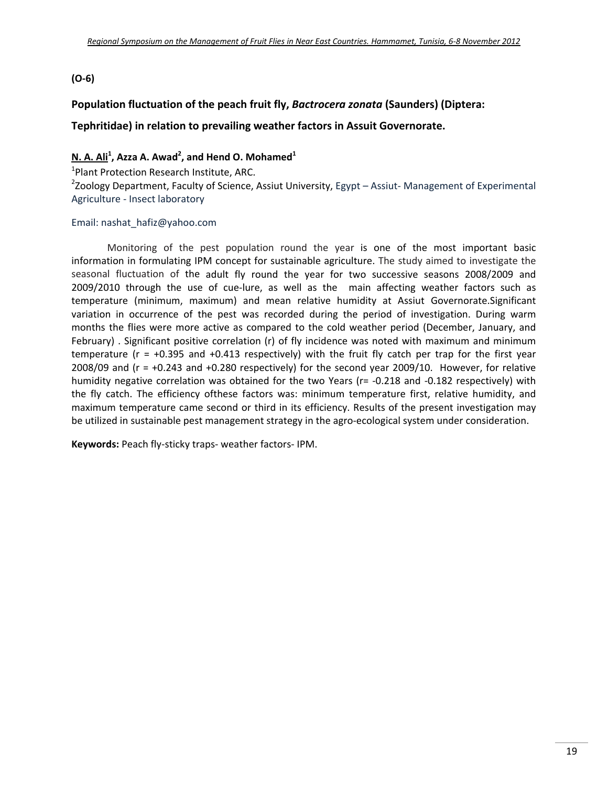#### **(O‐6)**

#### **Population fluctuation of the peach fruit fly,** *Bactrocera zonata* **(Saunders) (Diptera:**

#### **Tephritidae) in relation to prevailing weather factors in Assuit Governorate.**

#### **N. A. Ali1 , Azza A. Awad<sup>2</sup> , and Hend O. Mohamed<sup>1</sup>**

<sup>1</sup>Plant Protection Research Institute, ARC.

2 Zoology Department, Faculty of Science, Assiut University, Egypt – Assiut‐ Management of Experimental Agriculture ‐ Insect laboratory

#### Email: nashat\_hafiz@yahoo.com

Monitoring of the pest population round the year is one of the most important basic information in formulating IPM concept for sustainable agriculture. The study aimed to investigate the seasonal fluctuation of the adult fly round the year for two successive seasons 2008/2009 and 2009/2010 through the use of cue-lure, as well as the main affecting weather factors such as temperature (minimum, maximum) and mean relative humidity at Assiut Governorate.Significant variation in occurrence of the pest was recorded during the period of investigation. During warm months the flies were more active as compared to the cold weather period (December, January, and February) . Significant positive correlation (r) of fly incidence was noted with maximum and minimum temperature (r = +0.395 and +0.413 respectively) with the fruit fly catch per trap for the first year 2008/09 and ( $r = +0.243$  and  $+0.280$  respectively) for the second year 2009/10. However, for relative humidity negative correlation was obtained for the two Years (r= -0.218 and -0.182 respectively) with the fly catch. The efficiency ofthese factors was: minimum temperature first, relative humidity, and maximum temperature came second or third in its efficiency. Results of the present investigation may be utilized in sustainable pest management strategy in the agro-ecological system under consideration.

**Keywords:** Peach fly‐sticky traps‐ weather factors‐ IPM.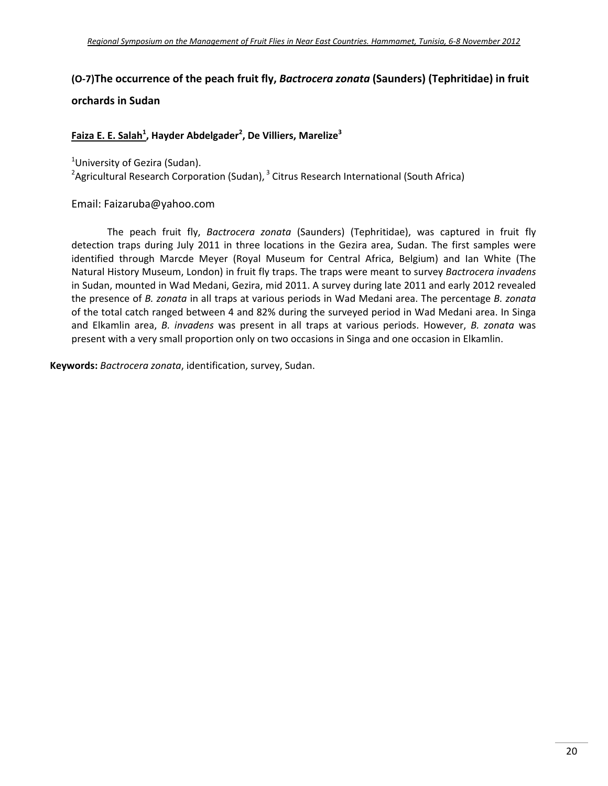# **(O‐7)The occurrence of the peach fruit fly,** *Bactrocera zonata* **(Saunders) (Tephritidae) in fruit**

### **orchards in Sudan**

#### **Faiza E. E. Salah1 , Hayder Abdelgader<sup>2</sup> , De Villiers, Marelize<sup>3</sup>**

<sup>1</sup>University of Gezira (Sudan).

<sup>2</sup>Agricultural Research Corporation (Sudan), <sup>3</sup> Citrus Research International (South Africa)

Email: Faizaruba@yahoo.com

The peach fruit fly, *Bactrocera zonata* (Saunders) (Tephritidae), was captured in fruit fly detection traps during July 2011 in three locations in the Gezira area, Sudan. The first samples were identified through Marcde Meyer (Royal Museum for Central Africa, Belgium) and Ian White (The Natural History Museum, London) in fruit fly traps. The traps were meant to survey *Bactrocera invadens* in Sudan, mounted in Wad Medani, Gezira, mid 2011. A survey during late 2011 and early 2012 revealed the presence of *B. zonata* in all traps at various periods in Wad Medani area. The percentage *B. zonata* of the total catch ranged between 4 and 82% during the surveyed period in Wad Medani area. In Singa and Elkamlin area, *B. invadens* was present in all traps at various periods. However, *B. zonata* was present with a very small proportion only on two occasions in Singa and one occasion in Elkamlin.

**Keywords:** *Bactrocera zonata*, identification, survey, Sudan.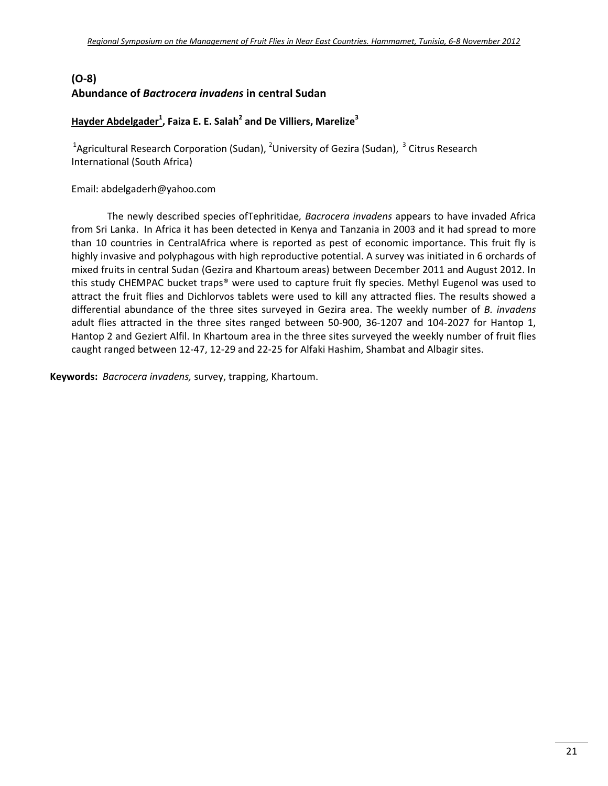# **(O-8) Abundance of** *Bactrocera invadens* **in central Sudan**

### **Hayder Abdelgader** $^1$ **, Faiza E. E. Salah<sup>2</sup> and De Villiers, Marelize<sup>3</sup>**

<sup>1</sup>Agricultural Research Corporation (Sudan), <sup>2</sup>University of Gezira (Sudan), <sup>3</sup> Citrus Research International (South Africa)

Email: abdelgaderh@yahoo.com

The newly described species ofTephritidae*, Bacrocera invadens* appears to have invaded Africa from Sri Lanka. In Africa it has been detected in Kenya and Tanzania in 2003 and it had spread to more than 10 countries in CentralAfrica where is reported as pest of economic importance. This fruit fly is highly invasive and polyphagous with high reproductive potential. A survey was initiated in 6 orchards of mixed fruits in central Sudan (Gezira and Khartoum areas) between December 2011 and August 2012. In this study CHEMPAC bucket traps® were used to capture fruit fly species. Methyl Eugenol was used to attract the fruit flies and Dichlorvos tablets were used to kill any attracted flies. The results showed a differential abundance of the three sites surveyed in Gezira area. The weekly number of *B. invadens* adult flies attracted in the three sites ranged between 50-900, 36-1207 and 104-2027 for Hantop 1, Hantop 2 and Geziert Alfil. In Khartoum area in the three sites surveyed the weekly number of fruit flies caught ranged between 12‐47, 12‐29 and 22‐25 for Alfaki Hashim, Shambat and Albagir sites.

**Keywords:** *Bacrocera invadens,* survey, trapping, Khartoum.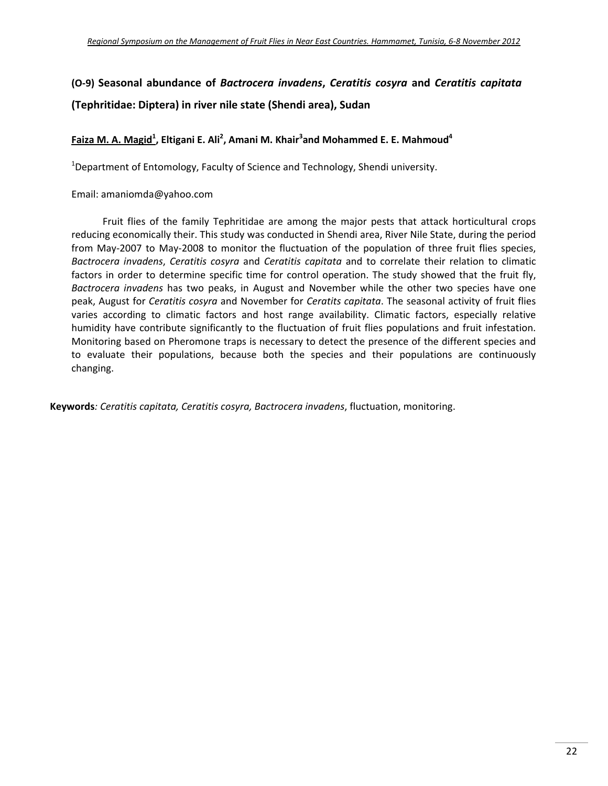# **(O‐9) Seasonal abundance of** *Bactrocera invadens***,** *Ceratitis cosyra* **and** *Ceratitis capitata* **(Tephritidae: Diptera) in river nile state (Shendi area), Sudan**

#### **Faiza M. A. Magid1 , Eltigani E. Ali2 , Amani M. Khair<sup>3</sup> and Mohammed E. E. Mahmoud4**

<sup>1</sup>Department of Entomology, Faculty of Science and Technology, Shendi university.

Email: amaniomda@yahoo.com

Fruit flies of the family Tephritidae are among the major pests that attack horticultural crops reducing economically their. This study was conducted in Shendi area, River Nile State, during the period from May‐2007 to May‐2008 to monitor the fluctuation of the population of three fruit flies species, *Bactrocera invadens*, *Ceratitis cosyra* and *Ceratitis capitata* and to correlate their relation to climatic factors in order to determine specific time for control operation. The study showed that the fruit fly, *Bactrocera invadens* has two peaks, in August and November while the other two species have one peak, August for *Ceratitis cosyra* and November for *Ceratits capitata*. The seasonal activity of fruit flies varies according to climatic factors and host range availability. Climatic factors, especially relative humidity have contribute significantly to the fluctuation of fruit flies populations and fruit infestation. Monitoring based on Pheromone traps is necessary to detect the presence of the different species and to evaluate their populations, because both the species and their populations are continuously changing.

**Keywords***: Ceratitis capitata, Ceratitis cosyra, Bactrocera invadens*, fluctuation, monitoring.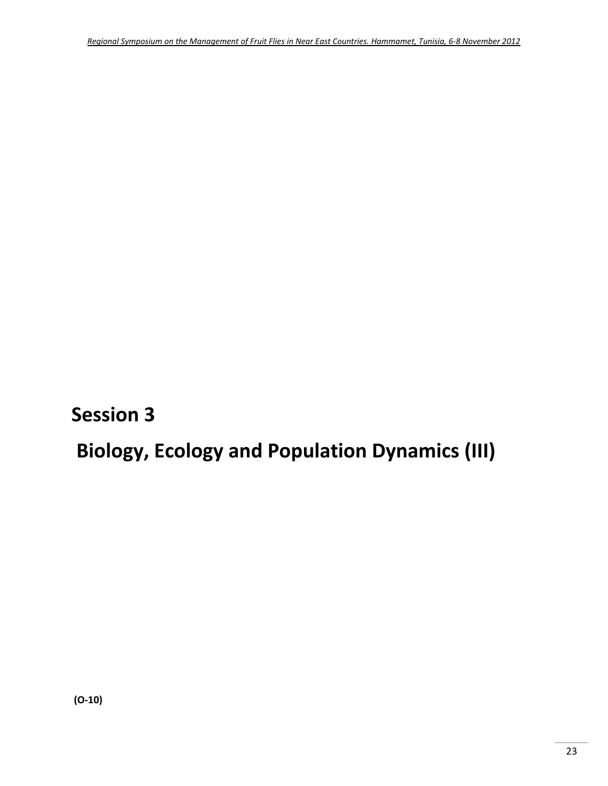**Session 3**

# **Biology, Ecology and Population Dynamics (III)**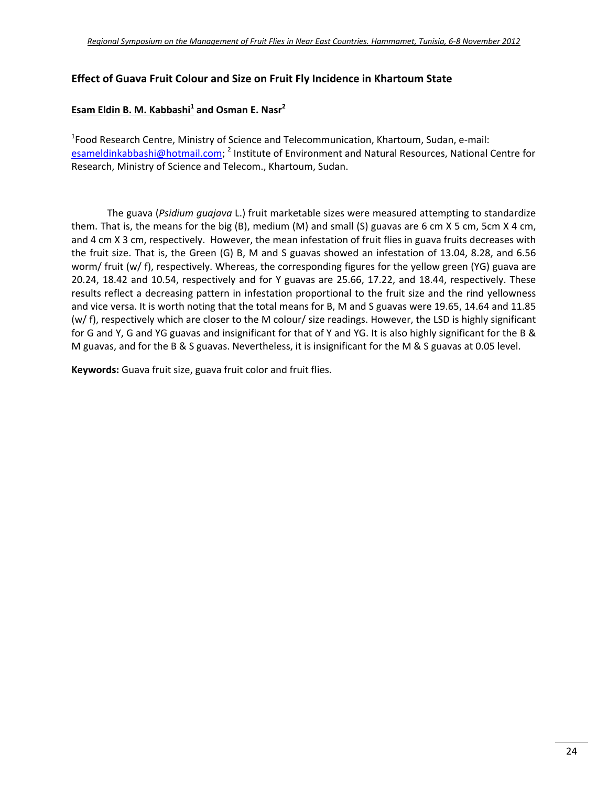#### **Effect of Guava Fruit Colour and Size on Fruit Fly Incidence in Khartoum State**

#### **Esam Eldin B. M. Kabbashi<sup>1</sup> and Osman E. Nasr<sup>2</sup>**

1 Food Research Centre, Ministry of Science and Telecommunication, Khartoum, Sudan, e‐mail: esameldinkabbashi@hotmail.com; <sup>2</sup> Institute of Environment and Natural Resources, National Centre for Research, Ministry of Science and Telecom., Khartoum, Sudan.

The guava (*Psidium guajava* L.) fruit marketable sizes were measured attempting to standardize them. That is, the means for the big (B), medium (M) and small (S) guavas are 6 cm X 5 cm, 5cm X 4 cm, and 4 cm X 3 cm, respectively. However, the mean infestation of fruit flies in guava fruits decreases with the fruit size. That is, the Green (G) B, M and S guavas showed an infestation of 13.04, 8.28, and 6.56 worm/ fruit (w/ f), respectively. Whereas, the corresponding figures for the yellow green (YG) guava are 20.24, 18.42 and 10.54, respectively and for Y guavas are 25.66, 17.22, and 18.44, respectively. These results reflect a decreasing pattern in infestation proportional to the fruit size and the rind yellowness and vice versa. It is worth noting that the total means for B, M and S guavas were 19.65, 14.64 and 11.85 (w/ f), respectively which are closer to the M colour/ size readings. However, the LSD is highly significant for G and Y, G and YG guavas and insignificant for that of Y and YG. It is also highly significant for the B & M guavas, and for the B & S guavas. Nevertheless, it is insignificant for the M & S guavas at 0.05 level.

**Keywords:** Guava fruit size, guava fruit color and fruit flies.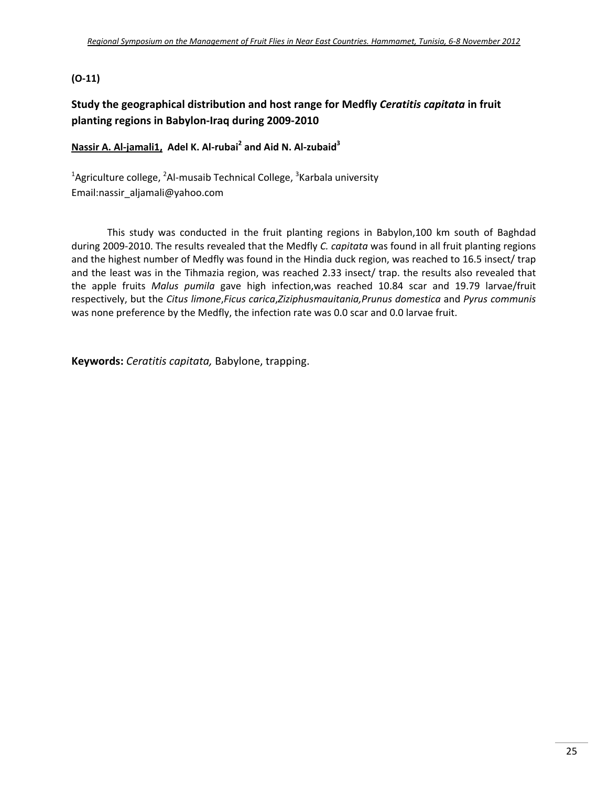#### **(O‐11)**

## **Study the geographical distribution and host range for Medfly** *Ceratitis capitata* **in fruit planting regions in Babylon‐Iraq during 2009‐2010**

#### **Nassir A. Al‐jamali1, Adel K. Al‐rubai2 and Aid N. Al‐zubaid3**

<sup>1</sup>Agriculture college, <sup>2</sup>Al-musaib Technical College, <sup>3</sup>Karbala university Email:nassir\_aljamali@yahoo.com

This study was conducted in the fruit planting regions in Babylon,100 km south of Baghdad during 2009‐2010. The results revealed that the Medfly *C. capitata* was found in all fruit planting regions and the highest number of Medfly was found in the Hindia duck region, was reached to 16.5 insect/ trap and the least was in the Tihmazia region, was reached 2.33 insect/ trap. the results also revealed that the apple fruits *Malus pumila* gave high infection,was reached 10.84 scar and 19.79 larvae/fruit respectively, but the *Citus limone*,*Ficus carica*,*Ziziphusmauitania,Prunus domestica* and *Pyrus communis* was none preference by the Medfly, the infection rate was 0.0 scar and 0.0 larvae fruit.

**Keywords:** *Ceratitis capitata,* Babylone, trapping.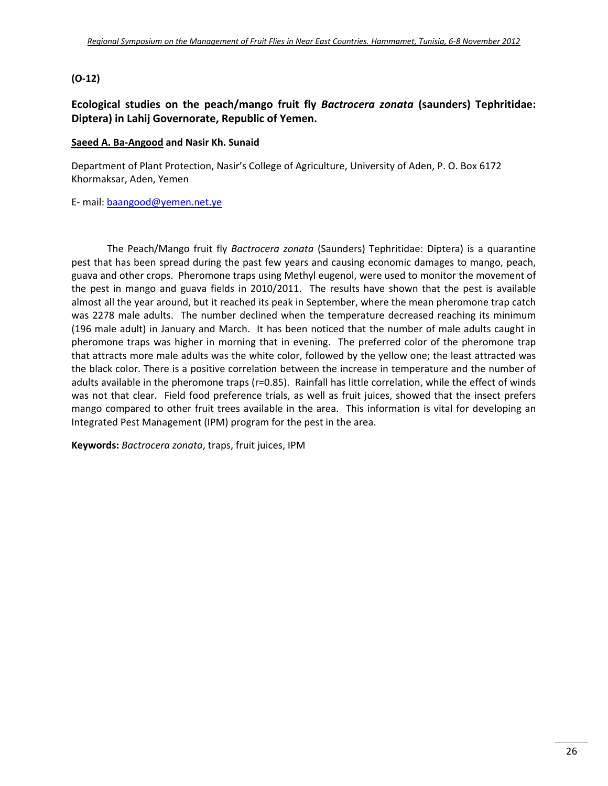#### **(O‐12)**

### **Ecological studies on the peach/mango fruit fly** *Bactrocera zonata* **(saunders) Tephritidae: Diptera) in Lahij Governorate, Republic of Yemen.**

#### **Saeed A. Ba‐Angood and Nasir Kh. Sunaid**

Department of Plant Protection, Nasir's College of Agriculture, University of Aden, P. O. Box 6172 Khormaksar, Aden, Yemen

E‐ mail: baangood@yemen.net.ye

The Peach/Mango fruit fly *Bactrocera zonata* (Saunders) Tephritidae: Diptera) is a quarantine pest that has been spread during the past few years and causing economic damages to mango, peach, guava and other crops. Pheromone traps using Methyl eugenol, were used to monitor the movement of the pest in mango and guava fields in 2010/2011. The results have shown that the pest is available almost all the year around, but it reached its peak in September, where the mean pheromone trap catch was 2278 male adults. The number declined when the temperature decreased reaching its minimum (196 male adult) in January and March. It has been noticed that the number of male adults caught in pheromone traps was higher in morning that in evening. The preferred color of the pheromone trap that attracts more male adults was the white color, followed by the yellow one; the least attracted was the black color. There is a positive correlation between the increase in temperature and the number of adults available in the pheromone traps (r=0.85). Rainfall has little correlation, while the effect of winds was not that clear. Field food preference trials, as well as fruit juices, showed that the insect prefers mango compared to other fruit trees available in the area. This information is vital for developing an Integrated Pest Management (IPM) program for the pest in the area.

**Keywords:** *Bactrocera zonata*, traps, fruit juices, IPM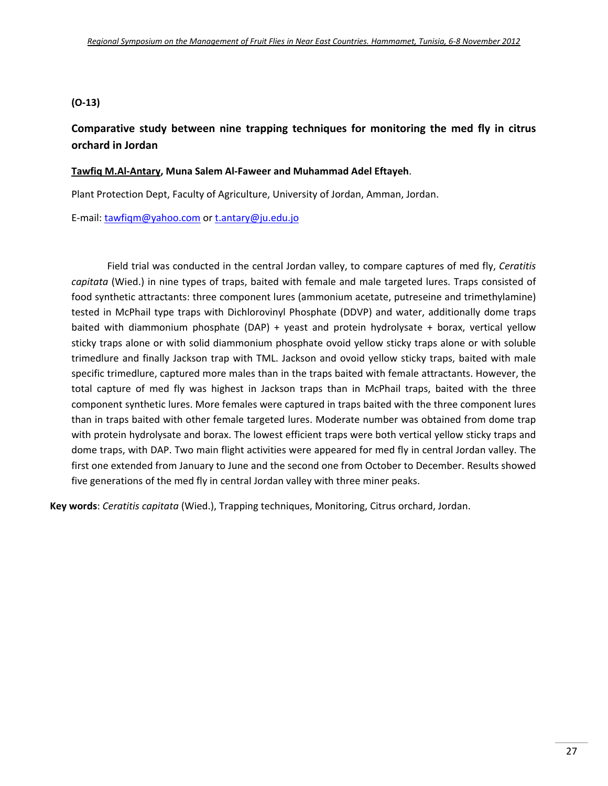#### **(O‐13)**

**Comparative study between nine trapping techniques for monitoring the med fly in citrus orchard in Jordan** 

#### **Tawfiq M.Al‐Antary, Muna Salem Al‐Faweer and Muhammad Adel Eftayeh**.

Plant Protection Dept, Faculty of Agriculture, University of Jordan, Amman, Jordan.

E‐mail: tawfiqm@yahoo.com or t.antary@ju.edu.jo

Field trial was conducted in the central Jordan valley, to compare captures of med fly, *Ceratitis capitata* (Wied.) in nine types of traps, baited with female and male targeted lures. Traps consisted of food synthetic attractants: three component lures (ammonium acetate, putreseine and trimethylamine) tested in McPhail type traps with Dichlorovinyl Phosphate (DDVP) and water, additionally dome traps baited with diammonium phosphate (DAP) + yeast and protein hydrolysate + borax, vertical yellow sticky traps alone or with solid diammonium phosphate ovoid yellow sticky traps alone or with soluble trimedlure and finally Jackson trap with TML. Jackson and ovoid yellow sticky traps, baited with male specific trimedlure, captured more males than in the traps baited with female attractants. However, the total capture of med fly was highest in Jackson traps than in McPhail traps, baited with the three component synthetic lures. More females were captured in traps baited with the three component lures than in traps baited with other female targeted lures. Moderate number was obtained from dome trap with protein hydrolysate and borax. The lowest efficient traps were both vertical yellow sticky traps and dome traps, with DAP. Two main flight activities were appeared for med fly in central Jordan valley. The first one extended from January to June and the second one from October to December. Results showed five generations of the med fly in central Jordan valley with three miner peaks.

**Key words**: *Ceratitis capitata* (Wied.), Trapping techniques, Monitoring, Citrus orchard, Jordan.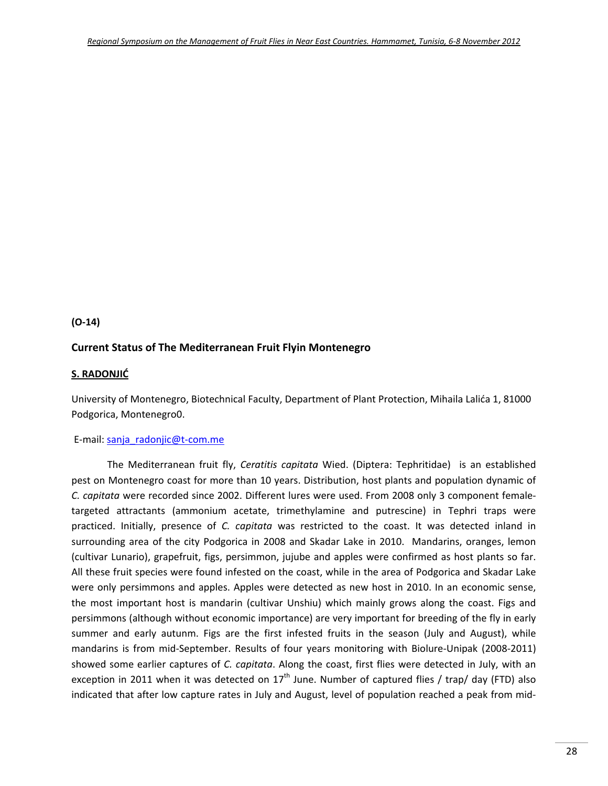#### **(O‐14)**

#### **Current Status of The Mediterranean Fruit Flyin Montenegro**

#### **S. RADONJIĆ**

University of Montenegro, Biotechnical Faculty, Department of Plant Protection, Mihaila Lalića 1, 81000 Podgorica, Montenegro0.

#### E-mail: sanja\_radonjic@t-com.me

The Mediterranean fruit fly, *Ceratitis capitata* Wied. (Diptera: Tephritidae) is an established pest on Montenegro coast for more than 10 years. Distribution, host plants and population dynamic of *C. capitata* were recorded since 2002. Different lures were used. From 2008 only 3 component female‐ targeted attractants (ammonium acetate, trimethylamine and putrescine) in Tephri traps were practiced. Initially, presence of *C. capitata* was restricted to the coast. It was detected inland in surrounding area of the city Podgorica in 2008 and Skadar Lake in 2010. Mandarins, oranges, lemon (cultivar Lunario), grapefruit, figs, persimmon, jujube and apples were confirmed as host plants so far. All these fruit species were found infested on the coast, while in the area of Podgorica and Skadar Lake were only persimmons and apples. Apples were detected as new host in 2010. In an economic sense, the most important host is mandarin (cultivar Unshiu) which mainly grows along the coast. Figs and persimmons (although without economic importance) are very important for breeding of the fly in early summer and early autunm. Figs are the first infested fruits in the season (July and August), while mandarins is from mid-September. Results of four years monitoring with Biolure-Unipak (2008-2011) showed some earlier captures of *C. capitata*. Along the coast, first flies were detected in July, with an exception in 2011 when it was detected on  $17<sup>th</sup>$  June. Number of captured flies / trap/ day (FTD) also indicated that after low capture rates in July and August, level of population reached a peak from mid‐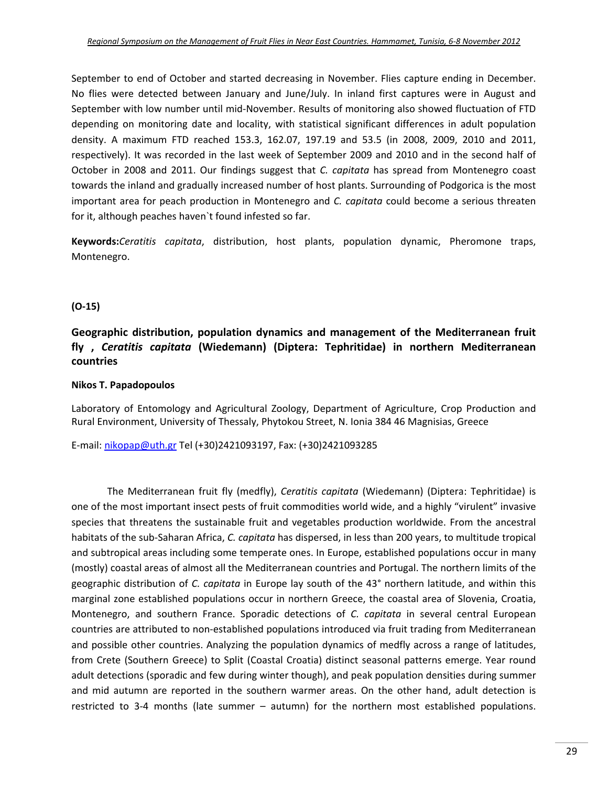September to end of October and started decreasing in November. Flies capture ending in December. No flies were detected between January and June/July. In inland first captures were in August and September with low number until mid‐November. Results of monitoring also showed fluctuation of FTD depending on monitoring date and locality, with statistical significant differences in adult population density. A maximum FTD reached 153.3, 162.07, 197.19 and 53.5 (in 2008, 2009, 2010 and 2011, respectively). It was recorded in the last week of September 2009 and 2010 and in the second half of October in 2008 and 2011. Our findings suggest that *C. capitata* has spread from Montenegro coast towards the inland and gradually increased number of host plants. Surrounding of Podgorica is the most important area for peach production in Montenegro and *C. capitata* could become a serious threaten for it, although peaches haven`t found infested so far.

**Keywords:***Ceratitis capitata*, distribution, host plants, population dynamic, Pheromone traps, Montenegro.

#### **(O‐15)**

### **Geographic distribution, population dynamics and management of the Mediterranean fruit fly ,** *Ceratitis capitata* **(Wiedemann) (Diptera: Tephritidae) in northern Mediterranean countries**

#### **Nikos T. Papadopoulos**

Laboratory of Entomology and Agricultural Zoology, Department of Agriculture, Crop Production and Rural Environment, University of Thessaly, Phytokou Street, N. Ionia 384 46 Magnisias, Greece

E‐mail: nikopap@uth.gr Tel (+30)2421093197, Fax: (+30)2421093285

The Mediterranean fruit fly (medfly), *Ceratitis capitata* (Wiedemann) (Diptera: Tephritidae) is one of the most important insect pests of fruit commodities world wide, and a highly "virulent" invasive species that threatens the sustainable fruit and vegetables production worldwide. From the ancestral habitats of the sub‐Saharan Africa, *C. capitata* has dispersed, in less than 200 years, to multitude tropical and subtropical areas including some temperate ones. In Europe, established populations occur in many (mostly) coastal areas of almost all the Mediterranean countries and Portugal. The northern limits of the geographic distribution of *C. capitata* in Europe lay south of the 43° northern latitude, and within this marginal zone established populations occur in northern Greece, the coastal area of Slovenia, Croatia, Montenegro, and southern France. Sporadic detections of *C. capitata* in several central European countries are attributed to non‐established populations introduced via fruit trading from Mediterranean and possible other countries. Analyzing the population dynamics of medfly across a range of latitudes, from Crete (Southern Greece) to Split (Coastal Croatia) distinct seasonal patterns emerge. Year round adult detections (sporadic and few during winter though), and peak population densities during summer and mid autumn are reported in the southern warmer areas. On the other hand, adult detection is restricted to 3‐4 months (late summer – autumn) for the northern most established populations.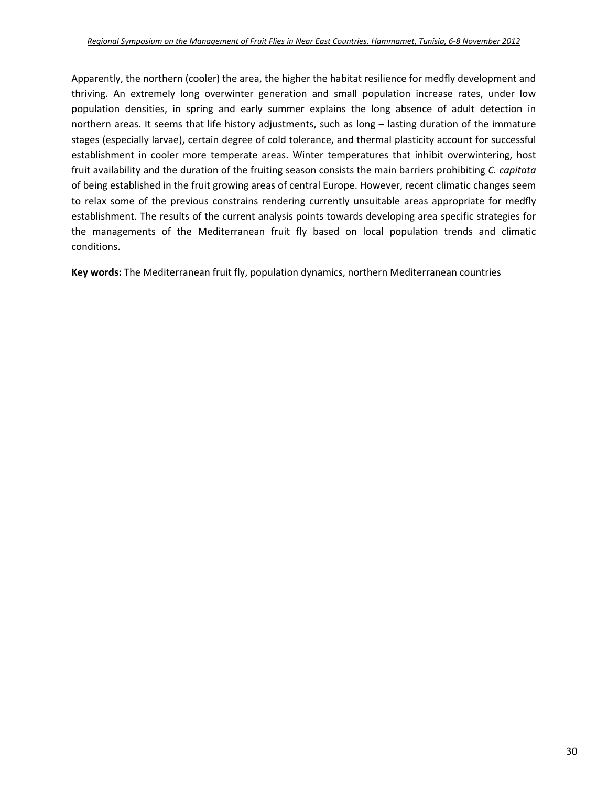Apparently, the northern (cooler) the area, the higher the habitat resilience for medfly development and thriving. An extremely long overwinter generation and small population increase rates, under low population densities, in spring and early summer explains the long absence of adult detection in northern areas. It seems that life history adjustments, such as long – lasting duration of the immature stages (especially larvae), certain degree of cold tolerance, and thermal plasticity account for successful establishment in cooler more temperate areas. Winter temperatures that inhibit overwintering, host fruit availability and the duration of the fruiting season consists the main barriers prohibiting *C. capitata* of being established in the fruit growing areas of central Europe. However, recent climatic changes seem to relax some of the previous constrains rendering currently unsuitable areas appropriate for medfly establishment. The results of the current analysis points towards developing area specific strategies for the managements of the Mediterranean fruit fly based on local population trends and climatic conditions.

**Key words:** The Mediterranean fruit fly, population dynamics, northern Mediterranean countries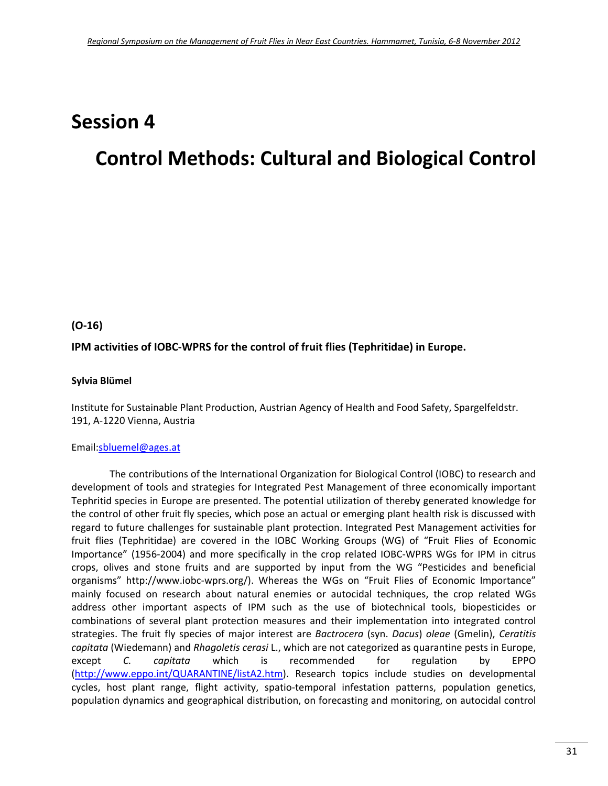# **Session 4**

# **Control Methods: Cultural and Biological Control**

#### **(O‐16)**

#### **IPM activities of IOBC‐WPRS for the control of fruit flies (Tephritidae) in Europe.**

#### **Sylvia Blümel**

Institute for Sustainable Plant Production, Austrian Agency of Health and Food Safety, Spargelfeldstr. 191, A‐1220 Vienna, Austria

#### Email:sbluemel@ages.at

The contributions of the International Organization for Biological Control (IOBC) to research and development of tools and strategies for Integrated Pest Management of three economically important Tephritid species in Europe are presented. The potential utilization of thereby generated knowledge for the control of other fruit fly species, which pose an actual or emerging plant health risk is discussed with regard to future challenges for sustainable plant protection. Integrated Pest Management activities for fruit flies (Tephritidae) are covered in the IOBC Working Groups (WG) of "Fruit Flies of Economic Importance" (1956‐2004) and more specifically in the crop related IOBC‐WPRS WGs for IPM in citrus crops, olives and stone fruits and are supported by input from the WG "Pesticides and beneficial organisms" http://www.iobc‐wprs.org/). Whereas the WGs on "Fruit Flies of Economic Importance" mainly focused on research about natural enemies or autocidal techniques, the crop related WGs address other important aspects of IPM such as the use of biotechnical tools, biopesticides or combinations of several plant protection measures and their implementation into integrated control strategies. The fruit fly species of major interest are *Bactrocera* (syn. *Dacus*) *oleae* (Gmelin), *Ceratitis capitata* (Wiedemann) and *Rhagoletis cerasi* L., which are not categorized as quarantine pests in Europe, except *C. capitata* which is recommended for regulation by EPPO (http://www.eppo.int/QUARANTINE/listA2.htm). Research topics include studies on developmental cycles, host plant range, flight activity, spatio-temporal infestation patterns, population genetics, population dynamics and geographical distribution, on forecasting and monitoring, on autocidal control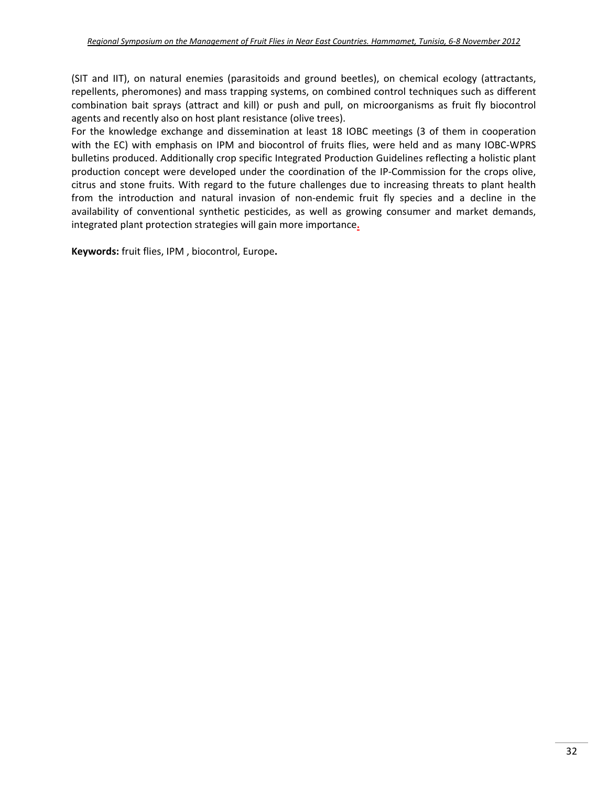(SIT and IIT), on natural enemies (parasitoids and ground beetles), on chemical ecology (attractants, repellents, pheromones) and mass trapping systems, on combined control techniques such as different combination bait sprays (attract and kill) or push and pull, on microorganisms as fruit fly biocontrol agents and recently also on host plant resistance (olive trees).

For the knowledge exchange and dissemination at least 18 IOBC meetings (3 of them in cooperation with the EC) with emphasis on IPM and biocontrol of fruits flies, were held and as many IOBC-WPRS bulletins produced. Additionally crop specific Integrated Production Guidelines reflecting a holistic plant production concept were developed under the coordination of the IP‐Commission for the crops olive, citrus and stone fruits. With regard to the future challenges due to increasing threats to plant health from the introduction and natural invasion of non-endemic fruit fly species and a decline in the availability of conventional synthetic pesticides, as well as growing consumer and market demands, integrated plant protection strategies will gain more importance**.**

**Keywords:** fruit flies, IPM , biocontrol, Europe**.**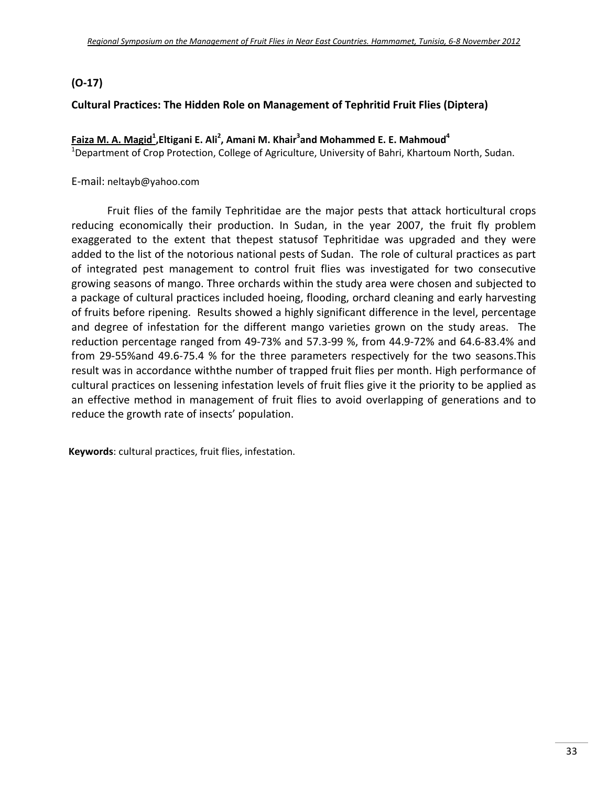## **(O-17)**

#### **Cultural Practices: The Hidden Role on Management of Tephritid Fruit Flies (Diptera)**

### **Faiza M. A. Magid1 ,Eltigani E. Ali2 , Amani M. Khair3 and Mohammed E. E. Mahmoud4**

<sup>1</sup>Department of Crop Protection, College of Agriculture, University of Bahri, Khartoum North, Sudan.

E‐mail: neltayb@yahoo.com

Fruit flies of the family Tephritidae are the major pests that attack horticultural crops reducing economically their production. In Sudan, in the year 2007, the fruit fly problem exaggerated to the extent that thepest statusof Tephritidae was upgraded and they were added to the list of the notorious national pests of Sudan. The role of cultural practices as part of integrated pest management to control fruit flies was investigated for two consecutive growing seasons of mango. Three orchards within the study area were chosen and subjected to a package of cultural practices included hoeing, flooding, orchard cleaning and early harvesting of fruits before ripening. Results showed a highly significant difference in the level, percentage and degree of infestation for the different mango varieties grown on the study areas. The reduction percentage ranged from 49‐73% and 57.3‐99 %, from 44.9‐72% and 64.6‐83.4% and from 29‐55%and 49.6‐75.4 % for the three parameters respectively for the two seasons.This result was in accordance withthe number of trapped fruit flies per month. High performance of cultural practices on lessening infestation levels of fruit flies give it the priority to be applied as an effective method in management of fruit flies to avoid overlapping of generations and to reduce the growth rate of insects' population.

**Keywords**: cultural practices, fruit flies, infestation.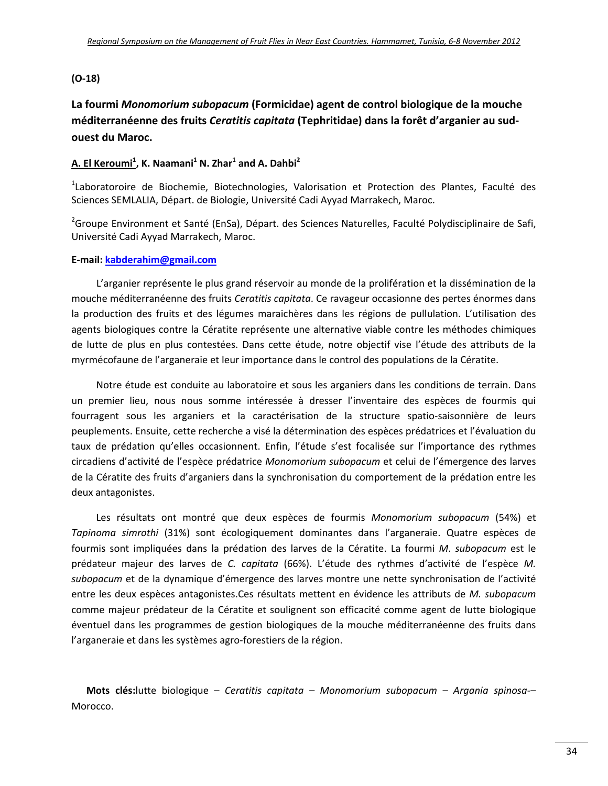#### **(O‐18)**

**La fourmi** *Monomorium subopacum* **(Formicidae) agent de control biologique de la mouche méditerranéenne des fruits** *Ceratitis capitata* **(Tephritidae) dans la forêt d'arganier au sud‐ ouest du Maroc.**

#### **A. El Keroumi<sup>1</sup> , K. Naamani1 N. Zhar<sup>1</sup> and A. Dahbi2**

<sup>1</sup>Laboratoroire de Biochemie, Biotechnologies, Valorisation et Protection des Plantes, Faculté des Sciences SEMLALIA, Départ. de Biologie, Université Cadi Ayyad Marrakech, Maroc.

<sup>2</sup>Groupe Environment et Santé (EnSa), Départ. des Sciences Naturelles, Faculté Polydisciplinaire de Safi, Université Cadi Ayyad Marrakech, Maroc.

#### **E‐mail: kabderahim@gmail.com**

L'arganier représente le plus grand réservoir au monde de la prolifération et la dissémination de la mouche méditerranéenne des fruits *Ceratitis capitata*. Ce ravageur occasionne des pertes énormes dans la production des fruits et des légumes maraichères dans les régions de pullulation. L'utilisation des agents biologiques contre la Cératite représente une alternative viable contre les méthodes chimiques de lutte de plus en plus contestées. Dans cette étude, notre objectif vise l'étude des attributs de la myrmécofaune de l'arganeraie et leur importance dans le control des populations de la Cératite.

Notre étude est conduite au laboratoire et sous les arganiers dans les conditions de terrain. Dans un premier lieu, nous nous somme intéressée à dresser l'inventaire des espèces de fourmis qui fourragent sous les arganiers et la caractérisation de la structure spatio‐saisonnière de leurs peuplements. Ensuite, cette recherche a visé la détermination des espèces prédatrices et l'évaluation du taux de prédation qu'elles occasionnent. Enfin, l'étude s'est focalisée sur l'importance des rythmes circadiens d'activité de l'espèce prédatrice *Monomorium subopacum* et celui de l'émergence des larves de la Cératite des fruits d'arganiers dans la synchronisation du comportement de la prédation entre les deux antagonistes.

Les résultats ont montré que deux espèces de fourmis *Monomorium subopacum* (54%) et *Tapinoma simrothi* (31%) sont écologiquement dominantes dans l'arganeraie. Quatre espèces de fourmis sont impliquées dans la prédation des larves de la Cératite. La fourmi *M*. *subopacum* est le prédateur majeur des larves de *C. capitata* (66%). L'étude des rythmes d'activité de l'espèce *M. subopacum* et de la dynamique d'émergence des larves montre une nette synchronisation de l'activité entre les deux espèces antagonistes.Ces résultats mettent en évidence les attributs de *M. subopacum* comme majeur prédateur de la Cératite et soulignent son efficacité comme agent de lutte biologique éventuel dans les programmes de gestion biologiques de la mouche méditerranéenne des fruits dans l'arganeraie et dans les systèmes agro‐forestiers de la région.

**Mots clés:**lutte biologique – *Ceratitis capitata – Monomorium subopacum – Argania spinosa*‐– Morocco.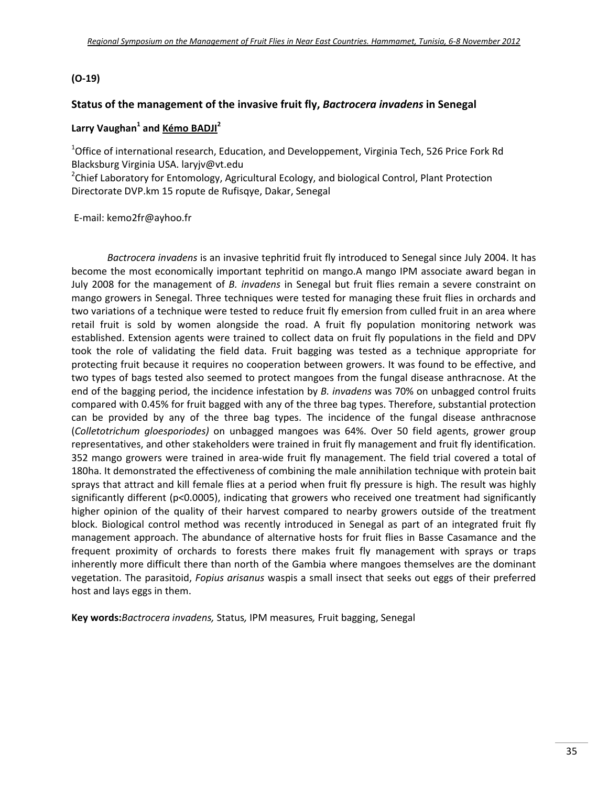#### **(O‐19)**

#### **Status of the management of the invasive fruit fly,** *Bactrocera invadens* **in Senegal**

#### **Larry Vaughan1 and Kémo BADJI<sup>2</sup>**

<sup>1</sup>Office of international research, Education, and Developpement, Virginia Tech, 526 Price Fork Rd Blacksburg Virginia USA. laryjv@vt.edu

<sup>2</sup>Chief Laboratory for Entomology, Agricultural Ecology, and biological Control, Plant Protection Directorate DVP.km 15 ropute de Rufisqye, Dakar, Senegal

E‐mail: kemo2fr@ayhoo.fr

*Bactrocera invadens* is an invasive tephritid fruit fly introduced to Senegal since July 2004. It has become the most economically important tephritid on mango.A mango IPM associate award began in July 2008 for the management of *B. invadens* in Senegal but fruit flies remain a severe constraint on mango growers in Senegal. Three techniques were tested for managing these fruit flies in orchards and two variations of a technique were tested to reduce fruit fly emersion from culled fruit in an area where retail fruit is sold by women alongside the road. A fruit fly population monitoring network was established. Extension agents were trained to collect data on fruit fly populations in the field and DPV took the role of validating the field data. Fruit bagging was tested as a technique appropriate for protecting fruit because it requires no cooperation between growers. It was found to be effective, and two types of bags tested also seemed to protect mangoes from the fungal disease anthracnose. At the end of the bagging period, the incidence infestation by *B. invadens* was 70% on unbagged control fruits compared with 0.45% for fruit bagged with any of the three bag types. Therefore, substantial protection can be provided by any of the three bag types. The incidence of the fungal disease anthracnose (*Colletotrichum gloesporiodes)* on unbagged mangoes was 64%. Over 50 field agents, grower group representatives, and other stakeholders were trained in fruit fly management and fruit fly identification. 352 mango growers were trained in area-wide fruit fly management. The field trial covered a total of 180ha. It demonstrated the effectiveness of combining the male annihilation technique with protein bait sprays that attract and kill female flies at a period when fruit fly pressure is high. The result was highly significantly different (p<0.0005), indicating that growers who received one treatment had significantly higher opinion of the quality of their harvest compared to nearby growers outside of the treatment block. Biological control method was recently introduced in Senegal as part of an integrated fruit fly management approach. The abundance of alternative hosts for fruit flies in Basse Casamance and the frequent proximity of orchards to forests there makes fruit fly management with sprays or traps inherently more difficult there than north of the Gambia where mangoes themselves are the dominant vegetation. The parasitoid, *Fopius arisanus* waspis a small insect that seeks out eggs of their preferred host and lays eggs in them.

**Key words:***Bactrocera invadens,* Status*,* IPM measures*,* Fruit bagging, Senegal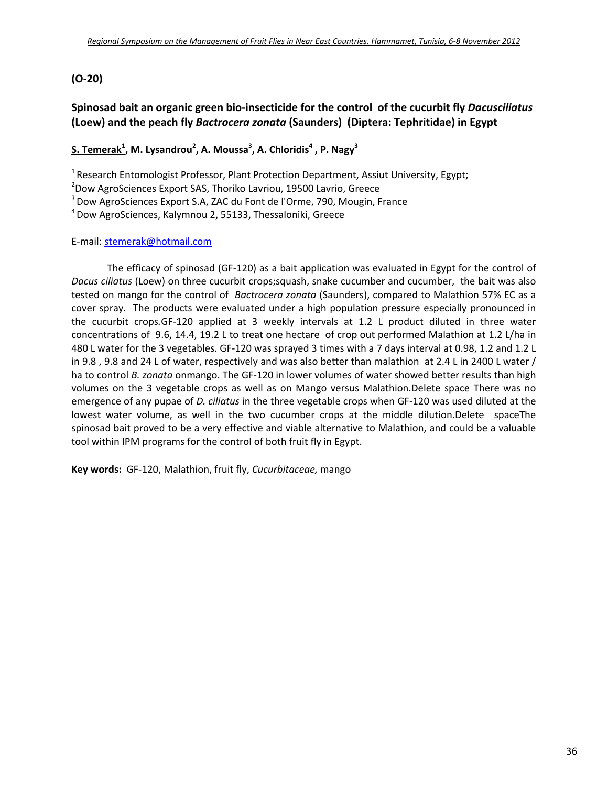### **(O‐20)**

## **Spinosad bait an organic green bio‐insecticide for the control of the cucurbit fly** *Dacusciliatus* **(Loew) and the peach fly** *Bactrocera zonata* **(Saunders) (Diptera: Tephritidae) in Egypt**

### $\mathbf{S}$ . Temerak $^1$ , M. Lysandrou $^2$ , A. Moussa $^3$ , A. Chloridis $^4$  , P. Nagy $^3$

<sup>1</sup> Research Entomologist Professor, Plant Protection Department, Assiut University, Egypt;

2 Dow AgroSciences Export SAS, Thoriko Lavriou, 19500 Lavrio, Greece

<sup>3</sup> Dow AgroSciences Export S.A, ZAC du Font de l'Orme, 790, Mougin, France

4Dow AgroSciences, Kalymnou 2, 55133, Thessaloniki, Greece

#### E‐mail: stemerak@hotmail.com

The efficacy of spinosad (GF‐120) as a bait application was evaluated in Egypt for the control of *Dacus ciliatus* (Loew) on three cucurbit crops;squash, snake cucumber and cucumber, the bait was also tested on mango for the control of *Bactrocera zonata* (Saunders), compared to Malathion 57% EC as a cover spray. The products were evaluated under a high population pre**s**sure especially pronounced in the cucurbit crops*.*GF‐120 applied at 3 weekly intervals at 1.2 L product diluted in three water concentrations of 9.6, 14.4, 19.2 L to treat one hectare of crop out performed Malathion at 1.2 L/ha in 480 L water for the 3 vegetables. GF‐120 was sprayed 3 times with a 7 days interval at 0.98, 1.2 and 1.2 L in 9.8 , 9.8 and 24 L of water, respectively and was also better than malathion at 2.4 L in 2400 L water / ha to control *B. zonata* onmango. The GF‐120 in lower volumes of water showed better results than high volumes on the 3 vegetable crops as well as on Mango versus Malathion.Delete space There was no emergence of any pupae of *D. ciliatus* in the three vegetable crops when GF‐120 was used diluted at the lowest water volume, as well in the two cucumber crops at the middle dilution.Delete spaceThe spinosad bait proved to be a very effective and viable alternative to Malathion, and could be a valuable tool within IPM programs for the control of both fruit fly in Egypt.

**Key words:** GF‐120, Malathion, fruit fly, *Cucurbitaceae,* mango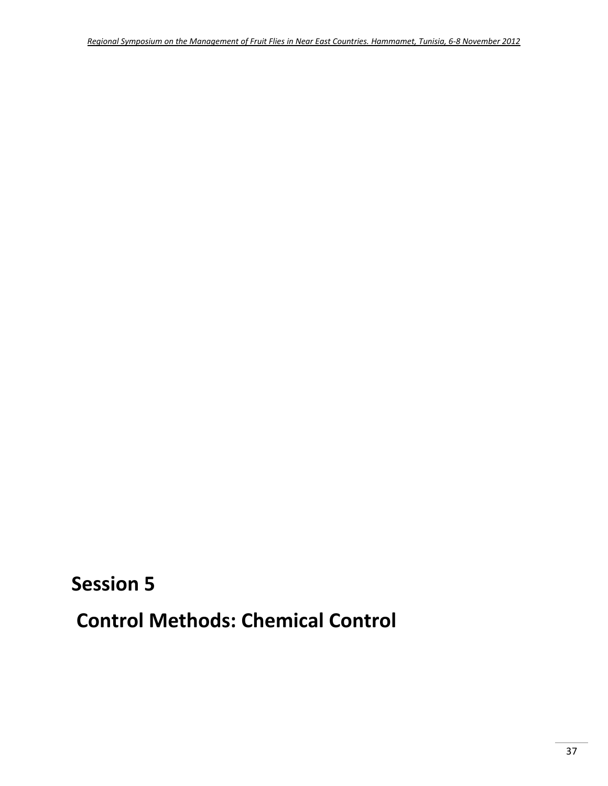## **Session 5**

**Control Methods: Chemical Control**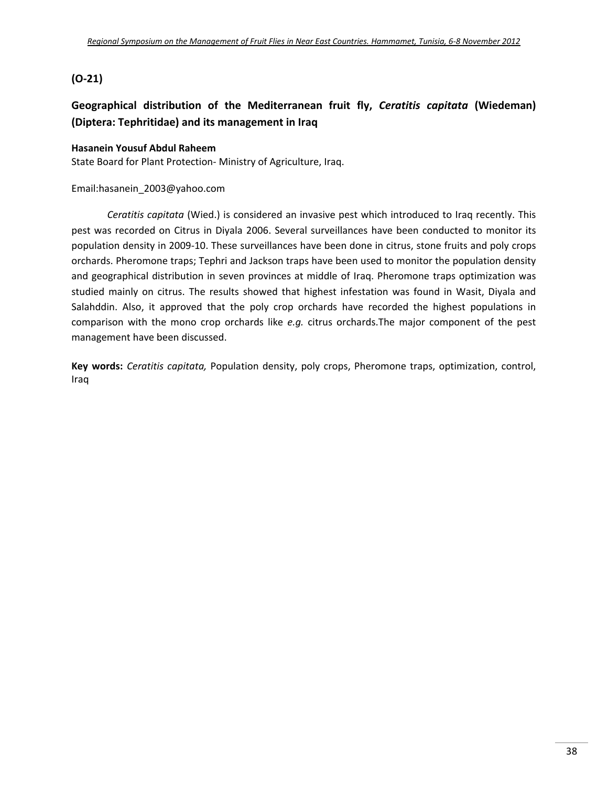## **(O‐21)**

## **Geographical distribution of the Mediterranean fruit fly,** *Ceratitis capitata* **(Wiedeman) (Diptera: Tephritidae) and its management in Iraq**

#### **Hasanein Yousuf Abdul Raheem**

State Board for Plant Protection‐ Ministry of Agriculture, Iraq.

#### Email:hasanein\_2003@yahoo.com

*Ceratitis capitata* (Wied.) is considered an invasive pest which introduced to Iraq recently. This pest was recorded on Citrus in Diyala 2006. Several surveillances have been conducted to monitor its population density in 2009‐10. These surveillances have been done in citrus, stone fruits and poly crops orchards. Pheromone traps; Tephri and Jackson traps have been used to monitor the population density and geographical distribution in seven provinces at middle of Iraq. Pheromone traps optimization was studied mainly on citrus. The results showed that highest infestation was found in Wasit, Diyala and Salahddin. Also, it approved that the poly crop orchards have recorded the highest populations in comparison with the mono crop orchards like *e.g.* citrus orchards.The major component of the pest management have been discussed.

**Key words:** *Ceratitis capitata,* Population density, poly crops, Pheromone traps, optimization, control, Iraq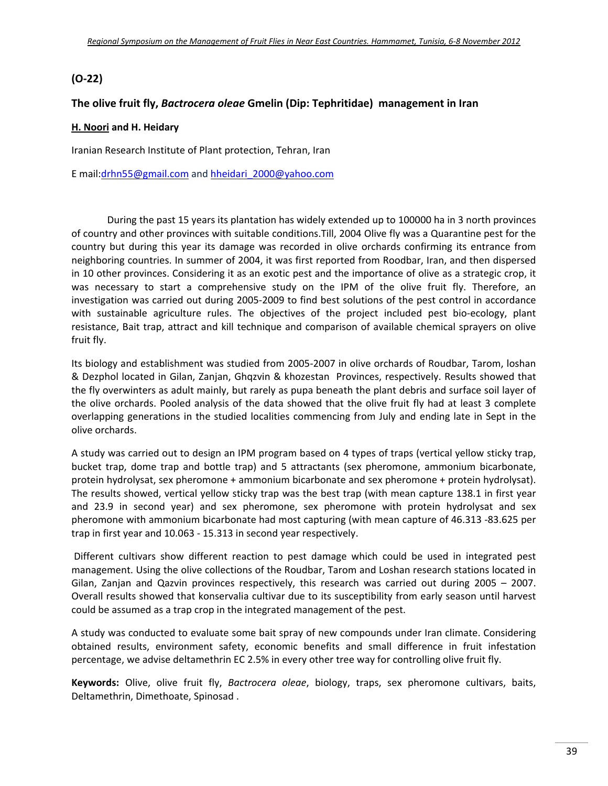## **(O‐22)**

#### **The olive fruit fly,** *Bactrocera oleae* **Gmelin (Dip: Tephritidae) management in Iran**

#### **H. Noori and H. Heidary**

Iranian Research Institute of Plant protection, Tehran, Iran

E mail:drhn55@gmail.com and hheidari\_2000@yahoo.com

During the past 15 years its plantation has widely extended up to 100000 ha in 3 north provinces of country and other provinces with suitable conditions.Till, 2004 Olive fly was a Quarantine pest for the country but during this year its damage was recorded in olive orchards confirming its entrance from neighboring countries. In summer of 2004, it was first reported from Roodbar, Iran, and then dispersed in 10 other provinces. Considering it as an exotic pest and the importance of olive as a strategic crop, it was necessary to start a comprehensive study on the IPM of the olive fruit fly. Therefore, an investigation was carried out during 2005‐2009 to find best solutions of the pest control in accordance with sustainable agriculture rules. The objectives of the project included pest bio-ecology, plant resistance, Bait trap, attract and kill technique and comparison of available chemical sprayers on olive fruit fly.

Its biology and establishment was studied from 2005‐2007 in olive orchards of Roudbar, Tarom, loshan & Dezphol located in Gilan, Zanjan, Ghqzvin & khozestan Provinces, respectively. Results showed that the fly overwinters as adult mainly, but rarely as pupa beneath the plant debris and surface soil layer of the olive orchards. Pooled analysis of the data showed that the olive fruit fly had at least 3 complete overlapping generations in the studied localities commencing from July and ending late in Sept in the olive orchards.

A study was carried out to design an IPM program based on 4 types of traps (vertical yellow sticky trap, bucket trap, dome trap and bottle trap) and 5 attractants (sex pheromone, ammonium bicarbonate, protein hydrolysat, sex pheromone + ammonium bicarbonate and sex pheromone + protein hydrolysat). The results showed, vertical yellow sticky trap was the best trap (with mean capture 138.1 in first year and 23.9 in second year) and sex pheromone, sex pheromone with protein hydrolysat and sex pheromone with ammonium bicarbonate had most capturing (with mean capture of 46.313 ‐83.625 per trap in first year and 10.063 ‐ 15.313 in second year respectively.

Different cultivars show different reaction to pest damage which could be used in integrated pest management. Using the olive collections of the Roudbar, Tarom and Loshan research stations located in Gilan, Zanjan and Qazvin provinces respectively, this research was carried out during 2005 – 2007. Overall results showed that konservalia cultivar due to its susceptibility from early season until harvest could be assumed as a trap crop in the integrated management of the pest.

A study was conducted to evaluate some bait spray of new compounds under Iran climate. Considering obtained results, environment safety, economic benefits and small difference in fruit infestation percentage, we advise deltamethrin EC 2.5% in every other tree way for controlling olive fruit fly.

**Keywords:** Olive, olive fruit fly, *Bactrocera oleae*, biology, traps, sex pheromone cultivars, baits, Deltamethrin, Dimethoate, Spinosad .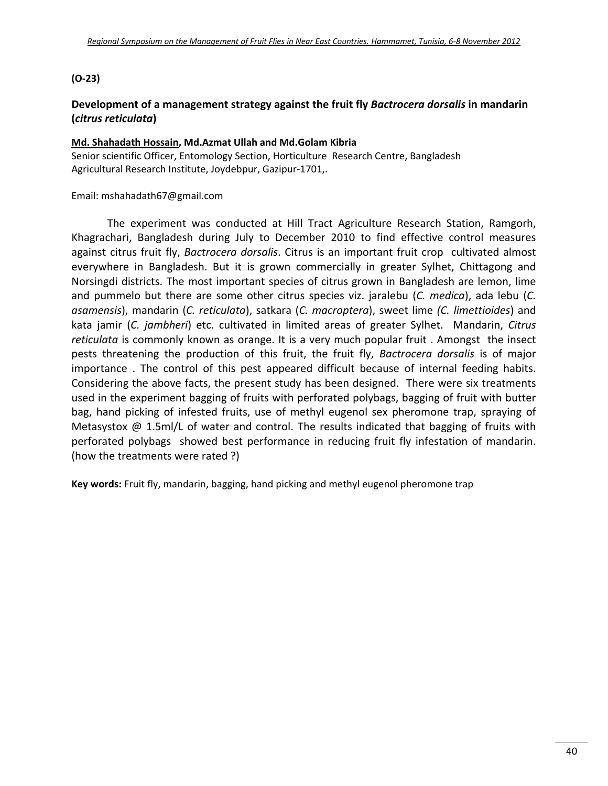#### **(O‐23)**

## **Development of a management strategy against the fruit fly** *Bactrocera dorsalis* **in mandarin (***citrus reticulata***)**

#### **Md. Shahadath Hossain, Md.Azmat Ullah and Md.Golam Kibria**

Senior scientific Officer, Entomology Section, Horticulture Research Centre, Bangladesh Agricultural Research Institute, Joydebpur, Gazipur‐1701,.

#### Email: mshahadath67@gmail.com

The experiment was conducted at Hill Tract Agriculture Research Station, Ramgorh, Khagrachari, Bangladesh during July to December 2010 to find effective control measures against citrus fruit fly, *Bactrocera dorsalis*. Citrus is an important fruit crop cultivated almost everywhere in Bangladesh. But it is grown commercially in greater Sylhet, Chittagong and Norsingdi districts. The most important species of citrus grown in Bangladesh are lemon, lime and pummelo but there are some other citrus species viz. jaralebu (*C. medica*), ada lebu (*C. asamensis*), mandarin (*C. reticulata*), satkara (*C. macroptera*), sweet lime *(C. limettioides*) and kata jamir (*C. jambheri*) etc. cultivated in limited areas of greater Sylhet. Mandarin, *Citrus reticulata* is commonly known as orange. It is a very much popular fruit . Amongst the insect pests threatening the production of this fruit, the fruit fly, *Bactrocera dorsalis* is of major importance . The control of this pest appeared difficult because of internal feeding habits. Considering the above facts, the present study has been designed. There were six treatments used in the experiment bagging of fruits with perforated polybags, bagging of fruit with butter bag, hand picking of infested fruits, use of methyl eugenol sex pheromone trap, spraying of Metasystox  $\omega$  1.5ml/L of water and control. The results indicated that bagging of fruits with perforated polybags showed best performance in reducing fruit fly infestation of mandarin. (how the treatments were rated ?)

**Key words:** Fruit fly, mandarin, bagging, hand picking and methyl eugenol pheromone trap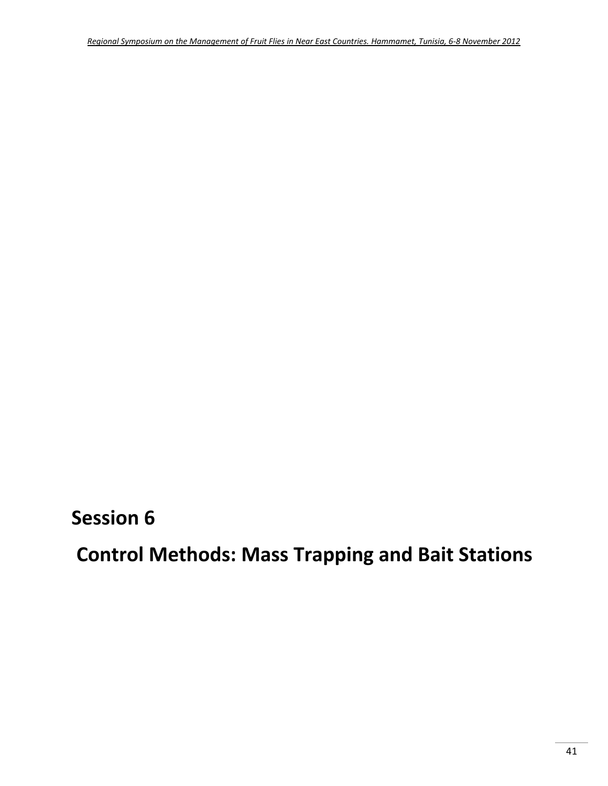**Session 6**

**Control Methods: Mass Trapping and Bait Stations**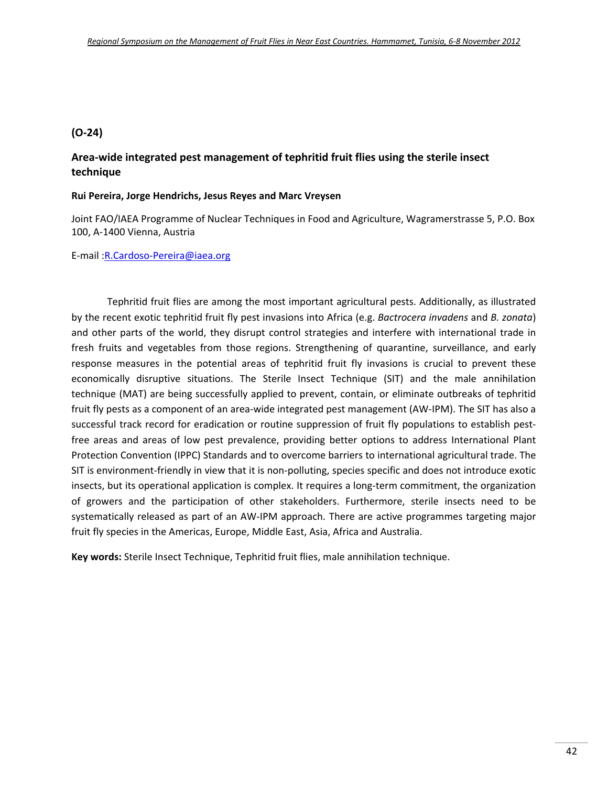## **(O‐24)**

## **Area‐wide integrated pest management of tephritid fruit flies using the sterile insect technique**

#### **Rui Pereira, Jorge Hendrichs, Jesus Reyes and Marc Vreysen**

Joint FAO/IAEA Programme of Nuclear Techniques in Food and Agriculture, Wagramerstrasse 5, P.O. Box 100, A‐1400 Vienna, Austria

#### E‐mail :R.Cardoso‐Pereira@iaea.org

Tephritid fruit flies are among the most important agricultural pests. Additionally, as illustrated by the recent exotic tephritid fruit fly pest invasions into Africa (e.g. *Bactrocera invadens* and *B. zonata*) and other parts of the world, they disrupt control strategies and interfere with international trade in fresh fruits and vegetables from those regions. Strengthening of quarantine, surveillance, and early response measures in the potential areas of tephritid fruit fly invasions is crucial to prevent these economically disruptive situations. The Sterile Insect Technique (SIT) and the male annihilation technique (MAT) are being successfully applied to prevent, contain, or eliminate outbreaks of tephritid fruit fly pests as a component of an area‐wide integrated pest management (AW‐IPM). The SIT has also a successful track record for eradication or routine suppression of fruit fly populations to establish pestfree areas and areas of low pest prevalence, providing better options to address International Plant Protection Convention (IPPC) Standards and to overcome barriers to international agricultural trade. The SIT is environment‐friendly in view that it is non‐polluting, species specific and does not introduce exotic insects, but its operational application is complex. It requires a long-term commitment, the organization of growers and the participation of other stakeholders. Furthermore, sterile insects need to be systematically released as part of an AW-IPM approach. There are active programmes targeting major fruit fly species in the Americas, Europe, Middle East, Asia, Africa and Australia.

**Key words:** Sterile Insect Technique, Tephritid fruit flies, male annihilation technique.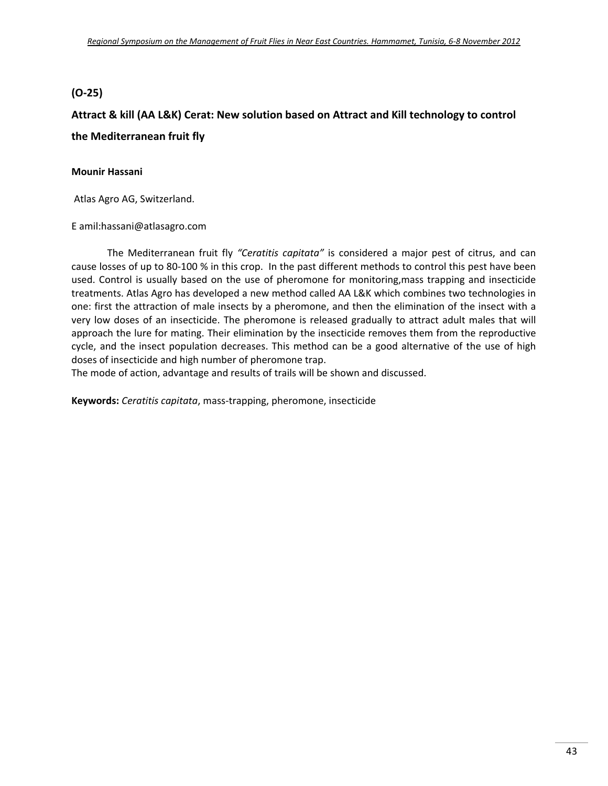## **(O-25)**

## **Attract & kill (AA L&K) Cerat: New solution based on Attract and Kill technology to control the Mediterranean fruit fly**

#### **Mounir Hassani**

Atlas Agro AG, Switzerland.

E amil:hassani@atlasagro.com

The Mediterranean fruit fly *"Ceratitis capitata"* is considered a major pest of citrus, and can cause losses of up to 80‐100 % in this crop. In the past different methods to control this pest have been used. Control is usually based on the use of pheromone for monitoring,mass trapping and insecticide treatments. Atlas Agro has developed a new method called AA L&K which combines two technologies in one: first the attraction of male insects by a pheromone, and then the elimination of the insect with a very low doses of an insecticide. The pheromone is released gradually to attract adult males that will approach the lure for mating. Their elimination by the insecticide removes them from the reproductive cycle, and the insect population decreases. This method can be a good alternative of the use of high doses of insecticide and high number of pheromone trap.

The mode of action, advantage and results of trails will be shown and discussed.

**Keywords:** *Ceratitis capitata*, mass‐trapping, pheromone, insecticide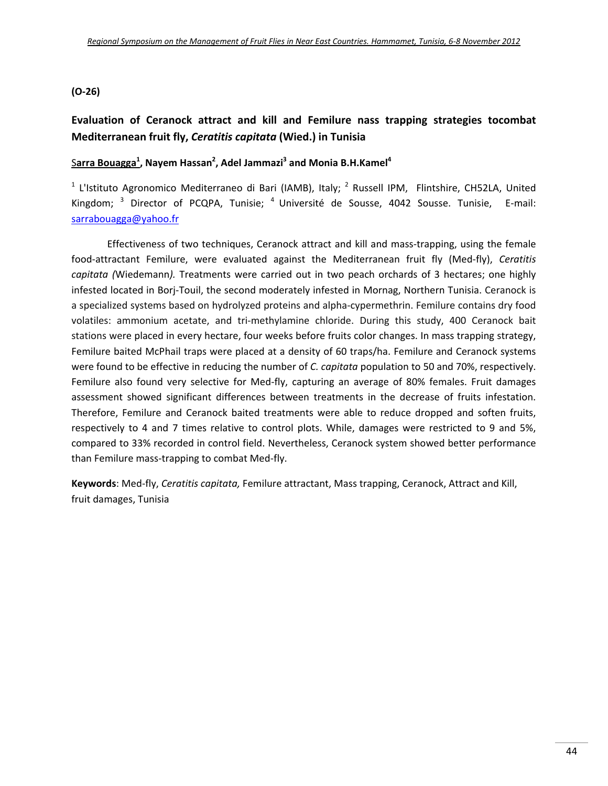#### **(O‐26)**

## **Evaluation of Ceranock attract and kill and Femilure nass trapping strategies tocombat Mediterranean fruit fly,** *Ceratitis capitata* **(Wied.) in Tunisia**

## S**arra Bouagga1 , Nayem Hassan2 , Adel Jammazi3 and Monia B.H.Kamel4**

<sup>1</sup> L'Istituto Agronomico Mediterraneo di Bari (IAMB), Italy; <sup>2</sup> Russell IPM, Flintshire, CH52LA, United Kingdom; <sup>3</sup> Director of PCQPA, Tunisie; <sup>4</sup> Université de Sousse, 4042 Sousse. Tunisie, E-mail: sarrabouagga@yahoo.fr

Effectiveness of two techniques, Ceranock attract and kill and mass‐trapping, using the female food‐attractant Femilure, were evaluated against the Mediterranean fruit fly (Med‐fly), *Ceratitis capitata (*Wiedemann*).* Treatments were carried out in two peach orchards of 3 hectares; one highly infested located in Borj‐Touil, the second moderately infested in Mornag, Northern Tunisia. Ceranock is a specialized systems based on hydrolyzed proteins and alpha‐cypermethrin. Femilure contains dry food volatiles: ammonium acetate, and tri-methylamine chloride. During this study, 400 Ceranock bait stations were placed in every hectare, four weeks before fruits color changes. In mass trapping strategy, Femilure baited McPhail traps were placed at a density of 60 traps/ha. Femilure and Ceranock systems were found to be effective in reducing the number of *C. capitata* population to 50 and 70%, respectively. Femilure also found very selective for Med-fly, capturing an average of 80% females. Fruit damages assessment showed significant differences between treatments in the decrease of fruits infestation. Therefore, Femilure and Ceranock baited treatments were able to reduce dropped and soften fruits, respectively to 4 and 7 times relative to control plots. While, damages were restricted to 9 and 5%, compared to 33% recorded in control field. Nevertheless, Ceranock system showed better performance than Femilure mass‐trapping to combat Med‐fly.

**Keywords**: Med‐fly, *Ceratitis capitata,* Femilure attractant, Mass trapping, Ceranock, Attract and Kill, fruit damages, Tunisia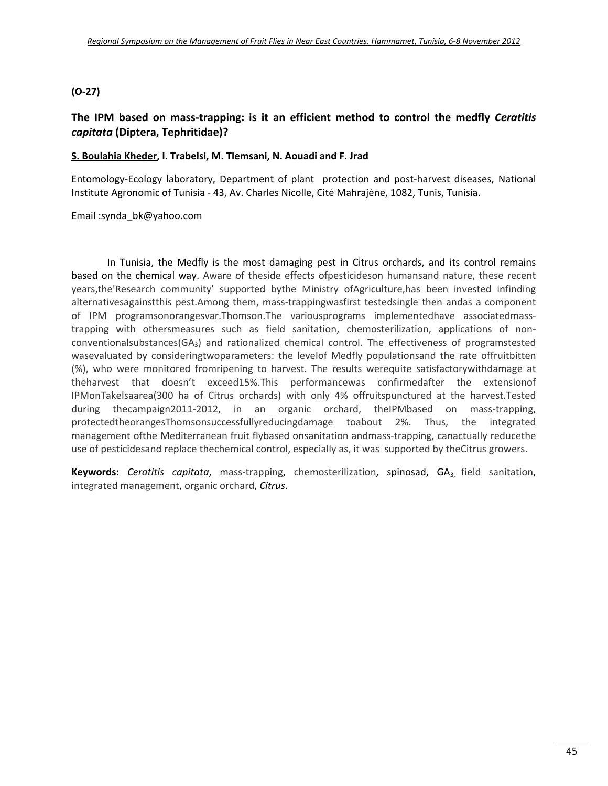#### **(O‐27)**

## **The IPM based on mass‐trapping: is it an efficient method to control the medfly** *Ceratitis capitata* **(Diptera, Tephritidae)?**

#### **S. Boulahia Kheder, I. Trabelsi, M. Tlemsani, N. Aouadi and F. Jrad**

Entomology-Ecology laboratory, Department of plant protection and post-harvest diseases, National Institute Agronomic of Tunisia ‐ 43, Av. Charles Nicolle, Cité Mahrajène, 1082, Tunis, Tunisia.

#### Email :synda\_bk@yahoo.com

In Tunisia, the Medfly is the most damaging pest in Citrus orchards, and its control remains based on the chemical way. Aware of theside effects ofpesticideson humansand nature, these recent years,the'Research community' supported bythe Ministry ofAgriculture,has been invested infinding alternativesagainstthis pest.Among them, mass‐trappingwasfirst testedsingle then andas a component of IPM programsonorangesvar.Thomson.The variousprograms implementedhave associatedmass‐ trapping with othersmeasures such as field sanitation, chemosterilization, applications of non‐ conventionalsubstances(GA3) and rationalized chemical control. The effectiveness of programstested wasevaluated by consideringtwoparameters: the levelof Medfly populationsand the rate offruitbitten (%), who were monitored fromripening to harvest. The results werequite satisfactorywithdamage at theharvest that doesn't exceed15%.This performancewas confirmedafter the extensionof IPMonTakelsaarea(300 ha of Citrus orchards) with only 4% offruitspunctured at the harvest.Tested during thecampaign2011-2012, in an organic orchard, theIPMbased on mass-trapping, protectedtheorangesThomsonsuccessfullyreducingdamage toabout 2%. Thus, the integrated management ofthe Mediterranean fruit flybased onsanitation andmass-trapping, canactually reducethe use of pesticidesand replace thechemical control, especially as, it was supported by theCitrus growers.

**Keywords:** *Ceratitis capitata*, mass‐trapping, chemosterilization, spinosad, GA3, field sanitation, integrated management, organic orchard, *Citrus*.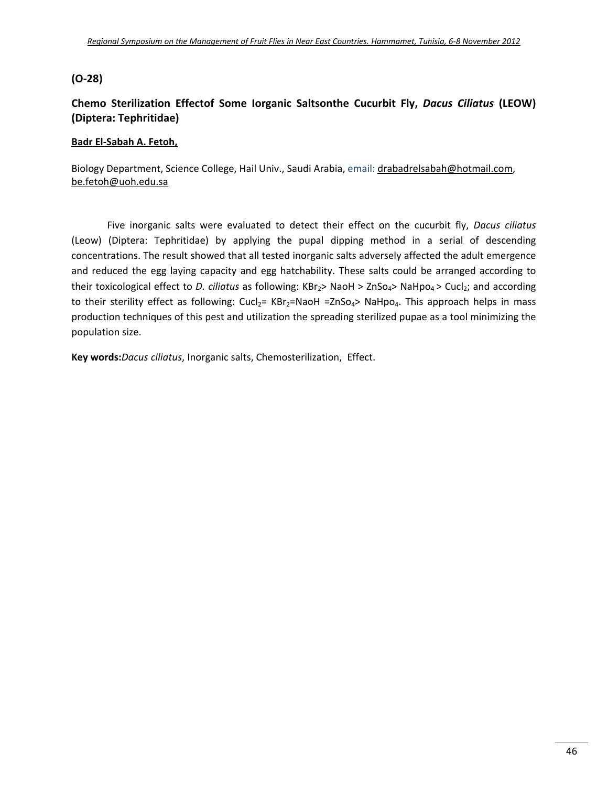## **(O‐28)**

## **Chemo Sterilization Effectof Some Iorganic Saltsonthe Cucurbit Fly,** *Dacus Ciliatus* **(LEOW) (Diptera: Tephritidae)**

#### **Badr El‐Sabah A. Fetoh,**

Biology Department, Science College, Hail Univ., Saudi Arabia, email: drabadrelsabah@hotmail.com, be.fetoh@uoh.edu.sa

Five inorganic salts were evaluated to detect their effect on the cucurbit fly, *Dacus ciliatus* (Leow) (Diptera: Tephritidae) by applying the pupal dipping method in a serial of descending concentrations. The result showed that all tested inorganic salts adversely affected the adult emergence and reduced the egg laying capacity and egg hatchability. These salts could be arranged according to their toxicological effect to *D. ciliatus* as following: KBr<sub>2</sub>> NaoH > ZnSo<sub>4</sub>> NaHpo<sub>4</sub> > Cucl<sub>2</sub>; and according to their sterility effect as following:  $Cucl<sub>2</sub>= KBr<sub>2</sub>=NaOH =ZnSo<sub>4</sub> > NaHpo<sub>4</sub>$ . This approach helps in mass production techniques of this pest and utilization the spreading sterilized pupae as a tool minimizing the population size.

**Key words:***Dacus ciliatus*, Inorganic salts, Chemosterilization, Effect.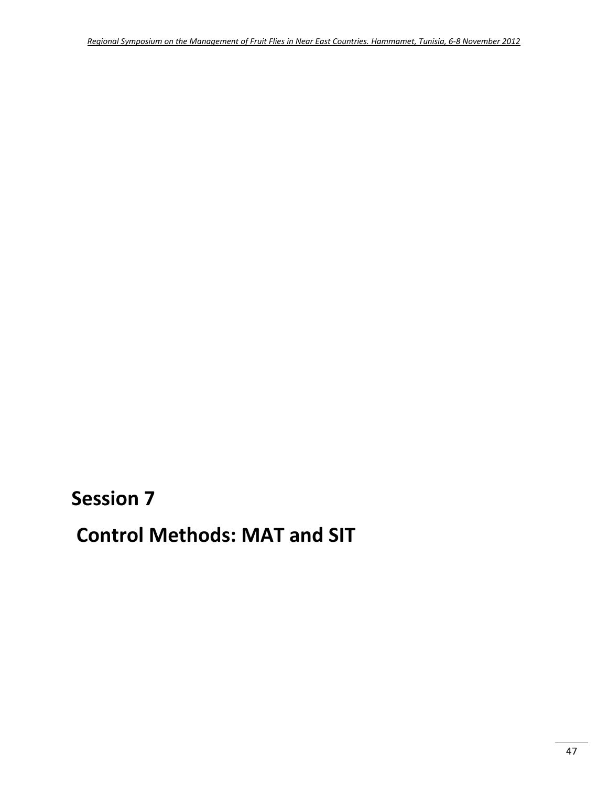**Session 7**

**Control Methods: MAT and SIT**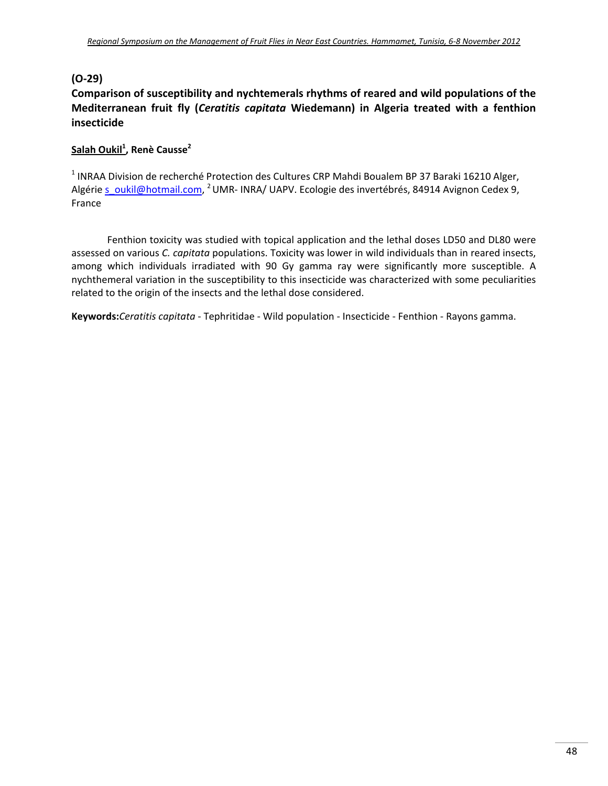## **(O‐29)**

## **Comparison of susceptibility and nychtemerals rhythms of reared and wild populations of the Mediterranean fruit fly (***Ceratitis capitata* **Wiedemann) in Algeria treated with a fenthion insecticide**

## **Salah Oukil1 , Renè Causse2**

<sup>1</sup> INRAA Division de recherché Protection des Cultures CRP Mahdi Boualem BP 37 Baraki 16210 Alger, Algérie s\_oukil@hotmail.com, <sup>2</sup>UMR-INRA/ UAPV. Ecologie des invertébrés, 84914 Avignon Cedex 9, France

Fenthion toxicity was studied with topical application and the lethal doses LD50 and DL80 were assessed on various *C. capitata* populations. Toxicity was lower in wild individuals than in reared insects, among which individuals irradiated with 90 Gy gamma ray were significantly more susceptible. A nychthemeral variation in the susceptibility to this insecticide was characterized with some peculiarities related to the origin of the insects and the lethal dose considered.

**Keywords:***Ceratitis capitata* ‐ Tephritidae ‐ Wild population ‐ Insecticide ‐ Fenthion ‐ Rayons gamma.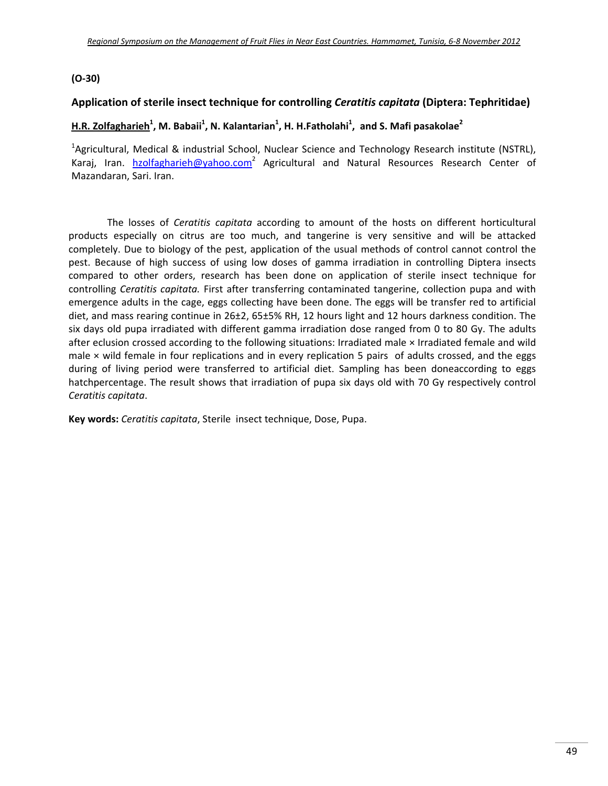#### **(O‐30)**

#### **Application of sterile insect technique for controlling** *Ceratitis capitata* **(Diptera: Tephritidae)**

#### **H.R. Zolfagharieh1 , M. Babaii1 , N. Kalantarian1 , H. H.Fatholahi1 , and S. Mafi pasakolae2**

<sup>1</sup>Agricultural, Medical & industrial School, Nuclear Science and Technology Research institute (NSTRL), Karaj, Iran. hzolfagharieh@yahoo.com<sup>2</sup> Agricultural and Natural Resources Research Center of Mazandaran, Sari. Iran.

The losses of *Ceratitis capitata* according to amount of the hosts on different horticultural products especially on citrus are too much, and tangerine is very sensitive and will be attacked completely. Due to biology of the pest, application of the usual methods of control cannot control the pest. Because of high success of using low doses of gamma irradiation in controlling Diptera insects compared to other orders, research has been done on application of sterile insect technique for controlling *Ceratitis capitata.* First after transferring contaminated tangerine, collection pupa and with emergence adults in the cage, eggs collecting have been done. The eggs will be transfer red to artificial diet, and mass rearing continue in 26±2, 65±5% RH, 12 hours light and 12 hours darkness condition. The six days old pupa irradiated with different gamma irradiation dose ranged from 0 to 80 Gy. The adults after eclusion crossed according to the following situations: Irradiated male × Irradiated female and wild male  $\times$  wild female in four replications and in every replication 5 pairs of adults crossed, and the eggs during of living period were transferred to artificial diet. Sampling has been doneaccording to eggs hatchpercentage. The result shows that irradiation of pupa six days old with 70 Gy respectively control *Ceratitis capitata*.

**Key words:** *Ceratitis capitata*, Sterile insect technique, Dose, Pupa.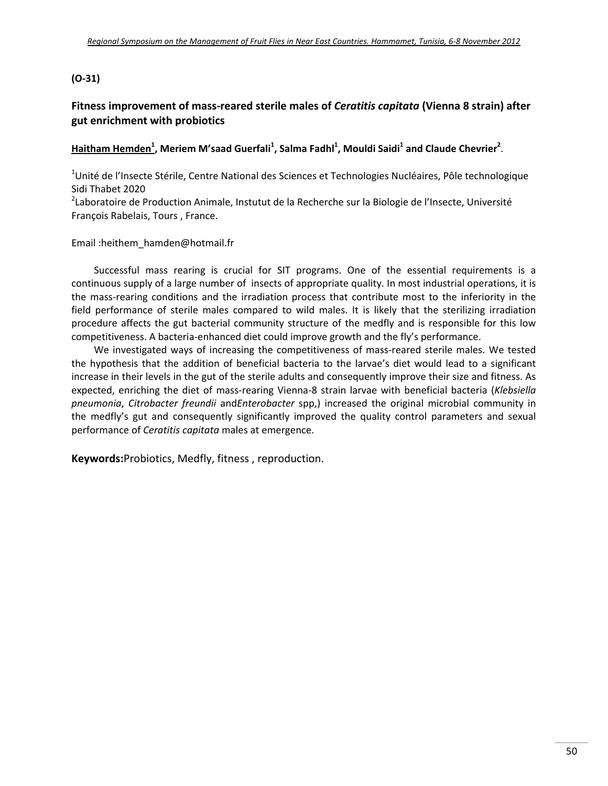#### **(O‐31)**

## **Fitness improvement of mass‐reared sterile males of** *Ceratitis capitata* **(Vienna 8 strain) after gut enrichment with probiotics**

## **Haitham Hemden<sup>1</sup> , Meriem M'saad Guerfali<sup>1</sup> , Salma Fadhl1 , Mouldi Saidi1 and Claude Chevrier<sup>2</sup>** .

<sup>1</sup>Unité de l'Insecte Stérile, Centre National des Sciences et Technologies Nucléaires, Pôle technologique Sidi Thabet 2020

<sup>2</sup>Laboratoire de Production Animale, Instutut de la Recherche sur la Biologie de l'Insecte, Université François Rabelais, Tours , France.

#### Email :heithem\_hamden@hotmail.fr

Successful mass rearing is crucial for SIT programs. One of the essential requirements is a continuous supply of a large number of insects of appropriate quality. In most industrial operations, it is the mass‐rearing conditions and the irradiation process that contribute most to the inferiority in the field performance of sterile males compared to wild males. It is likely that the sterilizing irradiation procedure affects the gut bacterial community structure of the medfly and is responsible for this low competitiveness. A bacteria‐enhanced diet could improve growth and the fly's performance.

We investigated ways of increasing the competitiveness of mass-reared sterile males. We tested the hypothesis that the addition of beneficial bacteria to the larvae's diet would lead to a significant increase in their levels in the gut of the sterile adults and consequently improve their size and fitness. As expected, enriching the diet of mass‐rearing Vienna‐8 strain larvae with beneficial bacteria (*Klebsiella pneumonia*, *Citrobacter freundii* and*Enterobacter* spp,) increased the original microbial community in the medfly's gut and consequently significantly improved the quality control parameters and sexual performance of *Ceratitis capitata* males at emergence.

**Keywords:**Probiotics, Medfly, fitness , reproduction.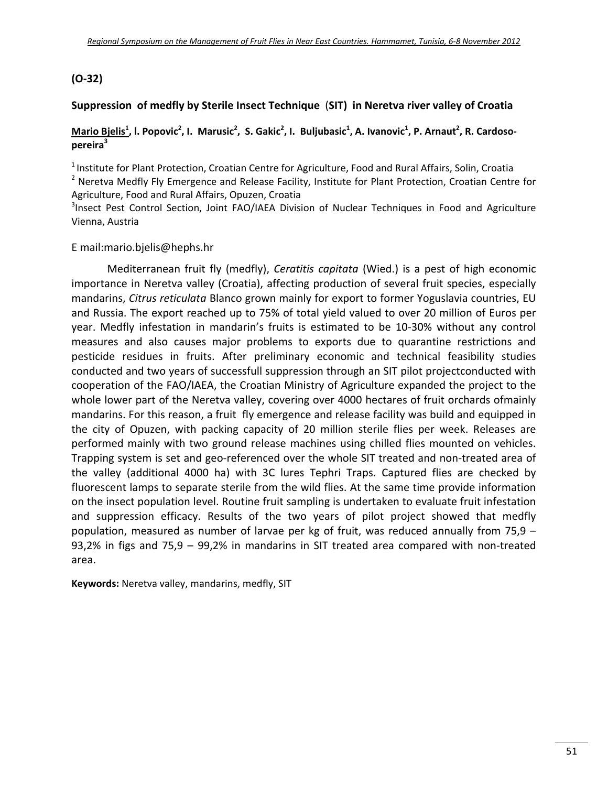## **(O‐32)**

## **Suppression of medfly by Sterile Insect Technique** (**SIT) in Neretva river valley of Croatia**

#### Mario B<u>ielis<sup>1</sup></u>, I. Popovic<sup>2</sup>, I. Marusic<sup>2</sup>, S. Gakic<sup>2</sup>, I. Buljubasic<sup>1</sup>, A. Ivanovic<sup>1</sup>, P. Arnaut<sup>2</sup>, R. Cardoso**pereira3**

<sup>1</sup> Institute for Plant Protection, Croatian Centre for Agriculture, Food and Rural Affairs, Solin, Croatia <sup>2</sup> Neretva Medfly Fly Emergence and Release Facility, Institute for Plant Protection, Croatian Centre for Agriculture, Food and Rural Affairs, Opuzen, Croatia

<sup>3</sup>Insect Pest Control Section, Joint FAO/IAEA Division of Nuclear Techniques in Food and Agriculture Vienna, Austria

#### E mail:mario.bjelis@hephs.hr

Mediterranean fruit fly (medfly), *Ceratitis capitata* (Wied.) is a pest of high economic importance in Neretva valley (Croatia), affecting production of several fruit species, especially mandarins, *Citrus reticulata* Blanco grown mainly for export to former Yoguslavia countries, EU and Russia. The export reached up to 75% of total yield valued to over 20 million of Euros per year. Medfly infestation in mandarin's fruits is estimated to be 10‐30% without any control measures and also causes major problems to exports due to quarantine restrictions and pesticide residues in fruits. After preliminary economic and technical feasibility studies conducted and two years of successfull suppression through an SIT pilot projectconducted with cooperation of the FAO/IAEA, the Croatian Ministry of Agriculture expanded the project to the whole lower part of the Neretva valley, covering over 4000 hectares of fruit orchards ofmainly mandarins. For this reason, a fruit fly emergence and release facility was build and equipped in the city of Opuzen, with packing capacity of 20 million sterile flies per week. Releases are performed mainly with two ground release machines using chilled flies mounted on vehicles. Trapping system is set and geo-referenced over the whole SIT treated and non-treated area of the valley (additional 4000 ha) with 3C lures Tephri Traps. Captured flies are checked by fluorescent lamps to separate sterile from the wild flies. At the same time provide information on the insect population level. Routine fruit sampling is undertaken to evaluate fruit infestation and suppression efficacy. Results of the two years of pilot project showed that medfly population, measured as number of larvae per kg of fruit, was reduced annually from 75,9 – 93,2% in figs and 75,9 – 99,2% in mandarins in SIT treated area compared with non-treated area.

**Keywords:** Neretva valley, mandarins, medfly, SIT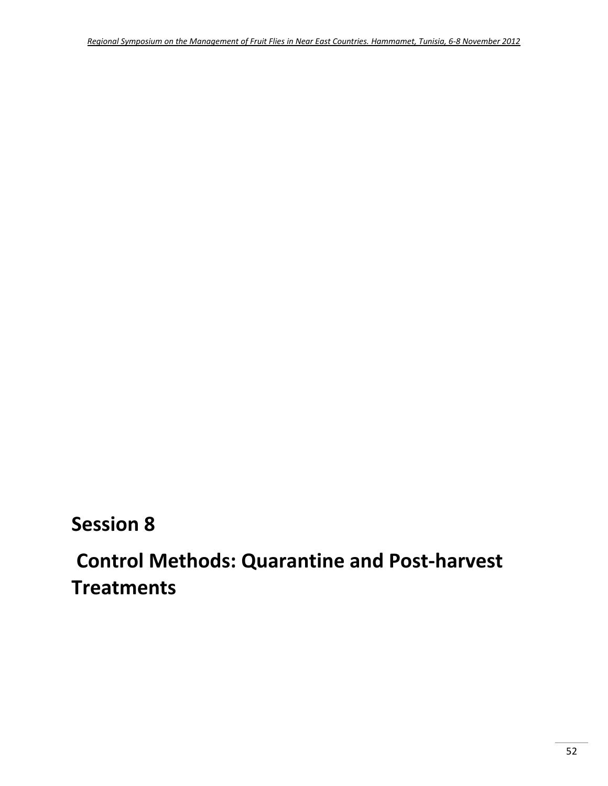## **Session 8**

# **Control Methods: Quarantine and Post‐harvest Treatments**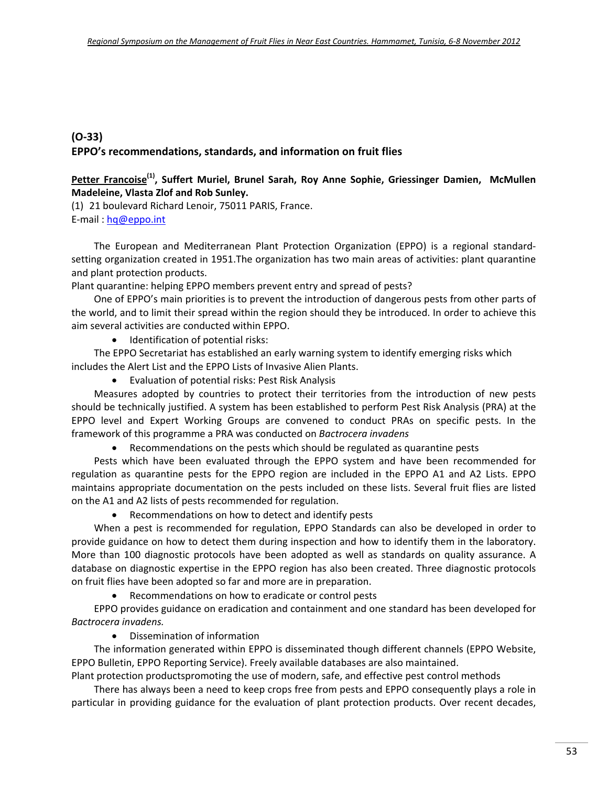## **(O‐33) EPPO's recommendations, standards, and information on fruit flies**

#### **Petter Francoise(1), Suffert Muriel, Brunel Sarah, Roy Anne Sophie, Griessinger Damien, McMullen Madeleine, Vlasta Zlof and Rob Sunley.**

(1) 21 boulevard Richard Lenoir, 75011 PARIS, France. E‐mail : hq@eppo.int

The European and Mediterranean Plant Protection Organization (EPPO) is a regional standard‐ setting organization created in 1951.The organization has two main areas of activities: plant quarantine and plant protection products.

Plant quarantine: helping EPPO members prevent entry and spread of pests?

One of EPPO's main priorities is to prevent the introduction of dangerous pests from other parts of the world, and to limit their spread within the region should they be introduced. In order to achieve this aim several activities are conducted within EPPO.

• Identification of potential risks:

The EPPO Secretariat has established an early warning system to identify emerging risks which includes the Alert List and the EPPO Lists of Invasive Alien Plants.

Evaluation of potential risks: Pest Risk Analysis

Measures adopted by countries to protect their territories from the introduction of new pests should be technically justified. A system has been established to perform Pest Risk Analysis (PRA) at the EPPO level and Expert Working Groups are convened to conduct PRAs on specific pests. In the framework of this programme a PRA was conducted on *Bactrocera invadens*

Recommendations on the pests which should be regulated as quarantine pests

Pests which have been evaluated through the EPPO system and have been recommended for regulation as quarantine pests for the EPPO region are included in the EPPO A1 and A2 Lists. EPPO maintains appropriate documentation on the pests included on these lists. Several fruit flies are listed on the A1 and A2 lists of pests recommended for regulation.

Recommendations on how to detect and identify pests

When a pest is recommended for regulation, EPPO Standards can also be developed in order to provide guidance on how to detect them during inspection and how to identify them in the laboratory. More than 100 diagnostic protocols have been adopted as well as standards on quality assurance. A database on diagnostic expertise in the EPPO region has also been created. Three diagnostic protocols on fruit flies have been adopted so far and more are in preparation.

Recommendations on how to eradicate or control pests

EPPO provides guidance on eradication and containment and one standard has been developed for *Bactrocera invadens.* 

Dissemination of information

The information generated within EPPO is disseminated though different channels (EPPO Website, EPPO Bulletin, EPPO Reporting Service). Freely available databases are also maintained.

Plant protection productspromoting the use of modern, safe, and effective pest control methods

There has always been a need to keep crops free from pests and EPPO consequently plays a role in particular in providing guidance for the evaluation of plant protection products. Over recent decades,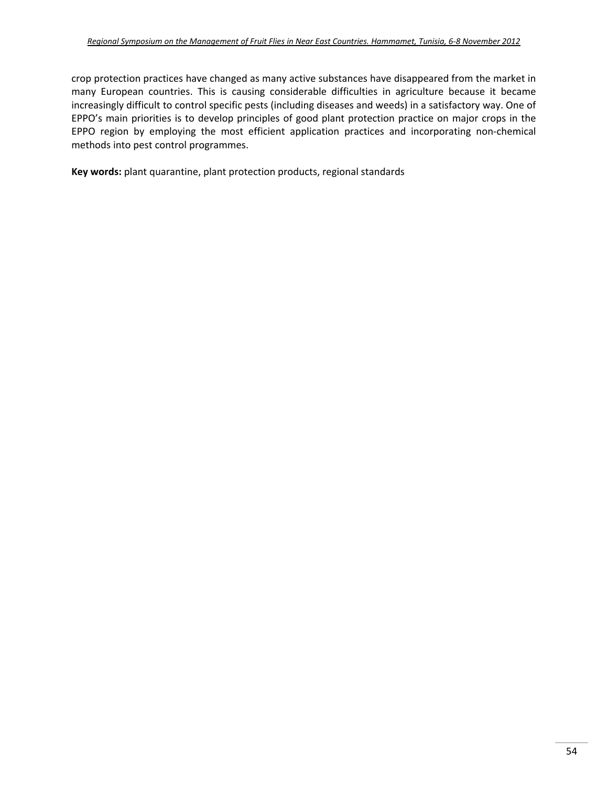crop protection practices have changed as many active substances have disappeared from the market in many European countries. This is causing considerable difficulties in agriculture because it became increasingly difficult to control specific pests (including diseases and weeds) in a satisfactory way. One of EPPO's main priorities is to develop principles of good plant protection practice on major crops in the EPPO region by employing the most efficient application practices and incorporating non-chemical methods into pest control programmes.

**Key words:** plant quarantine, plant protection products, regional standards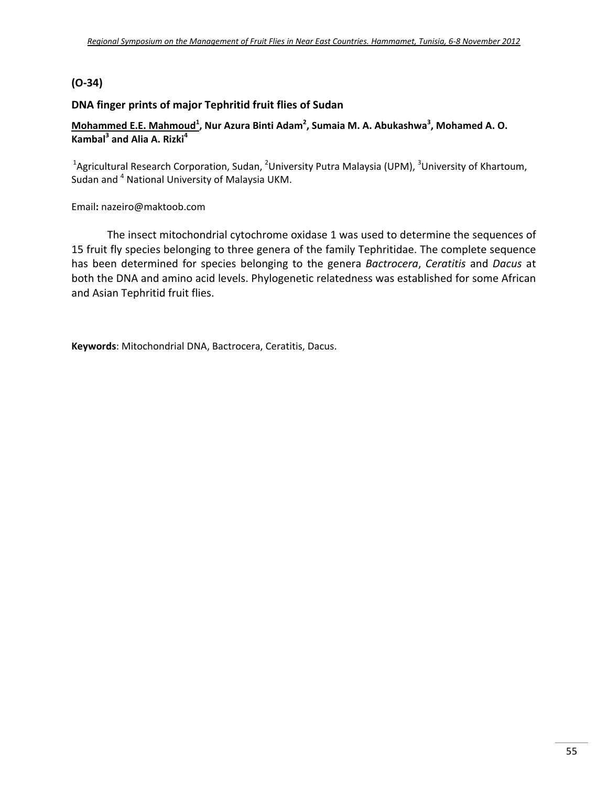## **(O-34)**

### **DNA finger prints of major Tephritid fruit flies of Sudan**

#### **Mohammed E.E. Mahmoud1 , Nur Azura Binti Adam<sup>2</sup> , Sumaia M. A. Abukashwa<sup>3</sup> , Mohamed A. O. Kambal<sup>3</sup> and Alia A. Rizki<sup>4</sup>**

<sup>1</sup>Agricultural Research Corporation, Sudan, <sup>2</sup>University Putra Malaysia (UPM), <sup>3</sup>University of Khartoum, Sudan and <sup>4</sup> National University of Malaysia UKM.

Email**:** nazeiro@maktoob.com

The insect mitochondrial cytochrome oxidase 1 was used to determine the sequences of 15 fruit fly species belonging to three genera of the family Tephritidae. The complete sequence has been determined for species belonging to the genera *Bactrocera*, *Ceratitis* and *Dacus* at both the DNA and amino acid levels. Phylogenetic relatedness was established for some African and Asian Tephritid fruit flies.

**Keywords**: Mitochondrial DNA, Bactrocera, Ceratitis, Dacus.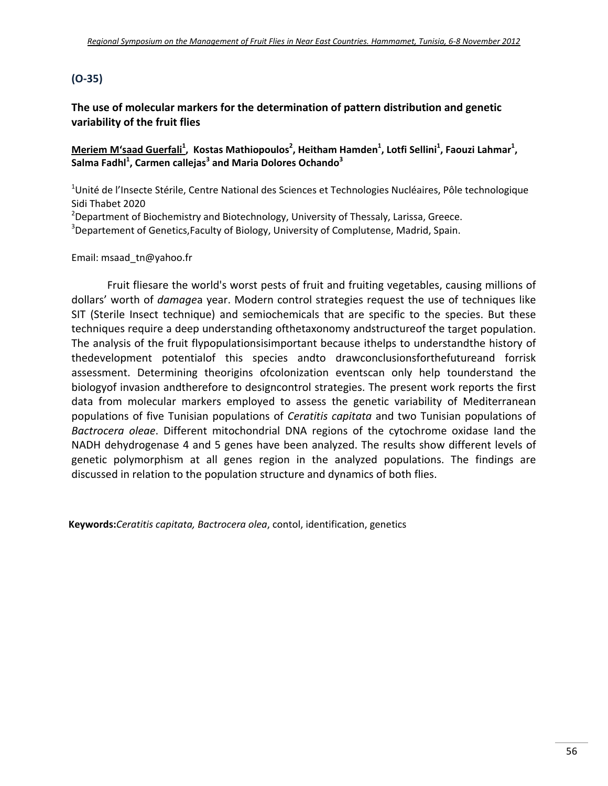## **(O‐35)**

## **The use of molecular markers for the determination of pattern distribution and genetic variability of the fruit flies**

<u>Meriem M'saad Guerfali<sup>1</sup></u>, Kostas Mathiopoulos<sup>2</sup>, Heitham Hamden<sup>1</sup>, Lotfi Sellini<sup>1</sup>, Faouzi Lahmar<sup>1</sup>, **Salma Fadhl1 , Carmen callejas<sup>3</sup> and Maria Dolores Ochando3**

<sup>1</sup>Unité de l'Insecte Stérile, Centre National des Sciences et Technologies Nucléaires, Pôle technologique Sidi Thabet 2020

<sup>2</sup>Department of Biochemistry and Biotechnology, University of Thessaly, Larissa, Greece.

<sup>3</sup>Departement of Genetics,Faculty of Biology, University of Complutense, Madrid, Spain.

#### Email: msaad\_tn@yahoo.fr

Fruit fliesare the world's worst pests of fruit and fruiting vegetables, causing millions of dollars' worth of *damage*a year. Modern control strategies request the use of techniques like SIT (Sterile Insect technique) and semiochemicals that are specific to the species. But these techniques require a deep understanding ofthetaxonomy andstructureof the target population. The analysis of the fruit flypopulationsisimportant because ithelps to understandthe history of thedevelopment potentialof this species andto drawconclusionsforthefutureand forrisk assessment. Determining theorigins ofcolonization eventscan only help tounderstand the biologyof invasion andtherefore to designcontrol strategies. The present work reports the first data from molecular markers employed to assess the genetic variability of Mediterranean populations of five Tunisian populations of *Ceratitis capitata* and two Tunisian populations of *Bactrocera oleae*. Different mitochondrial DNA regions of the cytochrome oxidase Iand the NADH dehydrogenase 4 and 5 genes have been analyzed. The results show different levels of genetic polymorphism at all genes region in the analyzed populations. The findings are discussed in relation to the population structure and dynamics of both flies.

**Keywords:***Ceratitis capitata, Bactrocera olea*, contol, identification, genetics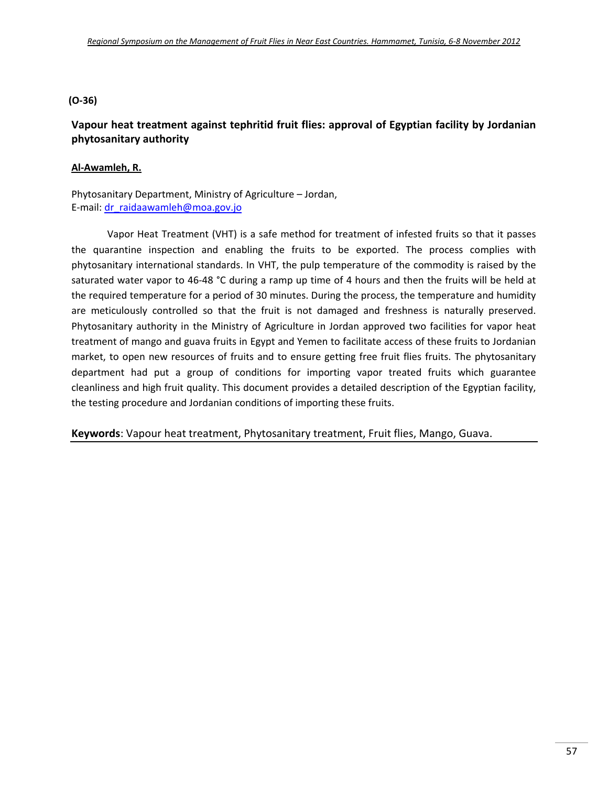#### **(O‐36)**

## **Vapour heat treatment against tephritid fruit flies: approval of Egyptian facility by Jordanian phytosanitary authority**

#### **Al‐Awamleh, R.**

Phytosanitary Department, Ministry of Agriculture – Jordan, E‐mail: dr\_raidaawamleh@moa.gov.jo

Vapor Heat Treatment (VHT) is a safe method for treatment of infested fruits so that it passes the quarantine inspection and enabling the fruits to be exported. The process complies with phytosanitary international standards. In VHT, the pulp temperature of the commodity is raised by the saturated water vapor to 46-48 °C during a ramp up time of 4 hours and then the fruits will be held at the required temperature for a period of 30 minutes. During the process, the temperature and humidity are meticulously controlled so that the fruit is not damaged and freshness is naturally preserved. Phytosanitary authority in the Ministry of Agriculture in Jordan approved two facilities for vapor heat treatment of mango and guava fruits in Egypt and Yemen to facilitate access of these fruits to Jordanian market, to open new resources of fruits and to ensure getting free fruit flies fruits. The phytosanitary department had put a group of conditions for importing vapor treated fruits which guarantee cleanliness and high fruit quality. This document provides a detailed description of the Egyptian facility, the testing procedure and Jordanian conditions of importing these fruits.

**Keywords**: Vapour heat treatment, Phytosanitary treatment, Fruit flies, Mango, Guava.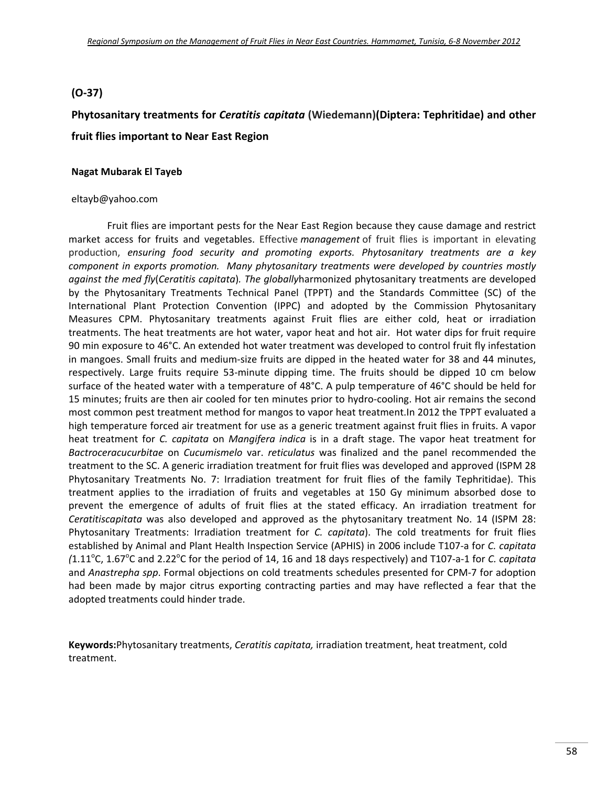#### **(O**-37)

## **Phytosanitary treatments for** *Ceratitis capitata* **(Wiedemann)(Diptera: Tephritidae) and other fruit flies important to Near East Region**

#### **Nagat Mubarak El Tayeb**

#### eltayb@yahoo.com

Fruit flies are important pests for the Near East Region because they cause damage and restrict market access for fruits and vegetables. Effective *management* of fruit flies is important in elevating production, *ensuring food security and promoting exports. Phytosanitary treatments are a key component in exports promotion. Many phytosanitary treatments were developed by countries mostly against the med fly*(*Ceratitis capitata*)*. The globally*harmonized phytosanitary treatments are developed by the Phytosanitary Treatments Technical Panel (TPPT) and the Standards Committee (SC) of the International Plant Protection Convention (IPPC) and adopted by the Commission Phytosanitary Measures CPM. Phytosanitary treatments against Fruit flies are either cold, heat or irradiation treatments. The heat treatments are hot water, vapor heat and hot air. Hot water dips for fruit require 90 min exposure to 46°C. An extended hot water treatment was developed to control fruit fly infestation in mangoes. Small fruits and medium‐size fruits are dipped in the heated water for 38 and 44 minutes, respectively. Large fruits require 53‐minute dipping time. The fruits should be dipped 10 cm below surface of the heated water with a temperature of 48°C. A pulp temperature of 46°C should be held for 15 minutes; fruits are then air cooled for ten minutes prior to hydro-cooling. Hot air remains the second most common pest treatment method for mangos to vapor heat treatment.In 2012 the TPPT evaluated a high temperature forced air treatment for use as a generic treatment against fruit flies in fruits. A vapor heat treatment for *C. capitata* on *Mangifera indica* is in a draft stage. The vapor heat treatment for *Bactroceracucurbitae* on *Cucumismelo* var. *reticulatus* was finalized and the panel recommended the treatment to the SC. A generic irradiation treatment for fruit flies was developed and approved (ISPM 28 Phytosanitary Treatments No. 7: Irradiation treatment for fruit flies of the family Tephritidae). This treatment applies to the irradiation of fruits and vegetables at 150 Gy minimum absorbed dose to prevent the emergence of adults of fruit flies at the stated efficacy. An irradiation treatment for *Ceratitiscapitata* was also developed and approved as the phytosanitary treatment No. 14 (ISPM 28: Phytosanitary Treatments: Irradiation treatment for *C. capitata*). The cold treatments for fruit flies established by Animal and Plant Health Inspection Service (APHIS) in 2006 include T107‐a for *C. capitata* (1.11<sup>o</sup>C, 1.67<sup>o</sup>C and 2.22<sup>o</sup>C for the period of 14, 16 and 18 days respectively) and T107-a-1 for *C. capitata* and *Anastrepha spp*. Formal objections on cold treatments schedules presented for CPM‐7 for adoption had been made by major citrus exporting contracting parties and may have reflected a fear that the adopted treatments could hinder trade.

**Keywords:**Phytosanitary treatments, *Ceratitis capitata,* irradiation treatment, heat treatment, cold treatment.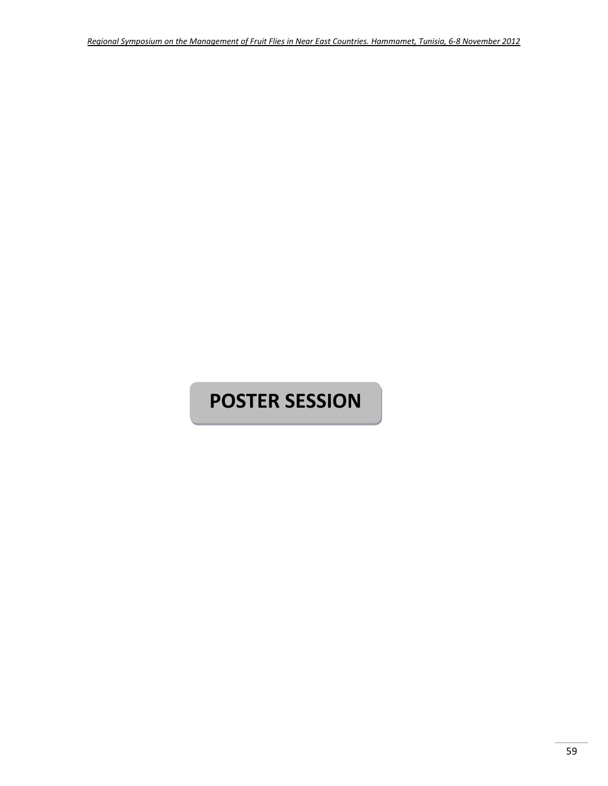# **POSTER SESSION**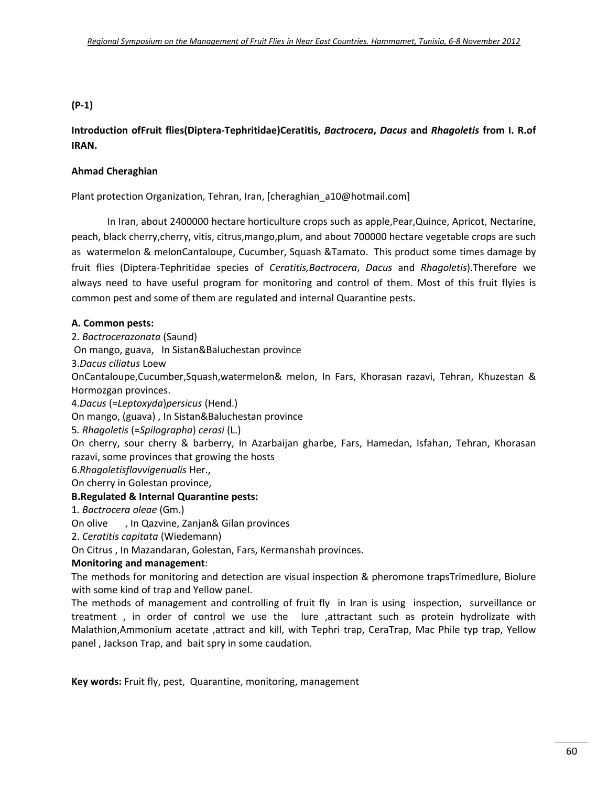#### **(P‐1)**

## **Introduction ofFruit flies(Diptera‐Tephritidae)Ceratitis,** *Bactrocera***,** *Dacus* **and** *Rhagoletis* **from I. R.of IRAN.**

#### **Ahmad Cheraghian**

Plant protection Organization, Tehran, Iran, [cheraghian\_a10@hotmail.com]

In Iran, about 2400000 hectare horticulture crops such as apple,Pear,Quince, Apricot, Nectarine, peach, black cherry,cherry, vitis, citrus,mango,plum, and about 700000 hectare vegetable crops are such as watermelon & melonCantaloupe, Cucumber, Squash &Tamato. This product some times damage by fruit flies (Diptera‐Tephritidae species of *Ceratitis,Bactrocera*, *Dacus* and *Rhagoletis*).Therefore we always need to have useful program for monitoring and control of them. Most of this fruit flyies is common pest and some of them are regulated and internal Quarantine pests.

#### **A. Common pests:**

2. *Bactrocerazonata* (Saund)

On mango, guava, In Sistan&Baluchestan province

3.*Dacus ciliatus* Loew

OnCantaloupe,Cucumber,Squash,watermelon& melon, In Fars, Khorasan razavi, Tehran, Khuzestan & Hormozgan provinces.

4.*Dacus* (=*Leptoxyda*)*persicus* (Hend.)

On mango, (guava) , In Sistan&Baluchestan province

5*. Rhagoletis* (=*Spilographa*) *cerasi* (L.)

On cherry, sour cherry & barberry, In Azarbaijan gharbe, Fars, Hamedan, Isfahan, Tehran, Khorasan razavi, some provinces that growing the hosts

6.*Rhagoletisflavvigenualis* Her.,

On cherry in Golestan province,

#### **B.Regulated & Internal Quarantine pests:**

1. *Bactrocera oleae* (Gm.)

On olive , In Qazvine, Zanjan& Gilan provinces

2. *Ceratitis capitata* (Wiedemann)

On Citrus , In Mazandaran, Golestan, Fars, Kermanshah provinces.

#### **Monitoring and management**:

The methods for monitoring and detection are visual inspection & pheromone trapsTrimedlure, Biolure with some kind of trap and Yellow panel.

The methods of management and controlling of fruit fly in Iran is using inspection, surveillance or treatment, in order of control we use the lure ,attractant such as protein hydrolizate with Malathion,Ammonium acetate ,attract and kill, with Tephri trap, CeraTrap, Mac Phile typ trap, Yellow panel , Jackson Trap, and bait spry in some caudation.

**Key words:** Fruit fly, pest, Quarantine, monitoring, management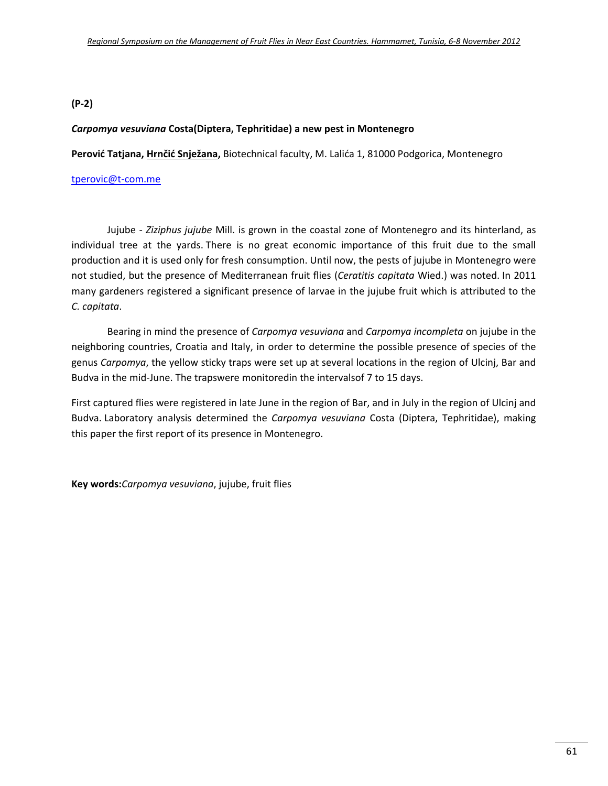#### **(P‐2)**

#### *Carpomya vesuviana* **Costa(Diptera, Tephritidae) a new pest in Montenegro**

**Perović Tatjana, Hrnčić Snježana,** Biotechnical faculty, M. Lalića 1, 81000 Podgorica, Montenegro

#### tperovic@t‐com.me

Jujube ‐ *Ziziphus jujube* Mill. is grown in the coastal zone of Montenegro and its hinterland, as individual tree at the yards. There is no great economic importance of this fruit due to the small production and it is used only for fresh consumption. Until now, the pests of jujube in Montenegro were not studied, but the presence of Mediterranean fruit flies (*Ceratitis capitata* Wied.) was noted. In 2011 many gardeners registered a significant presence of larvae in the jujube fruit which is attributed to the *C. capitata*.

Bearing in mind the presence of *Carpomya vesuviana* and *Carpomya incompleta* on jujube in the neighboring countries, Croatia and Italy, in order to determine the possible presence of species of the genus *Carpomya*, the yellow sticky traps were set up at several locations in the region of Ulcinj, Bar and Budva in the mid‐June. The trapswere monitoredin the intervalsof 7 to 15 days.

First captured flies were registered in late June in the region of Bar, and in July in the region of Ulcinj and Budva. Laboratory analysis determined the *Carpomya vesuviana* Costa (Diptera, Tephritidae), making this paper the first report of its presence in Montenegro.

**Key words:***Carpomya vesuviana*, jujube, fruit flies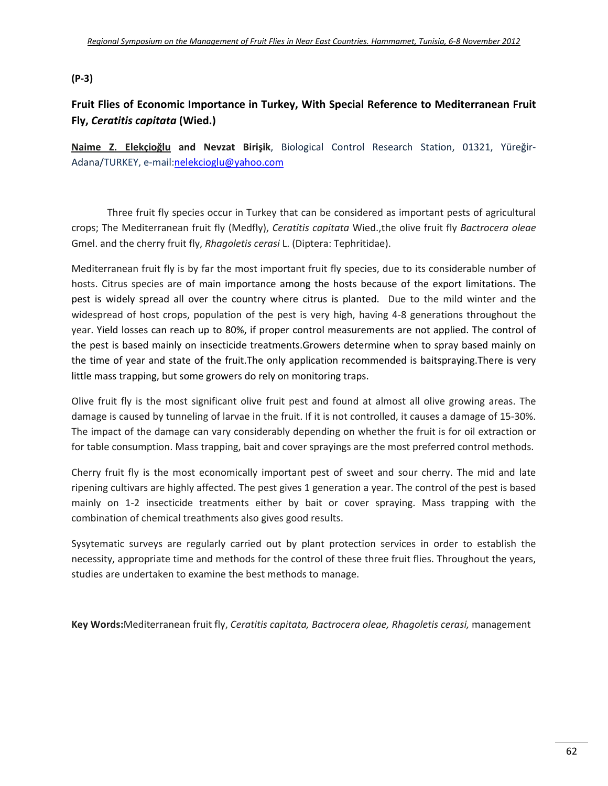#### **(P‐3)**

## **Fruit Flies of Economic Importance in Turkey, With Special Reference to Mediterranean Fruit Fly,** *Ceratitis capitata* **(Wied.)**

**Naime Z. Elekçioğlu and Nevzat Birişik**, Biological Control Research Station, 01321, Yüreğir‐ Adana/TURKEY, e‐mail:nelekcioglu@yahoo.com

Three fruit fly species occur in Turkey that can be considered as important pests of agricultural crops; The Mediterranean fruit fly (Medfly), *Ceratitis capitata* Wied.,the olive fruit fly *Bactrocera oleae* Gmel. and the cherry fruit fly, *Rhagoletis cerasi* L. (Diptera: Tephritidae).

Mediterranean fruit fly is by far the most important fruit fly species, due to its considerable number of hosts. Citrus species are of main importance among the hosts because of the export limitations. The pest is widely spread all over the country where citrus is planted. Due to the mild winter and the widespread of host crops, population of the pest is very high, having 4‐8 generations throughout the year. Yield losses can reach up to 80%, if proper control measurements are not applied. The control of the pest is based mainly on insecticide treatments.Growers determine when to spray based mainly on the time of year and state of the fruit.The only application recommended is baitspraying.There is very little mass trapping, but some growers do rely on monitoring traps.

Olive fruit fly is the most significant olive fruit pest and found at almost all olive growing areas. The damage is caused by tunneling of larvae in the fruit. If it is not controlled, it causes a damage of 15‐30%. The impact of the damage can vary considerably depending on whether the fruit is for oil extraction or for table consumption. Mass trapping, bait and cover sprayings are the most preferred control methods.

Cherry fruit fly is the most economically important pest of sweet and sour cherry. The mid and late ripening cultivars are highly affected. The pest gives 1 generation a year. The control of the pest is based mainly on 1-2 insecticide treatments either by bait or cover spraying. Mass trapping with the combination of chemical treathments also gives good results.

Sysytematic surveys are regularly carried out by plant protection services in order to establish the necessity, appropriate time and methods for the control of these three fruit flies. Throughout the years, studies are undertaken to examine the best methods to manage.

**Key Words:**Mediterranean fruit fly, *Ceratitis capitata, Bactrocera oleae, Rhagoletis cerasi,* management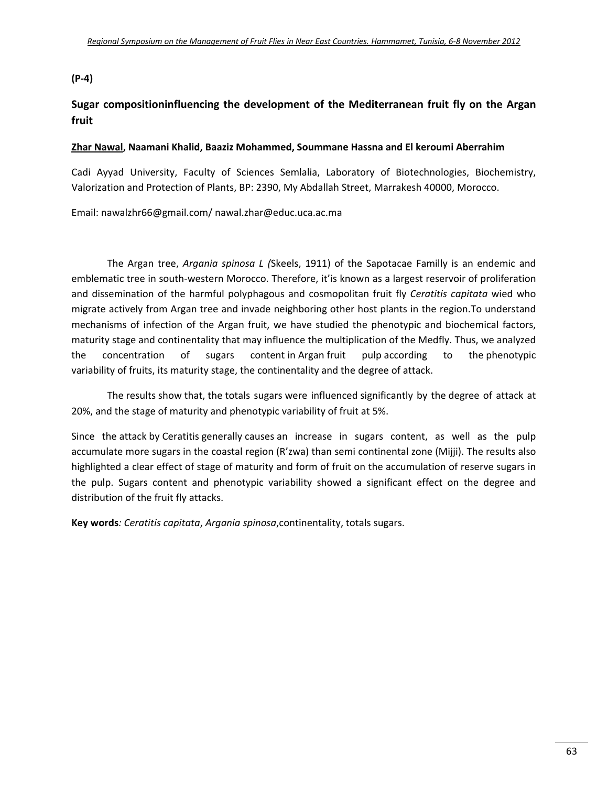#### **(P‐4)**

## **Sugar compositioninfluencing the development of the Mediterranean fruit fly on the Argan fruit**

#### **Zhar Nawal, Naamani Khalid, Baaziz Mohammed, Soummane Hassna and El keroumi Aberrahim**

Cadi Ayyad University, Faculty of Sciences Semlalia, Laboratory of Biotechnologies, Biochemistry, Valorization and Protection of Plants, BP: 2390, My Abdallah Street, Marrakesh 40000, Morocco.

Email: nawalzhr66@gmail.com/ nawal.zhar@educ.uca.ac.ma

The Argan tree, *Argania spinosa L (*Skeels, 1911) of the Sapotacae Familly is an endemic and emblematic tree in south-western Morocco. Therefore, it'is known as a largest reservoir of proliferation and dissemination of the harmful polyphagous and cosmopolitan fruit fly *Ceratitis capitata* wied who migrate actively from Argan tree and invade neighboring other host plants in the region.To understand mechanisms of infection of the Argan fruit, we have studied the phenotypic and biochemical factors, maturity stage and continentality that may influence the multiplication of the Medfly. Thus, we analyzed the concentration of sugars content in Argan fruit pulp according to the phenotypic variability of fruits, its maturity stage, the continentality and the degree of attack.

The results show that, the totals sugars were influenced significantly by the degree of attack at 20%, and the stage of maturity and phenotypic variability of fruit at 5%.

Since the attack by Ceratitis generally causes an increase in sugars content, as well as the pulp accumulate more sugars in the coastal region (R'zwa) than semi continental zone (Mijji). The results also highlighted a clear effect of stage of maturity and form of fruit on the accumulation of reserve sugars in the pulp. Sugars content and phenotypic variability showed a significant effect on the degree and distribution of the fruit fly attacks.

**Key words***: Ceratitis capitata*, *Argania spinosa*,continentality, totals sugars.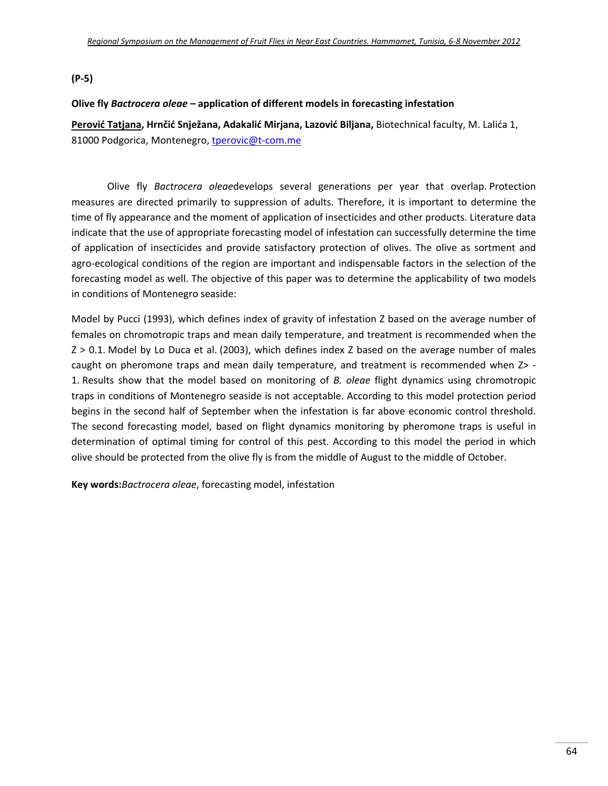**(P‐5)**

#### **Olive fly** *Bactrocera oleae* **– application of different models in forecasting infestation**

**Perović Tatjana, Hrnčić Snježana, Adakalić Mirjana, Lazović Biljana,** Biotechnical faculty, M. Lalića 1, 81000 Podgorica, Montenegro, tperovic@t-com.me

Olive fly *Bactrocera oleae*develops several generations per year that overlap. Protection measures are directed primarily to suppression of adults. Therefore, it is important to determine the time of fly appearance and the moment of application of insecticides and other products. Literature data indicate that the use of appropriate forecasting model of infestation can successfully determine the time of application of insecticides and provide satisfactory protection of olives. The olive as sortment and agro-ecological conditions of the region are important and indispensable factors in the selection of the forecasting model as well. The objective of this paper was to determine the applicability of two models in conditions of Montenegro seaside:

Model by Pucci (1993), which defines index of gravity of infestation Z based on the average number of females on chromotropic traps and mean daily temperature, and treatment is recommended when the Z > 0.1. Model by Lo Duca et al. (2003), which defines index Z based on the average number of males caught on pheromone traps and mean daily temperature, and treatment is recommended when  $Z$  -1. Results show that the model based on monitoring of *B. oleae* flight dynamics using chromotropic traps in conditions of Montenegro seaside is not acceptable. According to this model protection period begins in the second half of September when the infestation is far above economic control threshold. The second forecasting model, based on flight dynamics monitoring by pheromone traps is useful in determination of optimal timing for control of this pest. According to this model the period in which olive should be protected from the olive fly is from the middle of August to the middle of October.

**Key words:***Bactrocera oleae*, forecasting model, infestation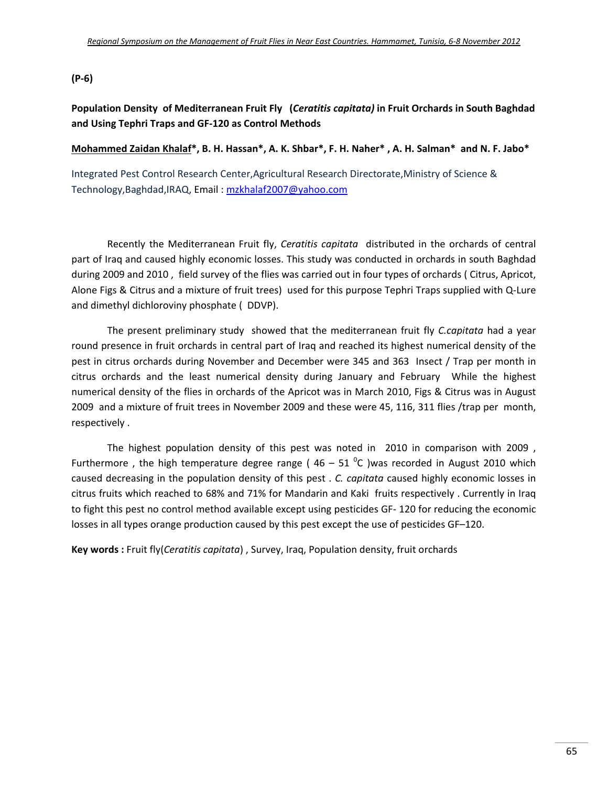#### **(P‐6)**

## **Population Density of Mediterranean Fruit Fly (***Ceratitis capitata)* **in Fruit Orchards in South Baghdad and Using Tephri Traps and GF‐120 as Control Methods**

#### Mohammed Zaidan Khalaf\*, B. H. Hassan\*, A. K. Shbar\*, F. H. Naher\*, A. H. Salman\* and N. F. Jabo\*

Integrated Pest Control Research Center,Agricultural Research Directorate,Ministry of Science & Technology,Baghdad,IRAQ, Email : mzkhalaf2007@yahoo.com

Recently the Mediterranean Fruit fly, *Ceratitis capitata* distributed in the orchards of central part of Iraq and caused highly economic losses. This study was conducted in orchards in south Baghdad during 2009 and 2010 , field survey of the flies was carried out in four types of orchards ( Citrus, Apricot, Alone Figs & Citrus and a mixture of fruit trees) used for this purpose Tephri Traps supplied with Q‐Lure and dimethyl dichloroviny phosphate ( DDVP).

The present preliminary study showed that the mediterranean fruit fly *C.capitata* had a year round presence in fruit orchards in central part of Iraq and reached its highest numerical density of the pest in citrus orchards during November and December were 345 and 363 Insect / Trap per month in citrus orchards and the least numerical density during January and February While the highest numerical density of the flies in orchards of the Apricot was in March 2010, Figs & Citrus was in August 2009 and a mixture of fruit trees in November 2009 and these were 45, 116, 311 flies /trap per month, respectively .

The highest population density of this pest was noted in 2010 in comparison with 2009, Furthermore , the high temperature degree range (  $46 - 51$   $^0$ C )was recorded in August 2010 which caused decreasing in the population density of this pest . *C. capitata* caused highly economic losses in citrus fruits which reached to 68% and 71% for Mandarin and Kaki fruits respectively . Currently in Iraq to fight this pest no control method available except using pesticides GF-120 for reducing the economic losses in all types orange production caused by this pest except the use of pesticides GF–120.

**Key words :** Fruit fly(*Ceratitis capitata*) , Survey, Iraq, Population density, fruit orchards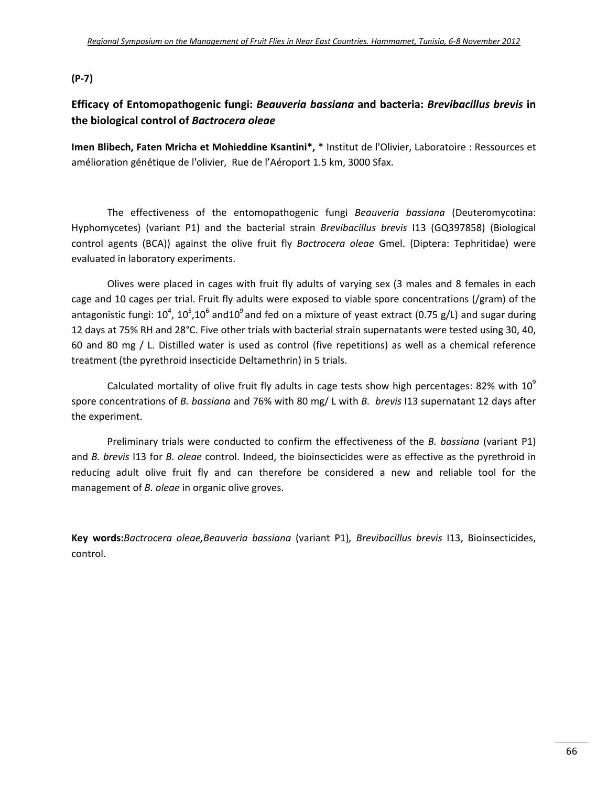#### **(P‐7)**

## **Efficacy of Entomopathogenic fungi:** *Beauveria bassiana* **and bacteria:** *Brevibacillus brevis* **in the biological control of** *Bactrocera oleae*

**Imen Blibech, Faten Mricha et Mohieddine Ksantini\*,** \* Institut de l'Olivier, Laboratoire : Ressources et amélioration génétique de l'olivier, Rue de l'Aéroport 1.5 km, 3000 Sfax.

The effectiveness of the entomopathogenic fungi *Beauveria bassiana* (Deuteromycotina: Hyphomycetes) (variant P1) and the bacterial strain *Brevibacillus brevis* I13 (GQ397858) (Biological control agents (BCA)) against the olive fruit fly *Bactrocera oleae* Gmel. (Diptera: Tephritidae) were evaluated in laboratory experiments.

Olives were placed in cages with fruit fly adults of varying sex (3 males and 8 females in each cage and 10 cages per trial. Fruit fly adults were exposed to viable spore concentrations (/gram) of the antagonistic fungi:  $10^4$ ,  $10^5$ , $10^6$  and $10^9$  and fed on a mixture of yeast extract (0.75 g/L) and sugar during 12 days at 75% RH and 28°C. Five other trials with bacterial strain supernatants were tested using 30, 40, 60 and 80 mg / L. Distilled water is used as control (five repetitions) as well as a chemical reference treatment (the pyrethroid insecticide Deltamethrin) in 5 trials.

Calculated mortality of olive fruit fly adults in cage tests show high percentages: 82% with  $10^9$ spore concentrations of *B. bassiana* and 76% with 80 mg/ L with *B. brevis* I13 supernatant 12 days after the experiment.

Preliminary trials were conducted to confirm the effectiveness of the *B. bassiana* (variant P1) and *B. brevis* I13 for *B. oleae* control. Indeed, the bioinsecticides were as effective as the pyrethroid in reducing adult olive fruit fly and can therefore be considered a new and reliable tool for the management of *B. oleae* in organic olive groves.

**Key words:***Bactrocera oleae,Beauveria bassiana* (variant P1)*, Brevibacillus brevis* I13, Bioinsecticides, control.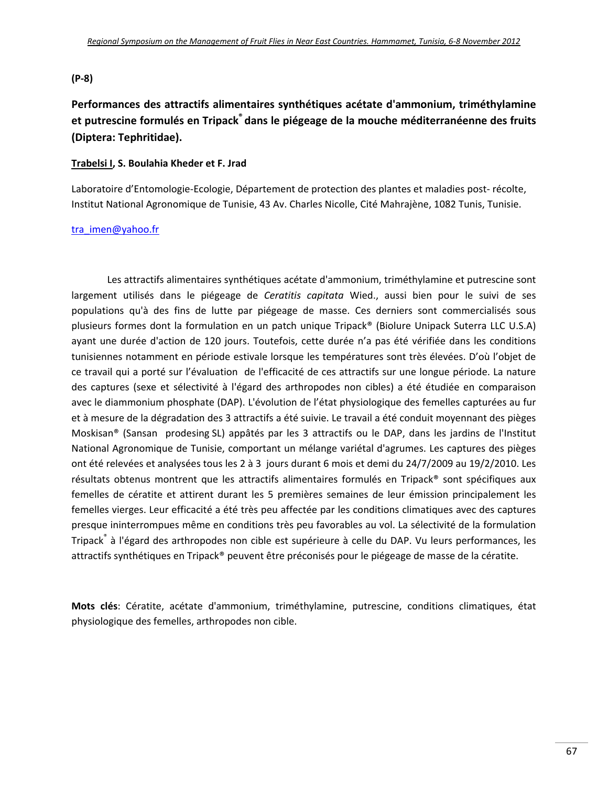#### **(P‐8)**

## **Performances des attractifs alimentaires synthétiques acétate d'ammonium, triméthylamine et putrescine formulés en Tripack® dans le piégeage de la mouche méditerranéenne des fruits (Diptera: Tephritidae).**

#### **Trabelsi I, S. Boulahia Kheder et F. Jrad**

Laboratoire d'Entomologie-Ecologie, Département de protection des plantes et maladies post-récolte, Institut National Agronomique de Tunisie, 43 Av. Charles Nicolle, Cité Mahrajène, 1082 Tunis, Tunisie.

#### tra\_imen@yahoo.fr

Les attractifs alimentaires synthétiques acétate d'ammonium, triméthylamine et putrescine sont largement utilisés dans le piégeage de *Ceratitis capitata* Wied., aussi bien pour le suivi de ses populations qu'à des fins de lutte par piégeage de masse. Ces derniers sont commercialisés sous plusieurs formes dont la formulation en un patch unique Tripack® (Biolure Unipack Suterra LLC U.S.A) ayant une durée d'action de 120 jours. Toutefois, cette durée n'a pas été vérifiée dans les conditions tunisiennes notamment en période estivale lorsque les températures sont très élevées. D'où l'objet de ce travail qui a porté sur l'évaluation de l'efficacité de ces attractifs sur une longue période. La nature des captures (sexe et sélectivité à l'égard des arthropodes non cibles) a été étudiée en comparaison avec le diammonium phosphate (DAP). L'évolution de l'état physiologique des femelles capturées au fur et à mesure de la dégradation des 3 attractifs a été suivie. Le travail a été conduit moyennant des pièges Moskisan® (Sansan prodesing SL) appâtés par les 3 attractifs ou le DAP, dans les jardins de l'Institut National Agronomique de Tunisie, comportant un mélange variétal d'agrumes. Les captures des pièges ont été relevées et analysées tous les 2 à 3 jours durant 6 mois et demi du 24/7/2009 au 19/2/2010. Les résultats obtenus montrent que les attractifs alimentaires formulés en Tripack® sont spécifiques aux femelles de cératite et attirent durant les 5 premières semaines de leur émission principalement les femelles vierges. Leur efficacité a été très peu affectée par les conditions climatiques avec des captures presque ininterrompues même en conditions très peu favorables au vol. La sélectivité de la formulation Tripack<sup>®</sup> à l'égard des arthropodes non cible est supérieure à celle du DAP. Vu leurs performances, les attractifs synthétiques en Tripack® peuvent être préconisés pour le piégeage de masse de la cératite.

**Mots clés**: Cératite, acétate d'ammonium, triméthylamine, putrescine, conditions climatiques, état physiologique des femelles, arthropodes non cible.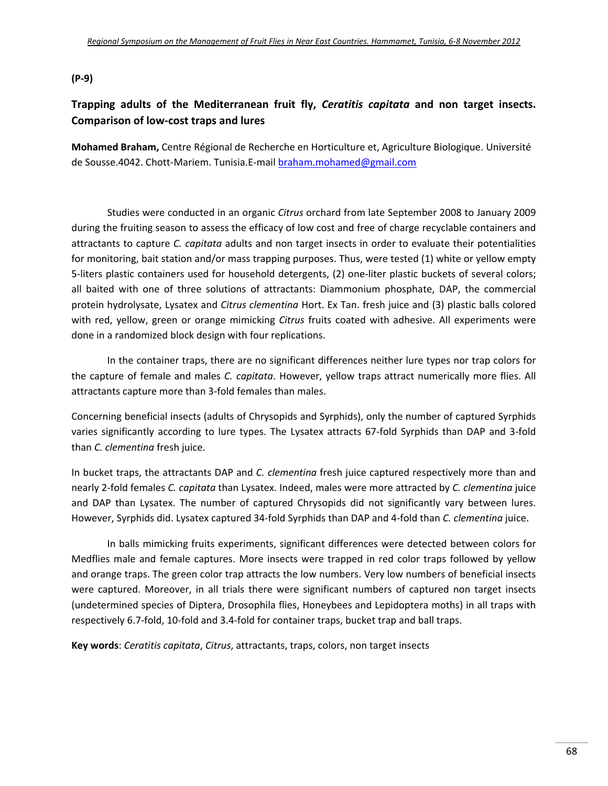#### **(P‐9)**

## **Trapping adults of the Mediterranean fruit fly,** *Ceratitis capitata* **and non target insects. Comparison of low‐cost traps and lures**

**Mohamed Braham,** Centre Régional de Recherche en Horticulture et, Agriculture Biologique. Université de Sousse.4042. Chott‐Mariem. Tunisia.E‐mail braham.mohamed@gmail.com

Studies were conducted in an organic *Citrus* orchard from late September 2008 to January 2009 during the fruiting season to assess the efficacy of low cost and free of charge recyclable containers and attractants to capture *C. capitata* adults and non target insects in order to evaluate their potentialities for monitoring, bait station and/or mass trapping purposes. Thus, were tested (1) white or yellow empty 5‐liters plastic containers used for household detergents, (2) one‐liter plastic buckets of several colors; all baited with one of three solutions of attractants: Diammonium phosphate, DAP, the commercial protein hydrolysate, Lysatex and *Citrus clementina* Hort. Ex Tan. fresh juice and (3) plastic balls colored with red, yellow, green or orange mimicking *Citrus* fruits coated with adhesive. All experiments were done in a randomized block design with four replications.

In the container traps, there are no significant differences neither lure types nor trap colors for the capture of female and males *C. capitata*. However, yellow traps attract numerically more flies. All attractants capture more than 3‐fold females than males.

Concerning beneficial insects (adults of Chrysopids and Syrphids), only the number of captured Syrphids varies significantly according to lure types. The Lysatex attracts 67‐fold Syrphids than DAP and 3‐fold than *C. clementina* fresh juice.

In bucket traps, the attractants DAP and *C. clementina* fresh juice captured respectively more than and nearly 2‐fold females *C. capitata* than Lysatex. Indeed, males were more attracted by *C. clementina* juice and DAP than Lysatex. The number of captured Chrysopids did not significantly vary between lures. However, Syrphids did. Lysatex captured 34‐fold Syrphids than DAP and 4‐fold than *C. clementina* juice.

In balls mimicking fruits experiments, significant differences were detected between colors for Medflies male and female captures. More insects were trapped in red color traps followed by yellow and orange traps. The green color trap attracts the low numbers. Very low numbers of beneficial insects were captured. Moreover, in all trials there were significant numbers of captured non target insects (undetermined species of Diptera, Drosophila flies, Honeybees and Lepidoptera moths) in all traps with respectively 6.7‐fold, 10‐fold and 3.4‐fold for container traps, bucket trap and ball traps.

**Key words**: *Ceratitis capitata*, *Citrus*, attractants, traps, colors, non target insects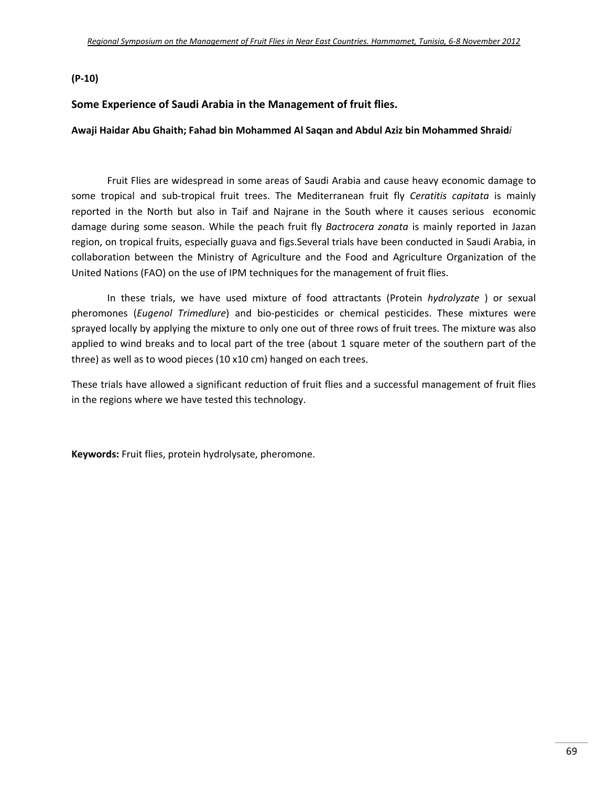#### **(P‐10)**

#### **Some Experience of Saudi Arabia in the Management of fruit flies.**

#### **Awaji Haidar Abu Ghaith; Fahad bin Mohammed Al Saqan and Abdul Aziz bin Mohammed Shraid***i*

Fruit Flies are widespread in some areas of Saudi Arabia and cause heavy economic damage to some tropical and sub‐tropical fruit trees. The Mediterranean fruit fly *Ceratitis capitata* is mainly reported in the North but also in Taif and Najrane in the South where it causes serious economic damage during some season. While the peach fruit fly *Bactrocera zonata* is mainly reported in Jazan region, on tropical fruits, especially guava and figs.Several trials have been conducted in Saudi Arabia, in collaboration between the Ministry of Agriculture and the Food and Agriculture Organization of the United Nations (FAO) on the use of IPM techniques for the management of fruit flies.

In these trials, we have used mixture of food attractants (Protein *hydrolyzate* ) or sexual pheromones (*Eugenol Trimedlure*) and bio‐pesticides or chemical pesticides. These mixtures were sprayed locally by applying the mixture to only one out of three rows of fruit trees. The mixture was also applied to wind breaks and to local part of the tree (about 1 square meter of the southern part of the three) as well as to wood pieces (10 x10 cm) hanged on each trees.

These trials have allowed a significant reduction of fruit flies and a successful management of fruit flies in the regions where we have tested this technology.

**Keywords:** Fruit flies, protein hydrolysate, pheromone.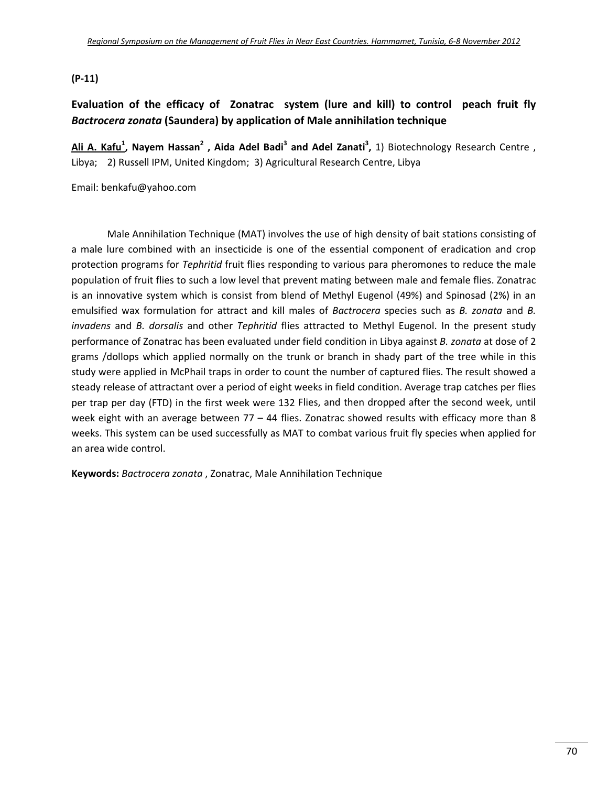#### **(P‐11)**

## **Evaluation of the efficacy of Zonatrac system (lure and kill) to control peach fruit fly** *Bactrocera zonata* **(Saundera) by application of Male annihilation technique**

**Ali A. Kafu1 , Nayem Hassan2 , Aida Adel Badi<sup>3</sup> and Adel Zanati3 ,** 1) Biotechnology Research Centre , Libya; 2) Russell IPM, United Kingdom; 3) Agricultural Research Centre, Libya

Email: benkafu@yahoo.com

Male Annihilation Technique (MAT) involves the use of high density of bait stations consisting of a male lure combined with an insecticide is one of the essential component of eradication and crop protection programs for *Tephritid* fruit flies responding to various para pheromones to reduce the male population of fruit flies to such a low level that prevent mating between male and female flies. Zonatrac is an innovative system which is consist from blend of Methyl Eugenol (49%) and Spinosad (2%) in an emulsified wax formulation for attract and kill males of *Bactrocera* species such as *B. zonata* and *B. invadens* and *B. dorsalis* and other *Tephritid* flies attracted to Methyl Eugenol. In the present study performance of Zonatrac has been evaluated under field condition in Libya against *B. zonata* at dose of 2 grams /dollops which applied normally on the trunk or branch in shady part of the tree while in this study were applied in McPhail traps in order to count the number of captured flies. The result showed a steady release of attractant over a period of eight weeks in field condition. Average trap catches per flies per trap per day (FTD) in the first week were 132 Flies, and then dropped after the second week, until week eight with an average between 77 – 44 flies. Zonatrac showed results with efficacy more than 8 weeks. This system can be used successfully as MAT to combat various fruit fly species when applied for an area wide control.

**Keywords:** *Bactrocera zonata* , Zonatrac, Male Annihilation Technique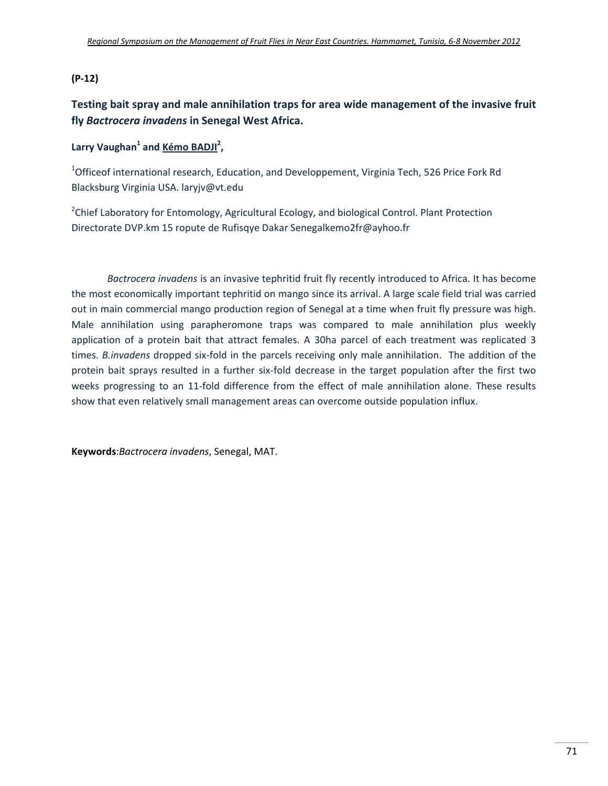#### **(P‐12)**

**Testing bait spray and male annihilation traps for area wide management of the invasive fruit fly** *Bactrocera invadens* **in Senegal West Africa.**

## **Larry Vaughan**<sup>1</sup> and **Kémo BADJI**<sup>2</sup>,

<sup>1</sup>Officeof international research, Education, and Developpement, Virginia Tech, 526 Price Fork Rd Blacksburg Virginia USA. laryjv@vt.edu

<sup>2</sup>Chief Laboratory for Entomology, Agricultural Ecology, and biological Control. Plant Protection Directorate DVP.km 15 ropute de Rufisqye Dakar Senegalkemo2fr@ayhoo.fr

*Bactrocera invadens* is an invasive tephritid fruit fly recently introduced to Africa. It has become the most economically important tephritid on mango since its arrival. A large scale field trial was carried out in main commercial mango production region of Senegal at a time when fruit fly pressure was high. Male annihilation using parapheromone traps was compared to male annihilation plus weekly application of a protein bait that attract females. A 30ha parcel of each treatment was replicated 3 times. *B.invadens* dropped six‐fold in the parcels receiving only male annihilation. The addition of the protein bait sprays resulted in a further six-fold decrease in the target population after the first two weeks progressing to an 11‐fold difference from the effect of male annihilation alone. These results show that even relatively small management areas can overcome outside population influx.

**Keywords**:*Bactrocera invadens*, Senegal, MAT.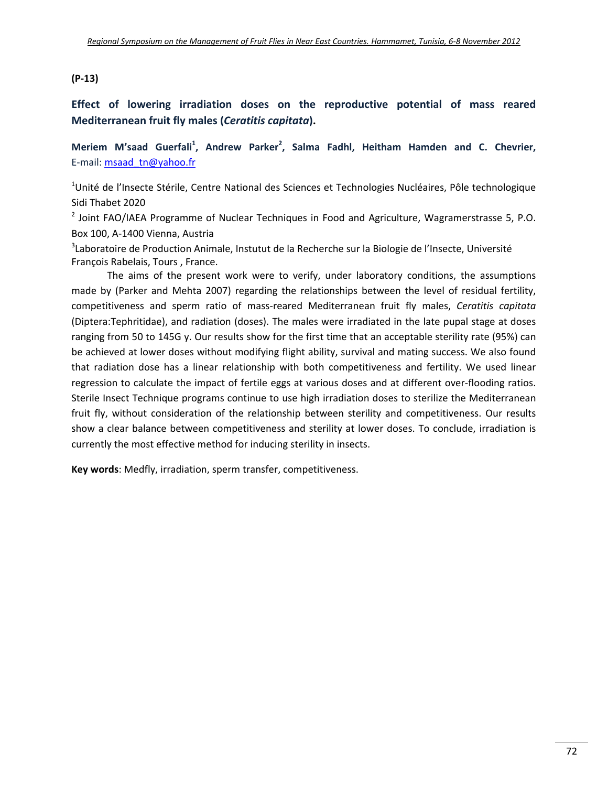#### **(P‐13)**

**Effect of lowering irradiation doses on the reproductive potential of mass reared Mediterranean fruit fly males (***Ceratitis capitata***).**

**Meriem M'saad Guerfali<sup>1</sup> , Andrew Parker2 , Salma Fadhl, Heitham Hamden and C. Chevrier,** E-mail: msaad\_tn@yahoo.fr

<sup>1</sup>Unité de l'Insecte Stérile, Centre National des Sciences et Technologies Nucléaires, Pôle technologique Sidi Thabet 2020

<sup>2</sup> Joint FAO/IAEA Programme of Nuclear Techniques in Food and Agriculture, Wagramerstrasse 5, P.O. Box 100, A‐1400 Vienna, Austria

<sup>3</sup>Laboratoire de Production Animale, Instutut de la Recherche sur la Biologie de l'Insecte, Université François Rabelais, Tours , France.

The aims of the present work were to verify, under laboratory conditions, the assumptions made by (Parker and Mehta 2007) regarding the relationships between the level of residual fertility, competitiveness and sperm ratio of mass‐reared Mediterranean fruit fly males, *Ceratitis capitata* (Diptera:Tephritidae), and radiation (doses). The males were irradiated in the late pupal stage at doses ranging from 50 to 145G y. Our results show for the first time that an acceptable sterility rate (95%) can be achieved at lower doses without modifying flight ability, survival and mating success. We also found that radiation dose has a linear relationship with both competitiveness and fertility. We used linear regression to calculate the impact of fertile eggs at various doses and at different over-flooding ratios. Sterile Insect Technique programs continue to use high irradiation doses to sterilize the Mediterranean fruit fly, without consideration of the relationship between sterility and competitiveness. Our results show a clear balance between competitiveness and sterility at lower doses. To conclude, irradiation is currently the most effective method for inducing sterility in insects.

**Key words**: Medfly, irradiation, sperm transfer, competitiveness.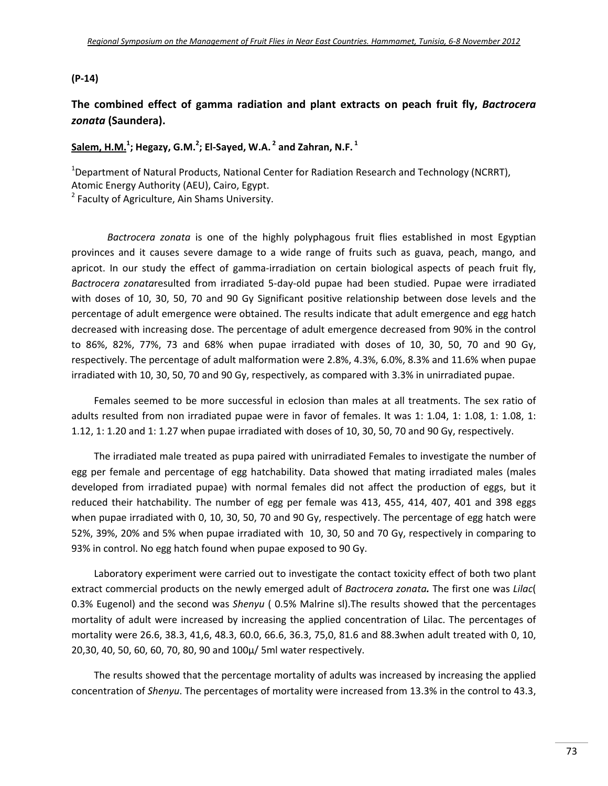#### **(P‐14)**

## **The combined effect of gamma radiation and plant extracts on peach fruit fly,** *Bactrocera zonata* **(Saundera).**

## **Salem, H.M.<sup>1</sup> ; Hegazy, G.M.<sup>2</sup> ; El‐Sayed, W.A. <sup>2</sup> and Zahran, N.F. <sup>1</sup>**

<sup>1</sup>Department of Natural Products, National Center for Radiation Research and Technology (NCRRT),

Atomic Energy Authority (AEU), Cairo, Egypt.

<sup>2</sup> Faculty of Agriculture, Ain Shams University.

*Bactrocera zonata* is one of the highly polyphagous fruit flies established in most Egyptian provinces and it causes severe damage to a wide range of fruits such as guava, peach, mango, and apricot. In our study the effect of gamma-irradiation on certain biological aspects of peach fruit fly, *Bactrocera zonata*resulted from irradiated 5‐day‐old pupae had been studied. Pupae were irradiated with doses of 10, 30, 50, 70 and 90 Gy Significant positive relationship between dose levels and the percentage of adult emergence were obtained. The results indicate that adult emergence and egg hatch decreased with increasing dose. The percentage of adult emergence decreased from 90% in the control to 86%, 82%, 77%, 73 and 68% when pupae irradiated with doses of 10, 30, 50, 70 and 90 Gy, respectively. The percentage of adult malformation were 2.8%, 4.3%, 6.0%, 8.3% and 11.6% when pupae irradiated with 10, 30, 50, 70 and 90 Gy, respectively, as compared with 3.3% in unirradiated pupae.

Females seemed to be more successful in eclosion than males at all treatments. The sex ratio of adults resulted from non irradiated pupae were in favor of females. It was 1: 1.04, 1: 1.08, 1: 1.08, 1: 1.12, 1: 1.20 and 1: 1.27 when pupae irradiated with doses of 10, 30, 50, 70 and 90 Gy, respectively.

The irradiated male treated as pupa paired with unirradiated Females to investigate the number of egg per female and percentage of egg hatchability. Data showed that mating irradiated males (males developed from irradiated pupae) with normal females did not affect the production of eggs, but it reduced their hatchability. The number of egg per female was 413, 455, 414, 407, 401 and 398 eggs when pupae irradiated with 0, 10, 30, 50, 70 and 90 Gy, respectively. The percentage of egg hatch were 52%, 39%, 20% and 5% when pupae irradiated with 10, 30, 50 and 70 Gy, respectively in comparing to 93% in control. No egg hatch found when pupae exposed to 90 Gy.

Laboratory experiment were carried out to investigate the contact toxicity effect of both two plant extract commercial products on the newly emerged adult of *Bactrocera zonata.* The first one was *Lilac*( 0.3% Eugenol) and the second was *Shenyu* ( 0.5% Malrine sl).The results showed that the percentages mortality of adult were increased by increasing the applied concentration of Lilac. The percentages of mortality were 26.6, 38.3, 41,6, 48.3, 60.0, 66.6, 36.3, 75,0, 81.6 and 88.3when adult treated with 0, 10, 20,30, 40, 50, 60, 60, 70, 80, 90 and 100µ/ 5ml water respectively.

The results showed that the percentage mortality of adults was increased by increasing the applied concentration of *Shenyu*. The percentages of mortality were increased from 13.3% in the control to 43.3,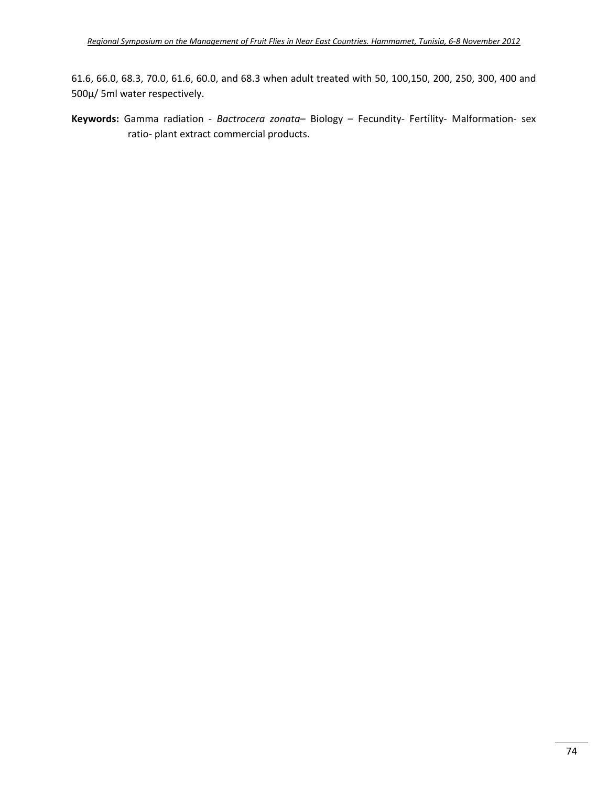61.6, 66.0, 68.3, 70.0, 61.6, 60.0, and 68.3 when adult treated with 50, 100,150, 200, 250, 300, 400 and 500µ/ 5ml water respectively.

Keywords: Gamma radiation - Bactrocera zonata- Biology - Fecundity- Fertility- Malformation- sex ratio‐ plant extract commercial products.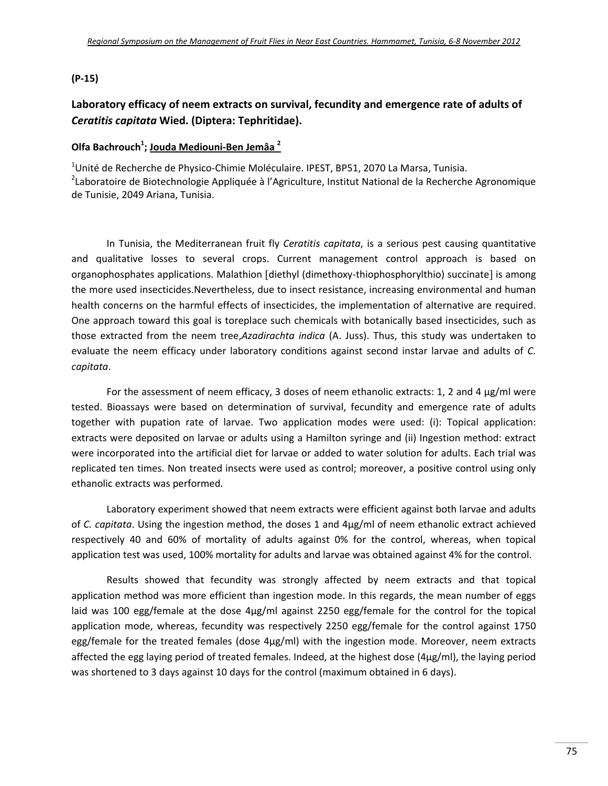#### **(P‐15)**

# **Laboratory efficacy of neem extracts on survival, fecundity and emergence rate of adults of** *Ceratitis capitata* **Wied. (Diptera: Tephritidae).**

### **Olfa Bachrouch1 ; Jouda Mediouni‐Ben Jemâa <sup>2</sup>**

<sup>1</sup>Unité de Recherche de Physico-Chimie Moléculaire. IPEST, BP51, 2070 La Marsa, Tunisia. <sup>2</sup>Laboratoire de Biotechnologie Appliquée à l'Agriculture, Institut National de la Recherche Agronomique de Tunisie, 2049 Ariana, Tunisia.

In Tunisia, the Mediterranean fruit fly *Ceratitis capitata*, is a serious pest causing quantitative and qualitative losses to several crops. Current management control approach is based on organophosphates applications. Malathion [diethyl (dimethoxy-thiophosphorylthio) succinate] is among the more used insecticides.Nevertheless, due to insect resistance, increasing environmental and human health concerns on the harmful effects of insecticides, the implementation of alternative are required. One approach toward this goal is toreplace such chemicals with botanically based insecticides, such as those extracted from the neem tree,*Azadirachta indica* (A. Juss). Thus, this study was undertaken to evaluate the neem efficacy under laboratory conditions against second instar larvae and adults of *C. capitata*.

For the assessment of neem efficacy, 3 doses of neem ethanolic extracts: 1, 2 and 4 µg/ml were tested. Bioassays were based on determination of survival, fecundity and emergence rate of adults together with pupation rate of larvae. Two application modes were used: (i): Topical application: extracts were deposited on larvae or adults using a Hamilton syringe and (ii) Ingestion method: extract were incorporated into the artificial diet for larvae or added to water solution for adults. Each trial was replicated ten times. Non treated insects were used as control; moreover, a positive control using only ethanolic extracts was performed.

Laboratory experiment showed that neem extracts were efficient against both larvae and adults of *C. capitata*. Using the ingestion method, the doses 1 and 4µg/ml of neem ethanolic extract achieved respectively 40 and 60% of mortality of adults against 0% for the control, whereas, when topical application test was used, 100% mortality for adults and larvae was obtained against 4% for the control.

Results showed that fecundity was strongly affected by neem extracts and that topical application method was more efficient than ingestion mode. In this regards, the mean number of eggs laid was 100 egg/female at the dose 4µg/ml against 2250 egg/female for the control for the topical application mode, whereas, fecundity was respectively 2250 egg/female for the control against 1750 egg/female for the treated females (dose 4µg/ml) with the ingestion mode. Moreover, neem extracts affected the egg laying period of treated females. Indeed, at the highest dose  $(4\mu g/ml)$ , the laying period was shortened to 3 days against 10 days for the control (maximum obtained in 6 days).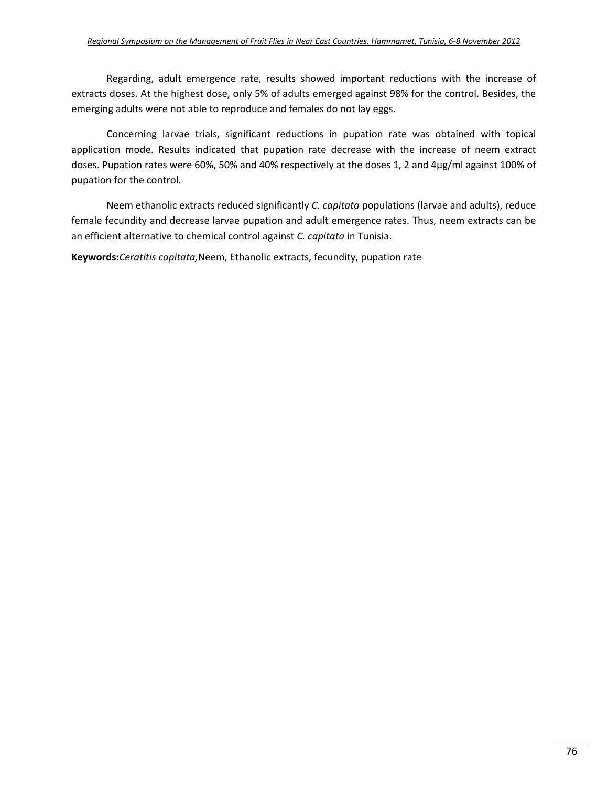Regarding, adult emergence rate, results showed important reductions with the increase of extracts doses. At the highest dose, only 5% of adults emerged against 98% for the control. Besides, the emerging adults were not able to reproduce and females do not lay eggs.

Concerning larvae trials, significant reductions in pupation rate was obtained with topical application mode. Results indicated that pupation rate decrease with the increase of neem extract doses. Pupation rates were 60%, 50% and 40% respectively at the doses 1, 2 and 4µg/ml against 100% of pupation for the control.

Neem ethanolic extracts reduced significantly *C. capitata* populations (larvae and adults), reduce female fecundity and decrease larvae pupation and adult emergence rates. Thus, neem extracts can be an efficient alternative to chemical control against *C. capitata* in Tunisia.

**Keywords:***Ceratitis capitata,*Neem, Ethanolic extracts, fecundity, pupation rate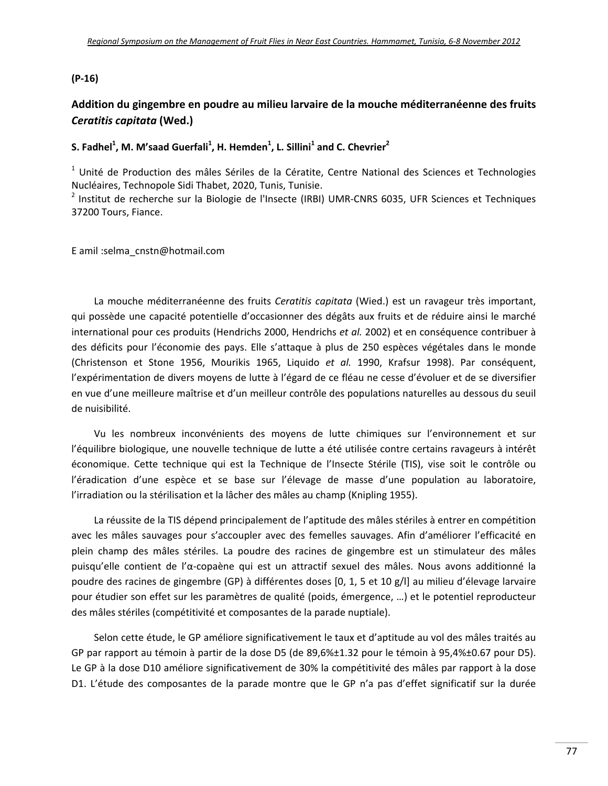#### **(P‐16)**

## **Addition du gingembre en poudre au milieu larvaire de la mouche méditerranéenne des fruits** *Ceratitis capitata* **(Wed.)**

## **S. Fadhel1 , M. M'saad Guerfali<sup>1</sup> , H. Hemden<sup>1</sup> , L. Sillini<sup>1</sup> and C. Chevrier<sup>2</sup>**

 $1$  Unité de Production des mâles Sériles de la Cératite, Centre National des Sciences et Technologies Nucléaires, Technopole Sidi Thabet, 2020, Tunis, Tunisie.

<sup>2</sup> Institut de recherche sur la Biologie de l'Insecte (IRBI) UMR-CNRS 6035, UFR Sciences et Techniques 37200 Tours, Fiance.

E amil :selma\_cnstn@hotmail.com

La mouche méditerranéenne des fruits *Ceratitis capitata* (Wied.) est un ravageur très important, qui possède une capacité potentielle d'occasionner des dégâts aux fruits et de réduire ainsi le marché international pour ces produits (Hendrichs 2000, Hendrichs *et al.* 2002) et en conséquence contribuer à des déficits pour l'économie des pays. Elle s'attaque à plus de 250 espèces végétales dans le monde (Christenson et Stone 1956, Mourikis 1965, Liquido *et al.* 1990, Krafsur 1998). Par conséquent, l'expérimentation de divers moyens de lutte à l'égard de ce fléau ne cesse d'évoluer et de se diversifier en vue d'une meilleure maîtrise et d'un meilleur contrôle des populations naturelles au dessous du seuil de nuisibilité.

Vu les nombreux inconvénients des moyens de lutte chimiques sur l'environnement et sur l'équilibre biologique, une nouvelle technique de lutte a été utilisée contre certains ravageurs à intérêt économique. Cette technique qui est la Technique de l'Insecte Stérile (TIS), vise soit le contrôle ou l'éradication d'une espèce et se base sur l'élevage de masse d'une population au laboratoire, l'irradiation ou la stérilisation et la lâcher des mâles au champ (Knipling 1955).

La réussite de la TIS dépend principalement de l'aptitude des mâles stériles à entrer en compétition avec les mâles sauvages pour s'accoupler avec des femelles sauvages. Afin d'améliorer l'efficacité en plein champ des mâles stériles. La poudre des racines de gingembre est un stimulateur des mâles puisqu'elle contient de l'α‐copaène qui est un attractif sexuel des mâles. Nous avons additionné la poudre des racines de gingembre (GP) à différentes doses [0, 1, 5 et 10 g/l] au milieu d'élevage larvaire pour étudier son effet sur les paramètres de qualité (poids, émergence, …) et le potentiel reproducteur des mâles stériles (compétitivité et composantes de la parade nuptiale).

Selon cette étude, le GP améliore significativement le taux et d'aptitude au vol des mâles traités au GP par rapport au témoin à partir de la dose D5 (de 89,6%±1.32 pour le témoin à 95,4%±0.67 pour D5). Le GP à la dose D10 améliore significativement de 30% la compétitivité des mâles par rapport à la dose D1. L'étude des composantes de la parade montre que le GP n'a pas d'effet significatif sur la durée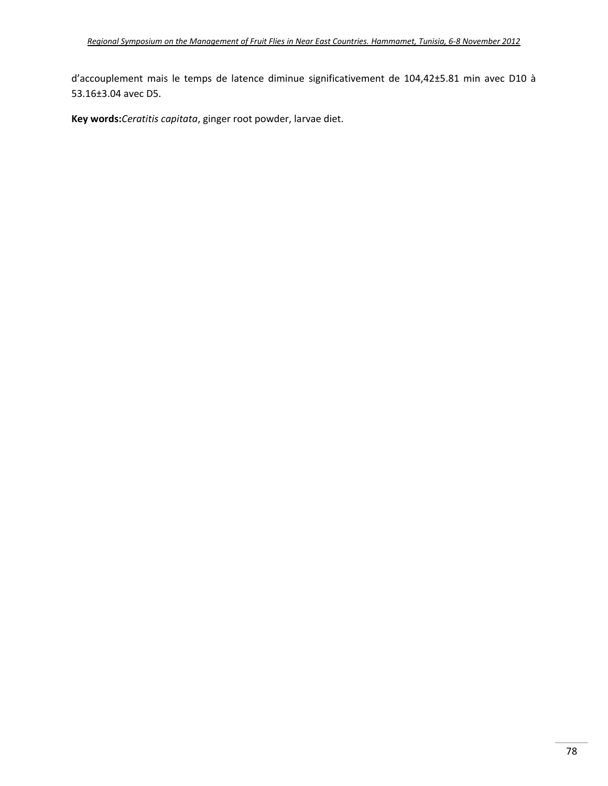d'accouplement mais le temps de latence diminue significativement de 104,42±5.81 min avec D10 à 53.16±3.04 avec D5.

**Key words:***Ceratitis capitata*, ginger root powder, larvae diet.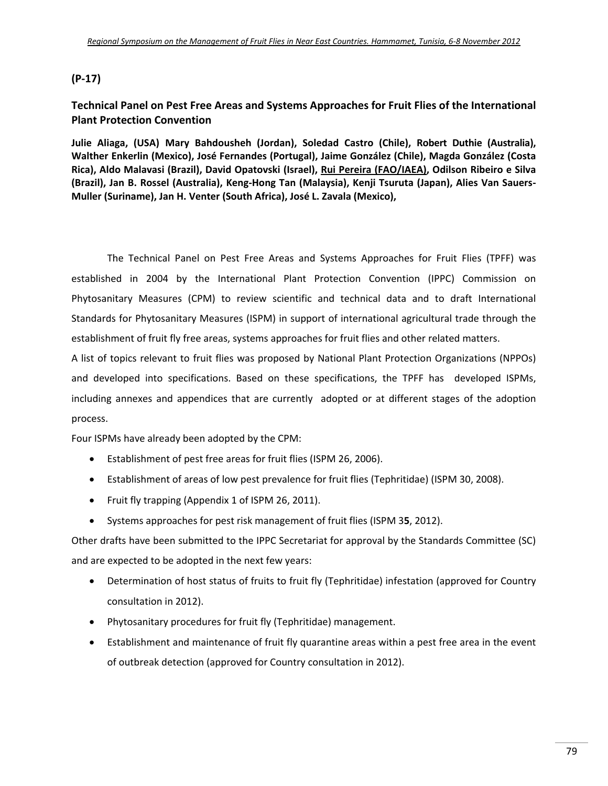## **(P‐17)**

## **Technical Panel on Pest Free Areas and Systems Approaches for Fruit Flies of the International Plant Protection Convention**

**Julie Aliaga, (USA) Mary Bahdousheh (Jordan), Soledad Castro (Chile), Robert Duthie (Australia), Walther Enkerlin (Mexico), José Fernandes (Portugal), Jaime González (Chile), Magda González (Costa Rica), Aldo Malavasi (Brazil), David Opatovski (Israel), Rui Pereira (FAO/IAEA), Odilson Ribeiro e Silva (Brazil), Jan B. Rossel (Australia), Keng‐Hong Tan (Malaysia), Kenji Tsuruta (Japan), Alies Van Sauers‐ Muller (Suriname), Jan H. Venter (South Africa), José L. Zavala (Mexico),** 

The Technical Panel on Pest Free Areas and Systems Approaches for Fruit Flies (TPFF) was established in 2004 by the International Plant Protection Convention (IPPC) Commission on Phytosanitary Measures (CPM) to review scientific and technical data and to draft International Standards for Phytosanitary Measures (ISPM) in support of international agricultural trade through the establishment of fruit fly free areas, systems approaches for fruit flies and other related matters.

A list of topics relevant to fruit flies was proposed by National Plant Protection Organizations (NPPOs) and developed into specifications. Based on these specifications, the TPFF has developed ISPMs, including annexes and appendices that are currently adopted or at different stages of the adoption process.

Four ISPMs have already been adopted by the CPM:

- Establishment of pest free areas for fruit flies (ISPM 26, 2006).
- Establishment of areas of low pest prevalence for fruit flies (Tephritidae) (ISPM 30, 2008).
- Fruit fly trapping (Appendix 1 of ISPM 26, 2011).
- Systems approaches for pest risk management of fruit flies (ISPM 3**5**, 2012).

Other drafts have been submitted to the IPPC Secretariat for approval by the Standards Committee (SC) and are expected to be adopted in the next few years:

- Determination of host status of fruits to fruit fly (Tephritidae) infestation (approved for Country consultation in 2012).
- Phytosanitary procedures for fruit fly (Tephritidae) management.
- Establishment and maintenance of fruit fly quarantine areas within a pest free area in the event of outbreak detection (approved for Country consultation in 2012).